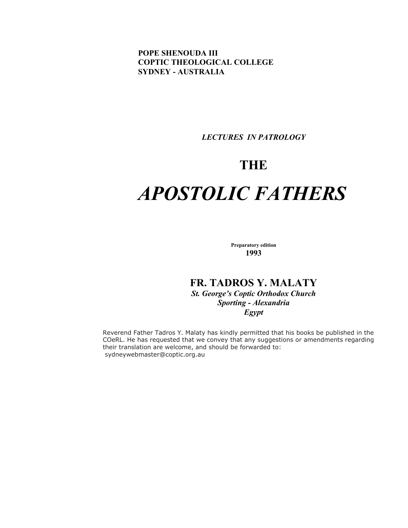**POPE SHENOUDA III COPTIC THEOLOGICAL COLLEGE SYDNEY - AUSTRALIA**

*LECTURES IN PATROLOGY*

# **THE**

# *APOSTOLIC FATHERS*

**Preparatory edition 1993**

#### **FR. TADROS Y. MALATY**  *St. George's Coptic Orthodox Church Sporting - Alexandria*

*Egypt*

Reverend Father Tadros Y. Malaty has kindly permitted that his books be published in the COeRL. He has requested that we convey that any suggestions or amendments regarding their translation are welcome, and should be forwarded to: sydneywebmaster@coptic.org.au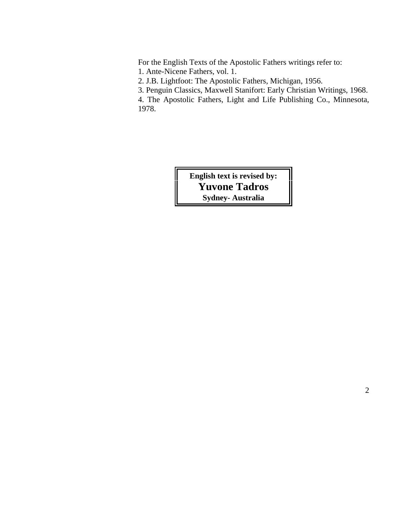For the English Texts of the Apostolic Fathers writings refer to:

1. Ante-Nicene Fathers, vol. 1.

2. J.B. Lightfoot: The Apostolic Fathers, Michigan, 1956.

3. Penguin Classics, Maxwell Stanifort: Early Christian Writings, 1968.

4. The Apostolic Fathers, Light and Life Publishing Co., Minnesota, 1978.

### **English text is revised by:**

#### **Yuvone Tadros**

**Sydney- Australia**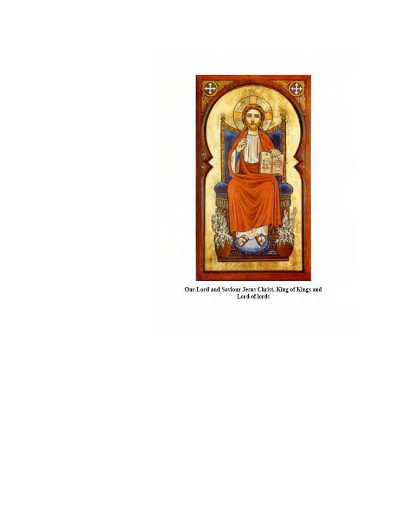

Our Lord and Saviour Jesus Christ, King of Kings and<br>Lord of lords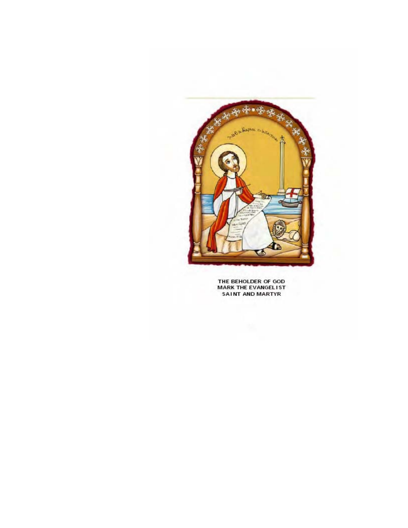

THE BEHOLDER OF GOD **MARK THE EVANGELIST** SAINT AND MARTYR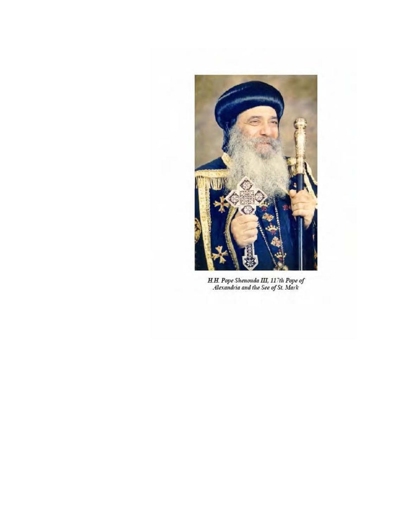

H.H. Pope Shenouda III, 117th Pope of<br>Alexandria and the See of St. Mark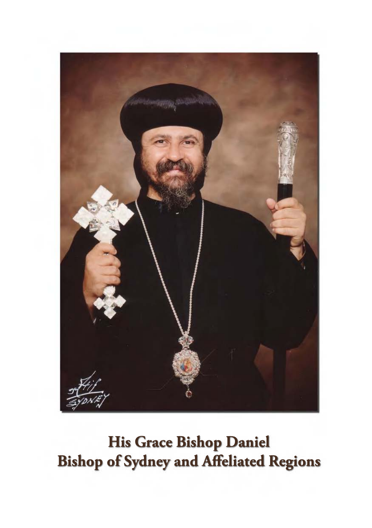

His Grace Bishop Daniel **Bishop of Sydney and Affeliated Regions**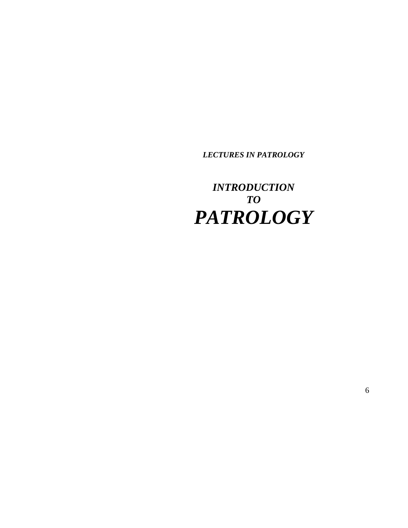*LECTURES IN PATROLOGY* 

# *INTRODUCTION TO PATROLOGY*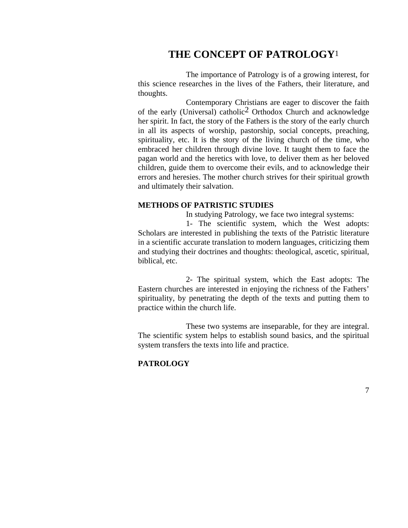# **THE CONCEPT OF PATROLOGY**1

 The importance of Patrology is of a growing interest, for this science researches in the lives of the Fathers, their literature, and thoughts.

 Contemporary Christians are eager to discover the faith of the early (Universal) catholic2 Orthodox Church and acknowledge her spirit. In fact, the story of the Fathers is the story of the early church in all its aspects of worship, pastorship, social concepts, preaching, spirituality, etc. It is the story of the living church of the time, who embraced her children through divine love. It taught them to face the pagan world and the heretics with love, to deliver them as her beloved children, guide them to overcome their evils, and to acknowledge their errors and heresies. The mother church strives for their spiritual growth and ultimately their salvation.

#### **METHODS OF PATRISTIC STUDIES**

In studying Patrology, we face two integral systems:

 1- The scientific system, which the West adopts: Scholars are interested in publishing the texts of the Patristic literature in a scientific accurate translation to modern languages, criticizing them and studying their doctrines and thoughts: theological, ascetic, spiritual, biblical, etc.

 2- The spiritual system, which the East adopts: The Eastern churches are interested in enjoying the richness of the Fathers' spirituality, by penetrating the depth of the texts and putting them to practice within the church life.

 These two systems are inseparable, for they are integral. The scientific system helps to establish sound basics, and the spiritual system transfers the texts into life and practice.

#### **PATROLOGY**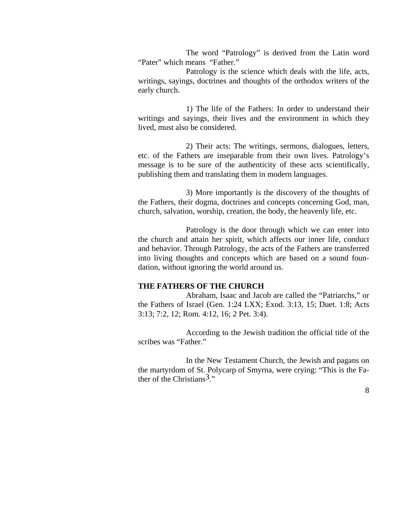The word "Patrology" is derived from the Latin word "Pater" which means "Father."

 Patrology is the science which deals with the life, acts, writings, sayings, doctrines and thoughts of the orthodox writers of the early church.

 1) The life of the Fathers: In order to understand their writings and sayings, their lives and the environment in which they lived, must also be considered.

 2) Their acts: The writings, sermons, dialogues, letters, etc. of the Fathers are inseparable from their own lives. Patrology's message is to be sure of the authenticity of these acts scientifically, publishing them and translating them in modern languages.

 3) More importantly is the discovery of the thoughts of the Fathers, their dogma, doctrines and concepts concerning God, man, church, salvation, worship, creation, the body, the heavenly life, etc.

 Patrology is the door through which we can enter into the church and attain her spirit, which affects our inner life, conduct and behavior. Through Patrology, the acts of the Fathers are transferred into living thoughts and concepts which are based on a sound foundation, without ignoring the world around us.

#### **THE FATHERS OF THE CHURCH**

 Abraham, Isaac and Jacob are called the "Patriarchs," or the Fathers of Israel (Gen. 1:24 LXX; Exod. 3:13, 15; Duet. 1:8; Acts 3:13; 7:2, 12; Rom. 4:12, 16; 2 Pet. 3:4).

 According to the Jewish tradition the official title of the scribes was "Father."

 In the New Testament Church, the Jewish and pagans on the martyrdom of St. Polycarp of Smyrna, were crying: "This is the Father of the Christians3."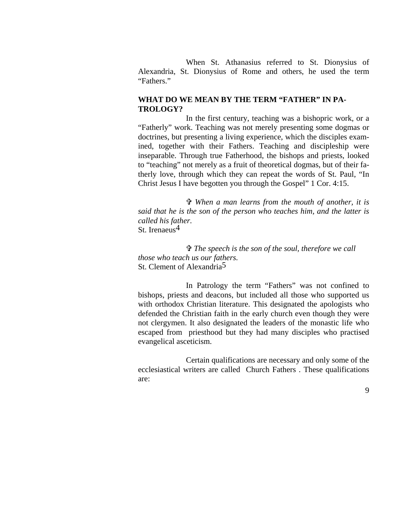When St. Athanasius referred to St. Dionysius of Alexandria, St. Dionysius of Rome and others, he used the term "Fathers."

#### **WHAT DO WE MEAN BY THE TERM "FATHER" IN PA-TROLOGY?**

 In the first century, teaching was a bishopric work, or a "Fatherly" work. Teaching was not merely presenting some dogmas or doctrines, but presenting a living experience, which the disciples examined, together with their Fathers. Teaching and discipleship were inseparable. Through true Fatherhood, the bishops and priests, looked to "teaching" not merely as a fruit of theoretical dogmas, but of their fatherly love, through which they can repeat the words of St. Paul, "In Christ Jesus I have begotten you through the Gospel" 1 Cor. 4:15.

= *When a man learns from the mouth of another, it is said that he is the son of the person who teaches him, and the latter is called his father.* St. Irenaeus<sup>4</sup>

= *The speech is the son of the soul, therefore we call those who teach us our fathers.* St. Clement of Alexandria<sup>5</sup>

 In Patrology the term "Fathers" was not confined to bishops, priests and deacons, but included all those who supported us with orthodox Christian literature. This designated the apologists who defended the Christian faith in the early church even though they were not clergymen. It also designated the leaders of the monastic life who escaped from priesthood but they had many disciples who practised evangelical asceticism.

 Certain qualifications are necessary and only some of the ecclesiastical writers are called Church Fathers . These qualifications are: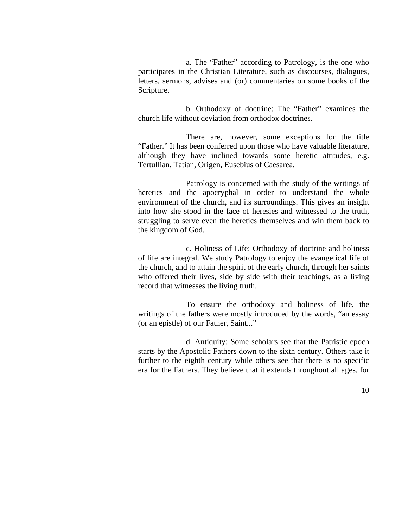a. The "Father" according to Patrology, is the one who participates in the Christian Literature, such as discourses, dialogues, letters, sermons, advises and (or) commentaries on some books of the Scripture.

 b. Orthodoxy of doctrine: The "Father" examines the church life without deviation from orthodox doctrines.

 There are, however, some exceptions for the title "Father." It has been conferred upon those who have valuable literature, although they have inclined towards some heretic attitudes, e.g. Tertullian, Tatian, Origen, Eusebius of Caesarea.

 Patrology is concerned with the study of the writings of heretics and the apocryphal in order to understand the whole environment of the church, and its surroundings. This gives an insight into how she stood in the face of heresies and witnessed to the truth, struggling to serve even the heretics themselves and win them back to the kingdom of God.

 c. Holiness of Life: Orthodoxy of doctrine and holiness of life are integral. We study Patrology to enjoy the evangelical life of the church, and to attain the spirit of the early church, through her saints who offered their lives, side by side with their teachings, as a living record that witnesses the living truth.

 To ensure the orthodoxy and holiness of life, the writings of the fathers were mostly introduced by the words, "an essay (or an epistle) of our Father, Saint..."

 d. Antiquity: Some scholars see that the Patristic epoch starts by the Apostolic Fathers down to the sixth century. Others take it further to the eighth century while others see that there is no specific era for the Fathers. They believe that it extends throughout all ages, for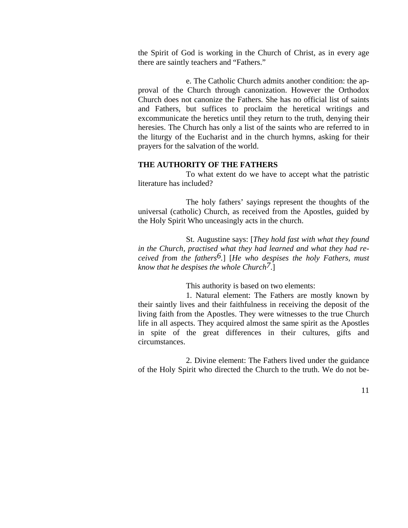the Spirit of God is working in the Church of Christ, as in every age there are saintly teachers and "Fathers."

 e. The Catholic Church admits another condition: the approval of the Church through canonization. However the Orthodox Church does not canonize the Fathers. She has no official list of saints and Fathers, but suffices to proclaim the heretical writings and excommunicate the heretics until they return to the truth, denying their heresies. The Church has only a list of the saints who are referred to in the liturgy of the Eucharist and in the church hymns, asking for their prayers for the salvation of the world.

#### **THE AUTHORITY OF THE FATHERS**

 To what extent do we have to accept what the patristic literature has included?

 The holy fathers' sayings represent the thoughts of the universal (catholic) Church, as received from the Apostles, guided by the Holy Spirit Who unceasingly acts in the church.

 St. Augustine says: [*They hold fast with what they found in the Church, practised what they had learned and what they had received from the fathers6.*] [*He who despises the holy Fathers, must know that he despises the whole Church7*.]

This authority is based on two elements:

 1. Natural element: The Fathers are mostly known by their saintly lives and their faithfulness in receiving the deposit of the living faith from the Apostles. They were witnesses to the true Church life in all aspects. They acquired almost the same spirit as the Apostles in spite of the great differences in their cultures, gifts and circumstances.

 2. Divine element: The Fathers lived under the guidance of the Holy Spirit who directed the Church to the truth. We do not be-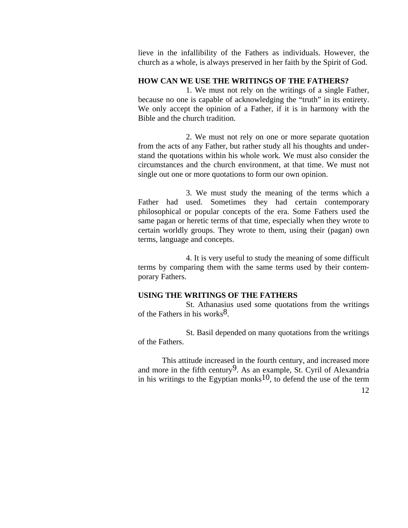lieve in the infallibility of the Fathers as individuals. However, the church as a whole, is always preserved in her faith by the Spirit of God.

#### **HOW CAN WE USE THE WRITINGS OF THE FATHERS?**

 1. We must not rely on the writings of a single Father, because no one is capable of acknowledging the "truth" in its entirety. We only accept the opinion of a Father, if it is in harmony with the Bible and the church tradition.

 2. We must not rely on one or more separate quotation from the acts of any Father, but rather study all his thoughts and understand the quotations within his whole work. We must also consider the circumstances and the church environment, at that time. We must not single out one or more quotations to form our own opinion.

 3. We must study the meaning of the terms which a Father had used. Sometimes they had certain contemporary philosophical or popular concepts of the era. Some Fathers used the same pagan or heretic terms of that time, especially when they wrote to certain worldly groups. They wrote to them, using their (pagan) own terms, language and concepts.

 4. It is very useful to study the meaning of some difficult terms by comparing them with the same terms used by their contemporary Fathers.

#### **USING THE WRITINGS OF THE FATHERS**

 St. Athanasius used some quotations from the writings of the Fathers in his works8.

 St. Basil depended on many quotations from the writings of the Fathers.

 This attitude increased in the fourth century, and increased more and more in the fifth century<sup>9</sup>. As an example, St. Cyril of Alexandria in his writings to the Egyptian monks<sup>10</sup>, to defend the use of the term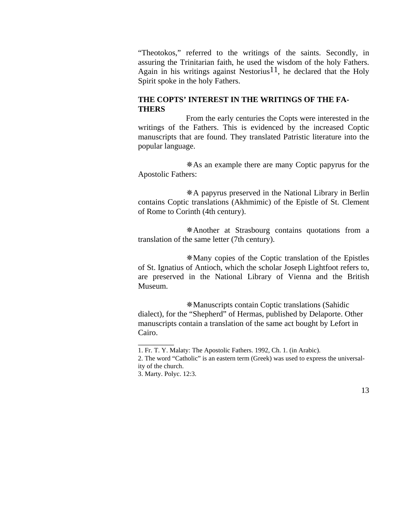"Theotokos," referred to the writings of the saints. Secondly, in assuring the Trinitarian faith, he used the wisdom of the holy Fathers. Again in his writings against Nestorius<sup>11</sup>, he declared that the Holy Spirit spoke in the holy Fathers.

#### **THE COPTS' INTEREST IN THE WRITINGS OF THE FA-THERS**

 From the early centuries the Copts were interested in the writings of the Fathers. This is evidenced by the increased Coptic manuscripts that are found. They translated Patristic literature into the popular language.

As an example there are many Coptic papyrus for the Apostolic Fathers:

A papyrus preserved in the National Library in Berlin contains Coptic translations (Akhmimic) of the Epistle of St. Clement of Rome to Corinth (4th century).

Another at Strasbourg contains quotations from a translation of the same letter (7th century).

Many copies of the Coptic translation of the Epistles of St. Ignatius of Antioch, which the scholar Joseph Lightfoot refers to, are preserved in the National Library of Vienna and the British Museum.

Manuscripts contain Coptic translations (Sahidic dialect), for the "Shepherd" of Hermas, published by Delaporte. Other manuscripts contain a translation of the same act bought by Lefort in Cairo.

3. Marty. Polyc. 12:3.

\_\_\_*\_\_\_\_\_\_* 

<sup>1.</sup> Fr. T. Y. Malaty: The Apostolic Fathers. 1992, Ch. 1. (in Arabic).

<sup>2.</sup> The word "Catholic" is an eastern term (Greek) was used to express the universality of the church.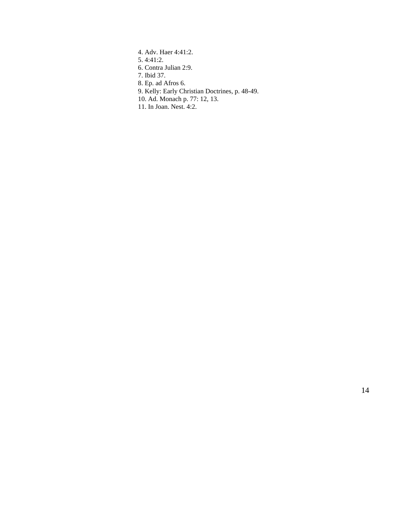4. Adv. Haer 4:41:2. 5. 4:41:2. 6. Contra Julian 2:9. 7. Ibid 37. 8. Ep. ad Afros 6. 9. Kelly: Early Christian Doctrines, p. 48-49. 10. Ad. Monach p. 77: 12, 13.

11. In Joan. Nest. 4:2.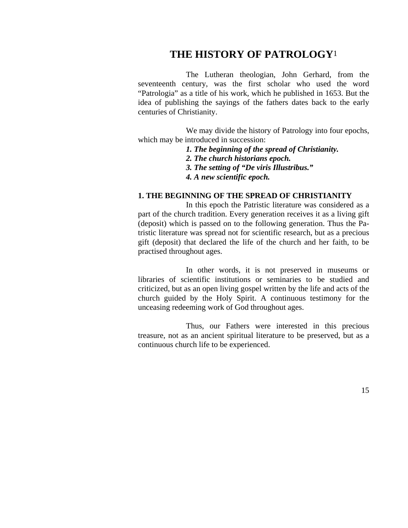## **THE HISTORY OF PATROLOGY**1

 The Lutheran theologian, John Gerhard, from the seventeenth century, was the first scholar who used the word "Patrologia" as a title of his work, which he published in 1653. But the idea of publishing the sayings of the fathers dates back to the early centuries of Christianity.

 We may divide the history of Patrology into four epochs, which may be introduced in succession:

- *1. The beginning of the spread of Christianity.*
- *2. The church historians epoch.*
- *3. The setting of "De viris Illustribus."*
- *4. A new scientific epoch.*

#### **1. THE BEGINNING OF THE SPREAD OF CHRISTIANITY**

 In this epoch the Patristic literature was considered as a part of the church tradition. Every generation receives it as a living gift (deposit) which is passed on to the following generation. Thus the Patristic literature was spread not for scientific research, but as a precious gift (deposit) that declared the life of the church and her faith, to be practised throughout ages.

 In other words, it is not preserved in museums or libraries of scientific institutions or seminaries to be studied and criticized, but as an open living gospel written by the life and acts of the church guided by the Holy Spirit. A continuous testimony for the unceasing redeeming work of God throughout ages.

 Thus, our Fathers were interested in this precious treasure, not as an ancient spiritual literature to be preserved, but as a continuous church life to be experienced.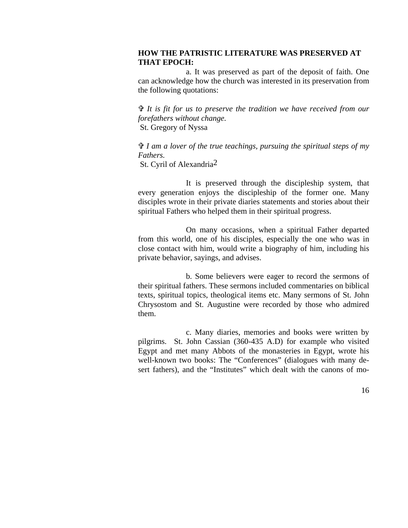#### **HOW THE PATRISTIC LITERATURE WAS PRESERVED AT THAT EPOCH:**

 a. It was preserved as part of the deposit of faith. One can acknowledge how the church was interested in its preservation from the following quotations:

= *It is fit for us to preserve the tradition we have received from our forefathers without change.* 

St. Gregory of Nyssa

= *I am a lover of the true teachings, pursuing the spiritual steps of my Fathers.* 

St. Cyril of Alexandria2

 It is preserved through the discipleship system, that every generation enjoys the discipleship of the former one. Many disciples wrote in their private diaries statements and stories about their spiritual Fathers who helped them in their spiritual progress.

 On many occasions, when a spiritual Father departed from this world, one of his disciples, especially the one who was in close contact with him, would write a biography of him, including his private behavior, sayings, and advises.

 b. Some believers were eager to record the sermons of their spiritual fathers. These sermons included commentaries on biblical texts, spiritual topics, theological items etc. Many sermons of St. John Chrysostom and St. Augustine were recorded by those who admired them.

 c. Many diaries, memories and books were written by pilgrims. St. John Cassian (360-435 A.D) for example who visited Egypt and met many Abbots of the monasteries in Egypt, wrote his well-known two books: The "Conferences" (dialogues with many desert fathers), and the "Institutes" which dealt with the canons of mo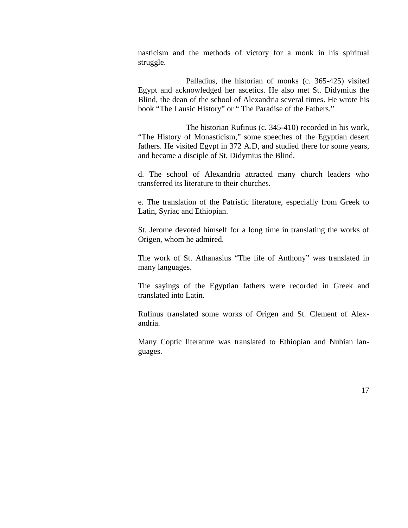nasticism and the methods of victory for a monk in his spiritual struggle.

 Palladius, the historian of monks (c. 365-425) visited Egypt and acknowledged her ascetics. He also met St. Didymius the Blind, the dean of the school of Alexandria several times. He wrote his book "The Lausic History" or " The Paradise of the Fathers."

 The historian Rufinus (c. 345-410) recorded in his work, "The History of Monasticism," some speeches of the Egyptian desert fathers. He visited Egypt in 372 A.D, and studied there for some years, and became a disciple of St. Didymius the Blind.

d. The school of Alexandria attracted many church leaders who transferred its literature to their churches.

e. The translation of the Patristic literature, especially from Greek to Latin, Syriac and Ethiopian.

St. Jerome devoted himself for a long time in translating the works of Origen, whom he admired.

The work of St. Athanasius "The life of Anthony" was translated in many languages.

The sayings of the Egyptian fathers were recorded in Greek and translated into Latin.

Rufinus translated some works of Origen and St. Clement of Alexandria.

Many Coptic literature was translated to Ethiopian and Nubian languages.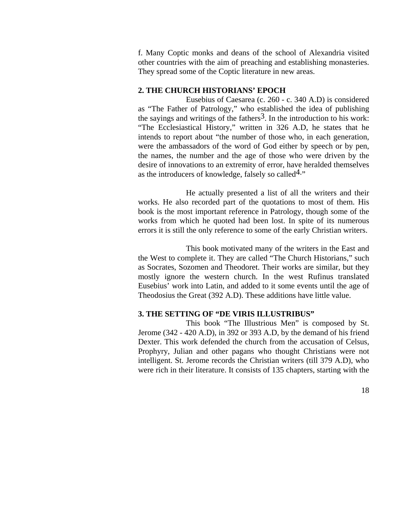f. Many Coptic monks and deans of the school of Alexandria visited other countries with the aim of preaching and establishing monasteries. They spread some of the Coptic literature in new areas.

#### **2. THE CHURCH HISTORIANS' EPOCH**

 Eusebius of Caesarea (c. 260 - c. 340 A.D) is considered as "The Father of Patrology," who established the idea of publishing the sayings and writings of the fathers<sup>3</sup>. In the introduction to his work: "The Ecclesiastical History," written in 326 A.D, he states that he intends to report about "the number of those who, in each generation, were the ambassadors of the word of God either by speech or by pen, the names, the number and the age of those who were driven by the desire of innovations to an extremity of error, have heralded themselves as the introducers of knowledge, falsely so called<sup>4."</sup>

 He actually presented a list of all the writers and their works. He also recorded part of the quotations to most of them. His book is the most important reference in Patrology, though some of the works from which he quoted had been lost. In spite of its numerous errors it is still the only reference to some of the early Christian writers.

 This book motivated many of the writers in the East and the West to complete it. They are called "The Church Historians," such as Socrates, Sozomen and Theodoret. Their works are similar, but they mostly ignore the western church. In the west Rufinus translated Eusebius' work into Latin, and added to it some events until the age of Theodosius the Great (392 A.D). These additions have little value.

#### **3. THE SETTING OF "DE VIRIS ILLUSTRIBUS"**

 This book "The Illustrious Men" is composed by St. Jerome (342 - 420 A.D), in 392 or 393 A.D, by the demand of his friend Dexter. This work defended the church from the accusation of Celsus, Prophyry, Julian and other pagans who thought Christians were not intelligent. St. Jerome records the Christian writers (till 379 A.D), who were rich in their literature. It consists of 135 chapters, starting with the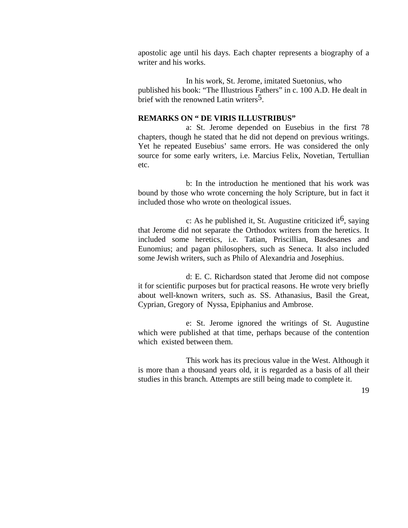apostolic age until his days. Each chapter represents a biography of a writer and his works.

 In his work, St. Jerome, imitated Suetonius, who published his book: "The Illustrious Fathers" in c. 100 A.D. He dealt in brief with the renowned Latin writers<sup>5</sup>.

#### **REMARKS ON " DE VIRIS ILLUSTRIBUS"**

 a: St. Jerome depended on Eusebius in the first 78 chapters, though he stated that he did not depend on previous writings. Yet he repeated Eusebius' same errors. He was considered the only source for some early writers, i.e. Marcius Felix, Novetian, Tertullian etc.

 b: In the introduction he mentioned that his work was bound by those who wrote concerning the holy Scripture, but in fact it included those who wrote on theological issues.

c: As he published it, St. Augustine criticized it  $6$ , saying that Jerome did not separate the Orthodox writers from the heretics. It included some heretics, i.e. Tatian, Priscillian, Basdesanes and Eunomius; and pagan philosophers, such as Seneca. It also included some Jewish writers, such as Philo of Alexandria and Josephius.

 d: E. C. Richardson stated that Jerome did not compose it for scientific purposes but for practical reasons. He wrote very briefly about well-known writers, such as. SS. Athanasius, Basil the Great, Cyprian, Gregory of Nyssa, Epiphanius and Ambrose.

 e: St. Jerome ignored the writings of St. Augustine which were published at that time, perhaps because of the contention which existed between them.

 This work has its precious value in the West. Although it is more than a thousand years old, it is regarded as a basis of all their studies in this branch. Attempts are still being made to complete it.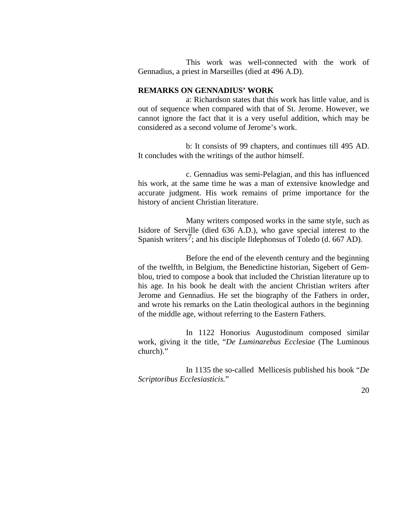This work was well-connected with the work of Gennadius, a priest in Marseilles (died at 496 A.D).

#### **REMARKS ON GENNADIUS' WORK**

 a: Richardson states that this work has little value, and is out of sequence when compared with that of St. Jerome. However, we cannot ignore the fact that it is a very useful addition, which may be considered as a second volume of Jerome's work.

 b: It consists of 99 chapters, and continues till 495 AD. It concludes with the writings of the author himself.

 c. Gennadius was semi-Pelagian, and this has influenced his work, at the same time he was a man of extensive knowledge and accurate judgment. His work remains of prime importance for the history of ancient Christian literature.

 Many writers composed works in the same style, such as Isidore of Serville (died 636 A.D.), who gave special interest to the Spanish writers<sup>7</sup>; and his disciple Ildephonsus of Toledo (d. 667 AD).

 Before the end of the eleventh century and the beginning of the twelfth, in Belgium, the Benedictine historian, Sigebert of Gemblou, tried to compose a book that included the Christian literature up to his age. In his book he dealt with the ancient Christian writers after Jerome and Gennadius. He set the biography of the Fathers in order, and wrote his remarks on the Latin theological authors in the beginning of the middle age, without referring to the Eastern Fathers.

 In 1122 Honorius Augustodinum composed similar work, giving it the title, "*De Luminarebus Ecclesiae* (The Luminous church)."

 In 1135 the so-called Mellicesis published his book "*De Scriptoribus Ecclesiasticis.*"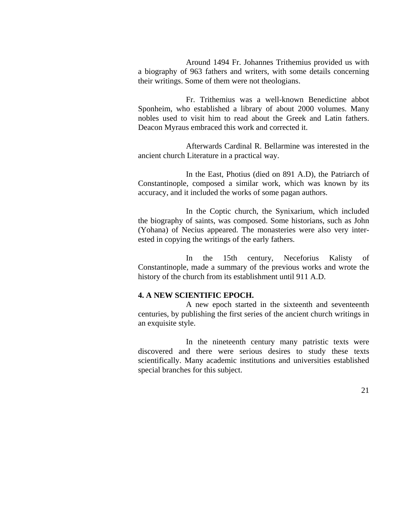Around 1494 Fr. Johannes Trithemius provided us with a biography of 963 fathers and writers, with some details concerning their writings. Some of them were not theologians.

 Fr. Trithemius was a well-known Benedictine abbot Sponheim, who established a library of about 2000 volumes. Many nobles used to visit him to read about the Greek and Latin fathers. Deacon Myraus embraced this work and corrected it.

 Afterwards Cardinal R. Bellarmine was interested in the ancient church Literature in a practical way.

 In the East, Photius (died on 891 A.D), the Patriarch of Constantinople, composed a similar work, which was known by its accuracy, and it included the works of some pagan authors.

 In the Coptic church, the Synixarium, which included the biography of saints, was composed. Some historians, such as John (Yohana) of Necius appeared. The monasteries were also very interested in copying the writings of the early fathers.

 In the 15th century, Neceforius Kalisty of Constantinople, made a summary of the previous works and wrote the history of the church from its establishment until 911 A.D.

#### **4. A NEW SCIENTIFIC EPOCH.**

 A new epoch started in the sixteenth and seventeenth centuries, by publishing the first series of the ancient church writings in an exquisite style.

 In the nineteenth century many patristic texts were discovered and there were serious desires to study these texts scientifically. Many academic institutions and universities established special branches for this subject.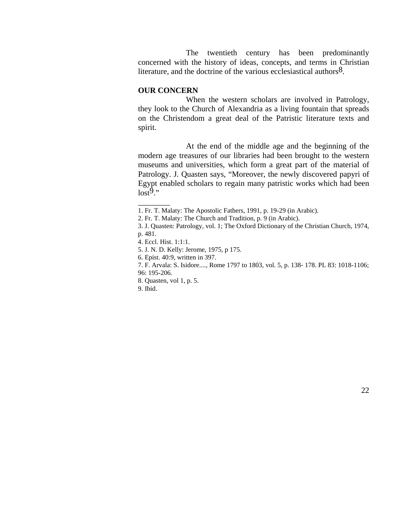The twentieth century has been predominantly concerned with the history of ideas, concepts, and terms in Christian literature, and the doctrine of the various ecclesiastical authors<sup>8</sup>.

#### **OUR CONCERN**

 When the western scholars are involved in Patrology, they look to the Church of Alexandria as a living fountain that spreads on the Christendom a great deal of the Patristic literature texts and spirit.

 At the end of the middle age and the beginning of the modern age treasures of our libraries had been brought to the western museums and universities, which form a great part of the material of Patrology. J. Quasten says, "Moreover, the newly discovered papyri of Egypt enabled scholars to regain many patristic works which had been  $\log^{9}$ ."

4. Eccl. Hist. 1:1:1.

*\_\_\_\_\_\_\_\_* 

- 5. J. N. D. Kelly: Jerome, 1975, p 175.
- 6. Epist. 40:9, written in 397.

- 8. Quasten, vol 1, p. 5.
- 9. Ibid.

<sup>1.</sup> Fr. T. Malaty: The Apostolic Fathers, 1991, p. 19-29 (in Arabic).

<sup>2.</sup> Fr. T. Malaty: The Church and Tradition, p. 9 (in Arabic).

<sup>3.</sup> J. Quasten: Patrology, vol. 1; The Oxford Dictionary of the Christian Church, 1974, p. 481.

<sup>7.</sup> F. Arvala: S. Isidore...., Rome 1797 to 1803, vol. 5, p. 138- 178. PL 83: 1018-1106; 96: 195-206.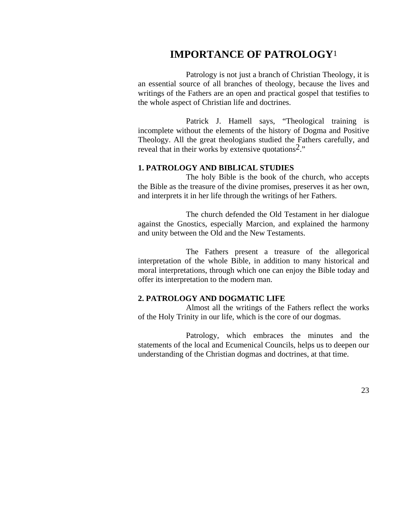# **IMPORTANCE OF PATROLOGY**1

 Patrology is not just a branch of Christian Theology, it is an essential source of all branches of theology, because the lives and writings of the Fathers are an open and practical gospel that testifies to the whole aspect of Christian life and doctrines.

 Patrick J. Hamell says, "Theological training is incomplete without the elements of the history of Dogma and Positive Theology. All the great theologians studied the Fathers carefully, and reveal that in their works by extensive quotations2."

#### **1. PATROLOGY AND BIBLICAL STUDIES**

 The holy Bible is the book of the church, who accepts the Bible as the treasure of the divine promises, preserves it as her own, and interprets it in her life through the writings of her Fathers.

 The church defended the Old Testament in her dialogue against the Gnostics, especially Marcion, and explained the harmony and unity between the Old and the New Testaments.

 The Fathers present a treasure of the allegorical interpretation of the whole Bible, in addition to many historical and moral interpretations, through which one can enjoy the Bible today and offer its interpretation to the modern man.

#### **2. PATROLOGY AND DOGMATIC LIFE**

 Almost all the writings of the Fathers reflect the works of the Holy Trinity in our life, which is the core of our dogmas.

 Patrology, which embraces the minutes and the statements of the local and Ecumenical Councils, helps us to deepen our understanding of the Christian dogmas and doctrines, at that time.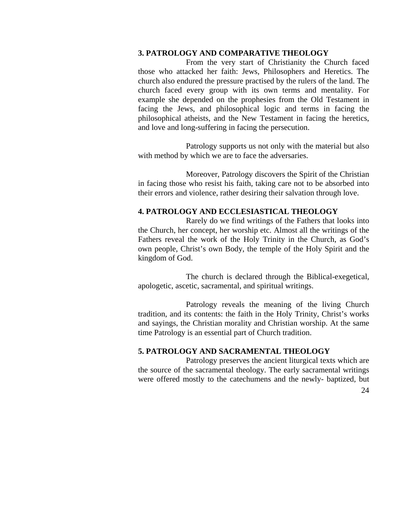#### **3. PATROLOGY AND COMPARATIVE THEOLOGY**

 From the very start of Christianity the Church faced those who attacked her faith: Jews, Philosophers and Heretics. The church also endured the pressure practised by the rulers of the land. The church faced every group with its own terms and mentality. For example she depended on the prophesies from the Old Testament in facing the Jews, and philosophical logic and terms in facing the philosophical atheists, and the New Testament in facing the heretics, and love and long-suffering in facing the persecution.

 Patrology supports us not only with the material but also with method by which we are to face the adversaries.

 Moreover, Patrology discovers the Spirit of the Christian in facing those who resist his faith, taking care not to be absorbed into their errors and violence, rather desiring their salvation through love.

#### **4. PATROLOGY AND ECCLESIASTICAL THEOLOGY**

 Rarely do we find writings of the Fathers that looks into the Church, her concept, her worship etc. Almost all the writings of the Fathers reveal the work of the Holy Trinity in the Church, as God's own people, Christ's own Body, the temple of the Holy Spirit and the kingdom of God.

 The church is declared through the Biblical-exegetical, apologetic, ascetic, sacramental, and spiritual writings.

 Patrology reveals the meaning of the living Church tradition, and its contents: the faith in the Holy Trinity, Christ's works and sayings, the Christian morality and Christian worship. At the same time Patrology is an essential part of Church tradition.

#### **5. PATROLOGY AND SACRAMENTAL THEOLOGY**

 Patrology preserves the ancient liturgical texts which are the source of the sacramental theology. The early sacramental writings were offered mostly to the catechumens and the newly- baptized, but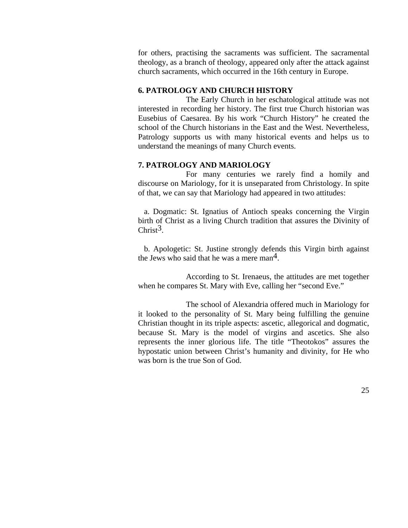for others, practising the sacraments was sufficient. The sacramental theology, as a branch of theology, appeared only after the attack against church sacraments, which occurred in the 16th century in Europe.

#### **6. PATROLOGY AND CHURCH HISTORY**

 The Early Church in her eschatological attitude was not interested in recording her history. The first true Church historian was Eusebius of Caesarea. By his work "Church History" he created the school of the Church historians in the East and the West. Nevertheless, Patrology supports us with many historical events and helps us to understand the meanings of many Church events.

#### **7. PATROLOGY AND MARIOLOGY**

 For many centuries we rarely find a homily and discourse on Mariology, for it is unseparated from Christology. In spite of that, we can say that Mariology had appeared in two attitudes:

 a. Dogmatic: St. Ignatius of Antioch speaks concerning the Virgin birth of Christ as a living Church tradition that assures the Divinity of Christ<sup>3</sup>.

 b. Apologetic: St. Justine strongly defends this Virgin birth against the Jews who said that he was a mere man<sup>4</sup>.

 According to St. Irenaeus, the attitudes are met together when he compares St. Mary with Eve, calling her "second Eve."

 The school of Alexandria offered much in Mariology for it looked to the personality of St. Mary being fulfilling the genuine Christian thought in its triple aspects: ascetic, allegorical and dogmatic, because St. Mary is the model of virgins and ascetics. She also represents the inner glorious life. The title "Theotokos" assures the hypostatic union between Christ's humanity and divinity, for He who was born is the true Son of God.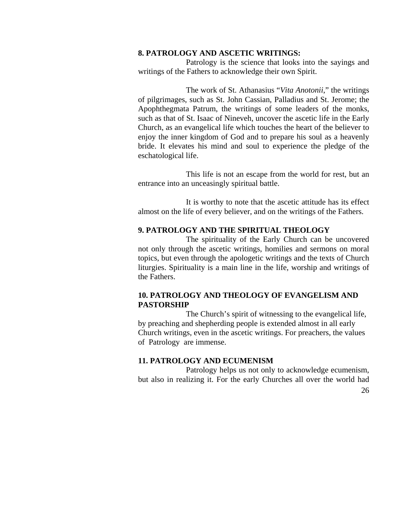#### **8. PATROLOGY AND ASCETIC WRITINGS:**

 Patrology is the science that looks into the sayings and writings of the Fathers to acknowledge their own Spirit.

 The work of St. Athanasius "*Vita Anotonii*," the writings of pilgrimages, such as St. John Cassian, Palladius and St. Jerome; the Apophthegmata Patrum, the writings of some leaders of the monks, such as that of St. Isaac of Nineveh, uncover the ascetic life in the Early Church, as an evangelical life which touches the heart of the believer to enjoy the inner kingdom of God and to prepare his soul as a heavenly bride. It elevates his mind and soul to experience the pledge of the eschatological life.

 This life is not an escape from the world for rest, but an entrance into an unceasingly spiritual battle.

 It is worthy to note that the ascetic attitude has its effect almost on the life of every believer, and on the writings of the Fathers.

#### **9. PATROLOGY AND THE SPIRITUAL THEOLOGY**

 The spirituality of the Early Church can be uncovered not only through the ascetic writings, homilies and sermons on moral topics, but even through the apologetic writings and the texts of Church liturgies. Spirituality is a main line in the life, worship and writings of the Fathers.

#### **10. PATROLOGY AND THEOLOGY OF EVANGELISM AND PASTORSHIP**

 The Church's spirit of witnessing to the evangelical life, by preaching and shepherding people is extended almost in all early Church writings, even in the ascetic writings. For preachers, the values of Patrology are immense.

#### **11. PATROLOGY AND ECUMENISM**

 Patrology helps us not only to acknowledge ecumenism, but also in realizing it. For the early Churches all over the world had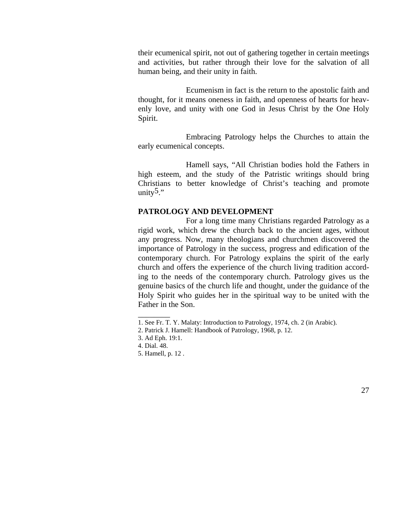their ecumenical spirit, not out of gathering together in certain meetings and activities, but rather through their love for the salvation of all human being, and their unity in faith.

 Ecumenism in fact is the return to the apostolic faith and thought, for it means oneness in faith, and openness of hearts for heavenly love, and unity with one God in Jesus Christ by the One Holy Spirit.

 Embracing Patrology helps the Churches to attain the early ecumenical concepts.

 Hamell says, "All Christian bodies hold the Fathers in high esteem, and the study of the Patristic writings should bring Christians to better knowledge of Christ's teaching and promote unity<sup>5</sup>."

#### **PATROLOGY AND DEVELOPMENT**

 For a long time many Christians regarded Patrology as a rigid work, which drew the church back to the ancient ages, without any progress. Now, many theologians and churchmen discovered the importance of Patrology in the success, progress and edification of the contemporary church. For Patrology explains the spirit of the early church and offers the experience of the church living tradition according to the needs of the contemporary church. Patrology gives us the genuine basics of the church life and thought, under the guidance of the Holy Spirit who guides her in the spiritual way to be united with the Father in the Son.

*\_\_\_\_\_\_\_\_* 

<sup>1.</sup> See Fr. T. Y. Malaty: Introduction to Patrology, 1974, ch. 2 (in Arabic).

<sup>2.</sup> Patrick J. Hamell: Handbook of Patrology, 1968, p. 12.

<sup>3.</sup> Ad Eph. 19:1.

<sup>4.</sup> Dial. 48.

<sup>5.</sup> Hamell, p. 12 .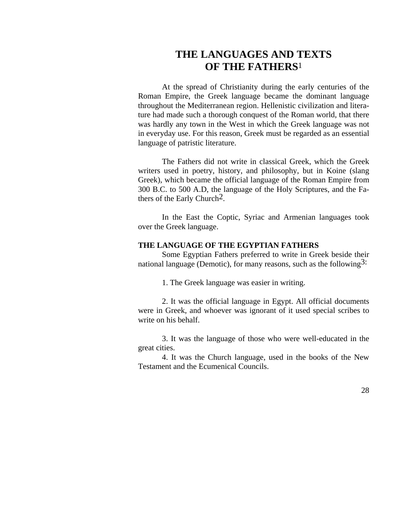# **THE LANGUAGES AND TEXTS OF THE FATHERS**1

 At the spread of Christianity during the early centuries of the Roman Empire, the Greek language became the dominant language throughout the Mediterranean region. Hellenistic civilization and literature had made such a thorough conquest of the Roman world, that there was hardly any town in the West in which the Greek language was not in everyday use. For this reason, Greek must be regarded as an essential language of patristic literature.

 The Fathers did not write in classical Greek, which the Greek writers used in poetry, history, and philosophy, but in Koine (slang Greek), which became the official language of the Roman Empire from 300 B.C. to 500 A.D, the language of the Holy Scriptures, and the Fathers of the Early Church2.

 In the East the Coptic, Syriac and Armenian languages took over the Greek language.

#### **THE LANGUAGE OF THE EGYPTIAN FATHERS**

 Some Egyptian Fathers preferred to write in Greek beside their national language (Demotic), for many reasons, such as the following<sup>3:</sup>

1. The Greek language was easier in writing.

 2. It was the official language in Egypt. All official documents were in Greek, and whoever was ignorant of it used special scribes to write on his behalf.

 3. It was the language of those who were well-educated in the great cities.

 4. It was the Church language, used in the books of the New Testament and the Ecumenical Councils.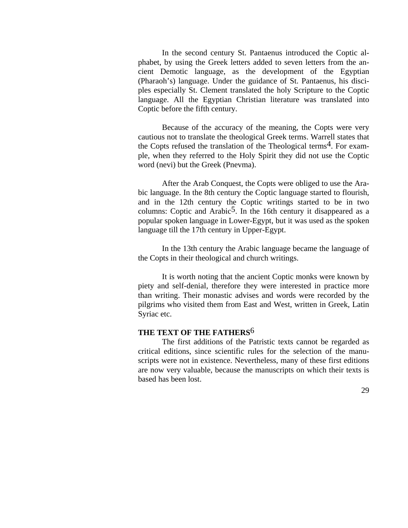In the second century St. Pantaenus introduced the Coptic alphabet, by using the Greek letters added to seven letters from the ancient Demotic language, as the development of the Egyptian (Pharaoh's) language. Under the guidance of St. Pantaenus, his disciples especially St. Clement translated the holy Scripture to the Coptic language. All the Egyptian Christian literature was translated into Coptic before the fifth century.

 Because of the accuracy of the meaning, the Copts were very cautious not to translate the theological Greek terms. Warrell states that the Copts refused the translation of the Theological terms<sup>4</sup>. For example, when they referred to the Holy Spirit they did not use the Coptic word (nevi) but the Greek (Pnevma).

 After the Arab Conquest, the Copts were obliged to use the Arabic language. In the 8th century the Coptic language started to flourish, and in the 12th century the Coptic writings started to be in two columns: Coptic and Arabic<sup>5</sup>. In the 16th century it disappeared as a popular spoken language in Lower-Egypt, but it was used as the spoken language till the 17th century in Upper-Egypt.

 In the 13th century the Arabic language became the language of the Copts in their theological and church writings.

 It is worth noting that the ancient Coptic monks were known by piety and self-denial, therefore they were interested in practice more than writing. Their monastic advises and words were recorded by the pilgrims who visited them from East and West, written in Greek, Latin Syriac etc.

#### **THE TEXT OF THE FATHERS**6

 The first additions of the Patristic texts cannot be regarded as critical editions, since scientific rules for the selection of the manuscripts were not in existence. Nevertheless, many of these first editions are now very valuable, because the manuscripts on which their texts is based has been lost.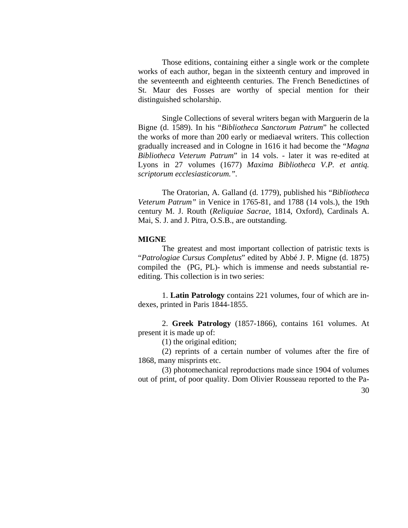Those editions, containing either a single work or the complete works of each author, began in the sixteenth century and improved in the seventeenth and eighteenth centuries. The French Benedictines of St. Maur des Fosses are worthy of special mention for their distinguished scholarship.

 Single Collections of several writers began with Marguerin de la Bigne (d. 1589). In his "*Bibliotheca Sanctorum Patrum*" he collected the works of more than 200 early or mediaeval writers. This collection gradually increased and in Cologne in 1616 it had become the "*Magna Bibliotheca Veterum Patrum*" in 14 vols. - later it was re-edited at Lyons in 27 volumes (1677) *Maxima Bibliotheca V.P. et antiq. scriptorum ecclesiasticorum.".* 

 The Oratorian, A. Galland (d. 1779), published his "*Bibliotheca Veterum Patrum"* in Venice in 1765-81, and 1788 (14 vols.), the 19th century M. J. Routh (*Reliquiae Sacrae,* 1814, Oxford), Cardinals A. Mai, S. J. and J. Pitra, O.S.B., are outstanding.

#### **MIGNE**

 The greatest and most important collection of patristic texts is "*Patrologiae Cursus Completus*" edited by Abbé J. P. Migne (d. 1875) compiled the (PG, PL)- which is immense and needs substantial reediting. This collection is in two series:

 1. **Latin Patrology** contains 221 volumes, four of which are indexes, printed in Paris 1844-1855.

 2. **Greek Patrology** (1857-1866), contains 161 volumes. At present it is made up of:

(1) the original edition;

 (2) reprints of a certain number of volumes after the fire of 1868, many misprints etc.

 (3) photomechanical reproductions made since 1904 of volumes out of print, of poor quality. Dom Olivier Rousseau reported to the Pa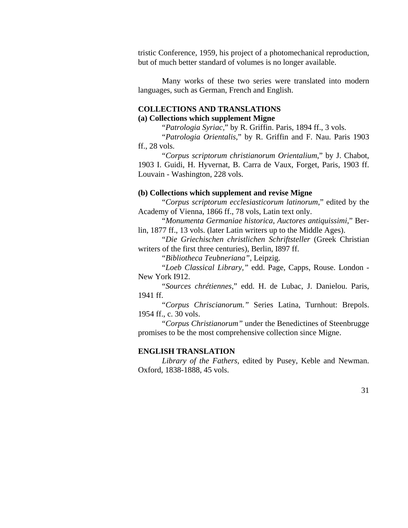tristic Conference, 1959, his project of a photomechanical reproduction, but of much better standard of volumes is no longer available.

 Many works of these two series were translated into modern languages, such as German, French and English.

#### **COLLECTIONS AND TRANSLATIONS (a) Collections which supplement Migne**

"*Patrologia Syriac,*" by R. Griffin. Paris, 1894 ff., 3 vols.

 "*Patrologia Orientalis*," by R. Griffin and F. Nau. Paris 1903 ff., 28 vols.

 "*Corpus scriptorum christianorum Orientalium*," by J. Chabot, 1903 I. Guidi, H. Hyvernat, B. Carra de Vaux, Forget, Paris, 1903 ff. Louvain - Washington, 228 vols.

#### **(b) Collections which supplement and revise Migne**

"*Corpus scriptorum ecclesiasticorum latinorum*," edited by the Academy of Vienna, 1866 ff., 78 vols, Latin text only.

 "*Monumenta Germaniae historica, Auctores antiquissimi*," Berlin, 1877 ff., 13 vols. (later Latin writers up to the Middle Ages).

 "*Die Griechischen christlichen Schriftsteller* (Greek Christian writers of the first three centuries), Berlin, I897 ff.

"*Bibliotheca Teubneriana"*, Leipzig.

 "*Loeb Classical Library,"* edd. Page, Capps, Rouse. London - New York I912.

 "*Sources chrétiennes*," edd. H. de Lubac, J. Danielou. Paris, 1941 ff.

 "*Corpus Chriscianorum."* Series Latina, Turnhout: Brepols. 1954 ff., c. 30 vols.

 "*Corpus Christianorum"* under the Benedictines of Steenbrugge promises to be the most comprehensive collection since Migne.

#### **ENGLISH TRANSLATION**

*Library of the Fathers,* edited by Pusey, Keble and Newman. Oxford, 1838-1888, 45 vols.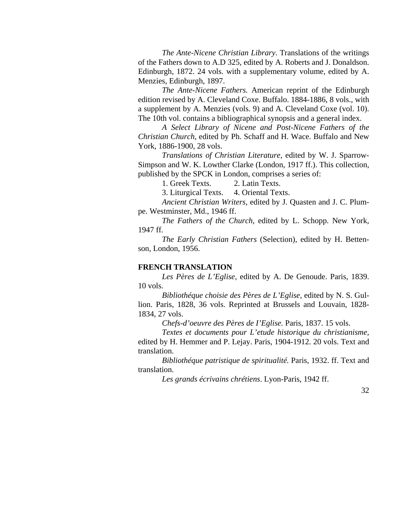*The Ante-Nicene Christian Library*. Translations of the writings of the Fathers down to A.D 325, edited by A. Roberts and J. Donaldson. Edinburgh, 1872. 24 vols. with a supplementary volume, edited by A. Menzies, Edinburgh, 1897.

*The Ante-Nicene Fathers.* American reprint of the Edinburgh edition revised by A. Cleveland Coxe. Buffalo. 1884-1886, 8 vols., with a supplement by A. Menzies (vols. 9) and A. Cleveland Coxe (vol. 10). The 10th vol. contains a bibliographical synopsis and a general index.

*A Select Library of Nicene and Post-Nicene Fathers of the Christian Church*, edited by Ph. Schaff and H. Wace. Buffalo and New York, 1886-1900, 28 vols.

*Translations of Christian Literature*, edited by W. J. Sparrow-Simpson and W. K. Lowther Clarke (London, 1917 ff.). This collection, published by the SPCK in London, comprises a series of:

1. Greek Texts. 2. Latin Texts.

3. Liturgical Texts. 4. Oriental Texts.

*Ancient Christian Writers*, edited by J. Quasten and J. C. Plumpe. Westminster, Md., 1946 ff.

*The Fathers of the Church*, edited by L. Schopp. New York, 1947 ff.

*The Early Christian Fathers* (Selection), edited by H. Bettenson, London, 1956.

#### **FRENCH TRANSLATION**

*Les Pères de L'Eglise*, edited by A. De Genoude. Paris, 1839. 10 vols.

*Bibliothéque choisie des Pères de L'Eglise,* edited by N. S. Gullion. Paris, 1828, 36 vols. Reprinted at Brussels and Louvain, 1828- 1834, 27 vols.

*Chefs-d'oeuvre des Pères de I'Eglise.* Paris, 1837. 15 vols.

*Textes et documents pour L'etude historique du christianisme,* edited by H. Hemmer and P. Lejay. Paris, 1904-1912. 20 vols. Text and translation.

*Bibliothéque patristique de spiritualité.* Paris, 1932. ff. Text and translation.

*Les grands écrivains chrétiens*. Lyon-Paris, 1942 ff.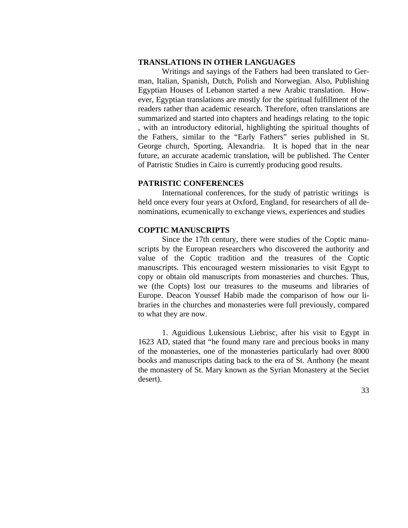#### **TRANSLATIONS IN OTHER LANGUAGES**

 Writings and sayings of the Fathers had been translated to German, Italian, Spanish, Dutch, Polish and Norwegian. Also, Publishing Egyptian Houses of Lebanon started a new Arabic translation. However, Egyptian translations are mostly for the spiritual fulfillment of the readers rather than academic research. Therefore, often translations are summarized and started into chapters and headings relating to the topic , with an introductory editorial, highlighting the spiritual thoughts of the Fathers, similar to the "Early Fathers" series published in St. George church, Sporting, Alexandria. It is hoped that in the near future, an accurate academic translation, will be published. The Center of Patristic Studies in Cairo is currently producing good results.

#### **PATRISTIC CONFERENCES**

 International conferences, for the study of patristic writings is held once every four years at Oxford, England, for researchers of all denominations, ecumenically to exchange views, experiences and studies

#### **COPTIC MANUSCRIPTS**

 Since the 17th century, there were studies of the Coptic manuscripts by the European researchers who discovered the authority and value of the Coptic tradition and the treasures of the Coptic manuscripts. This encouraged western missionaries to visit Egypt to copy or obtain old manuscripts from monasteries and churches. Thus, we (the Copts) lost our treasures to the museums and libraries of Europe. Deacon Youssef Habib made the comparison of how our libraries in the churches and monasteries were full previously, compared to what they are now.

 1. Aguidious Lukensious Liebrisc, after his visit to Egypt in 1623 AD, stated that "he found many rare and precious books in many of the monasteries, one of the monasteries particularly had over 8000 books and manuscripts dating back to the era of St. Anthony (he meant the monastery of St. Mary known as the Syrian Monastery at the Seciet desert).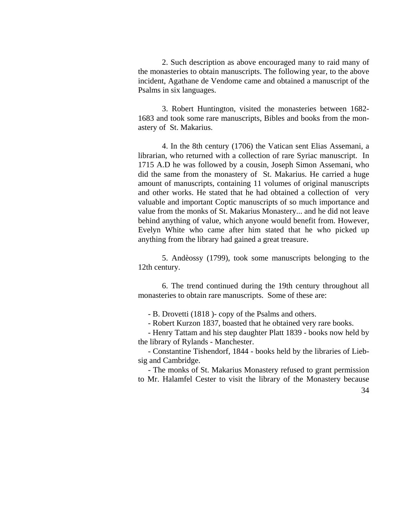2. Such description as above encouraged many to raid many of the monasteries to obtain manuscripts. The following year, to the above incident, Agathane de Vendome came and obtained a manuscript of the Psalms in six languages.

 3. Robert Huntington, visited the monasteries between 1682- 1683 and took some rare manuscripts, Bibles and books from the monastery of St. Makarius.

 4. In the 8th century (1706) the Vatican sent Elias Assemani, a librarian, who returned with a collection of rare Syriac manuscript. In 1715 A.D he was followed by a cousin, Joseph Simon Assemani, who did the same from the monastery of St. Makarius. He carried a huge amount of manuscripts, containing 11 volumes of original manuscripts and other works. He stated that he had obtained a collection of very valuable and important Coptic manuscripts of so much importance and value from the monks of St. Makarius Monastery... and he did not leave behind anything of value, which anyone would benefit from. However, Evelyn White who came after him stated that he who picked up anything from the library had gained a great treasure.

 5. Andèossy (1799), took some manuscripts belonging to the 12th century.

 6. The trend continued during the 19th century throughout all monasteries to obtain rare manuscripts. Some of these are:

- B. Drovetti (1818 )- copy of the Psalms and others.

- Robert Kurzon 1837, boasted that he obtained very rare books.

 - Henry Tattam and his step daughter Platt 1839 - books now held by the library of Rylands - Manchester.

 - Constantine Tishendorf, 1844 - books held by the libraries of Liebsig and Cambridge.

 - The monks of St. Makarius Monastery refused to grant permission to Mr. Halamfel Cester to visit the library of the Monastery because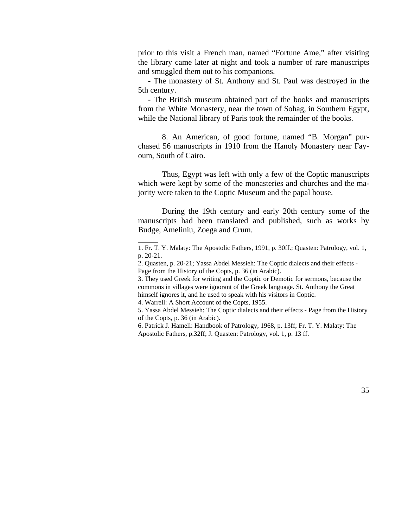prior to this visit a French man, named "Fortune Ame," after visiting the library came later at night and took a number of rare manuscripts and smuggled them out to his companions.

 - The monastery of St. Anthony and St. Paul was destroyed in the 5th century.

 - The British museum obtained part of the books and manuscripts from the White Monastery, near the town of Sohag, in Southern Egypt, while the National library of Paris took the remainder of the books.

 8. An American, of good fortune, named "B. Morgan" purchased 56 manuscripts in 1910 from the Hanoly Monastery near Fayoum, South of Cairo.

 Thus, Egypt was left with only a few of the Coptic manuscripts which were kept by some of the monasteries and churches and the majority were taken to the Coptic Museum and the papal house.

 During the 19th century and early 20th century some of the manuscripts had been translated and published, such as works by Budge, Ameliniu, Zoega and Crum.

4. Warrell: A Short Account of the Copts, 1955.

 $\overline{\phantom{a}}$ 

5. Yassa Abdel Messieh: The Coptic dialects and their effects - Page from the History of the Copts, p. 36 (in Arabic).

6. Patrick J. Hamell: Handbook of Patrology, 1968, p. 13ff; Fr. T. Y. Malaty: The Apostolic Fathers, p.32ff; J. Quasten: Patrology, vol. 1, p. 13 ff.

<sup>1.</sup> Fr. T. Y. Malaty: The Apostolic Fathers, 1991, p. 30ff.; Quasten: Patrology, vol. 1, p. 20-21.

<sup>2.</sup> Quasten, p. 20-21; Yassa Abdel Messieh: The Coptic dialects and their effects - Page from the History of the Copts, p. 36 (in Arabic).

<sup>3.</sup> They used Greek for writing and the Coptic or Demotic for sermons, because the commons in villages were ignorant of the Greek language. St. Anthony the Great himself ignores it, and he used to speak with his visitors in Coptic.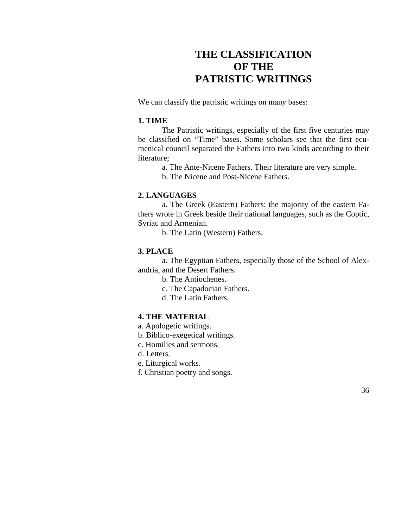## **THE CLASSIFICATION OF THE PATRISTIC WRITINGS**

We can classify the patristic writings on many bases:

#### **1. TIME**

 The Patristic writings, especially of the first five centuries may be classified on "Time" bases. Some scholars see that the first ecumenical council separated the Fathers into two kinds according to their literature;

a. The Ante-Nicene Fathers. Their literature are very simple.

b. The Nicene and Post-Nicene Fathers.

#### **2. LANGUAGES**

 a. The Greek (Eastern) Fathers: the majority of the eastern Fathers wrote in Greek beside their national languages, such as the Coptic, Syriac and Armenian.

b. The Latin (Western) Fathers.

### **3. PLACE**

 a. The Egyptian Fathers, especially those of the School of Alexandria, and the Desert Fathers.

b. The Antiochenes.

c. The Capadocian Fathers.

d. The Latin Fathers.

### **4. THE MATERIAL**

a. Apologetic writings.

b. Biblico-exegetical writings.

- c. Homilies and sermons.
- d. Letters.
- e. Liturgical works.
- f. Christian poetry and songs.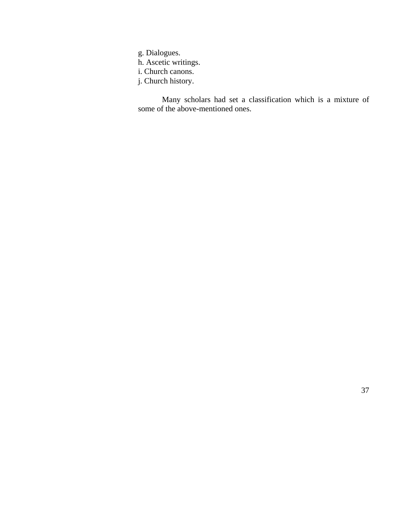- g. Dialogues.
- h. Ascetic writings.
- i. Church canons.
- j. Church history.

 Many scholars had set a classification which is a mixture of some of the above-mentioned ones.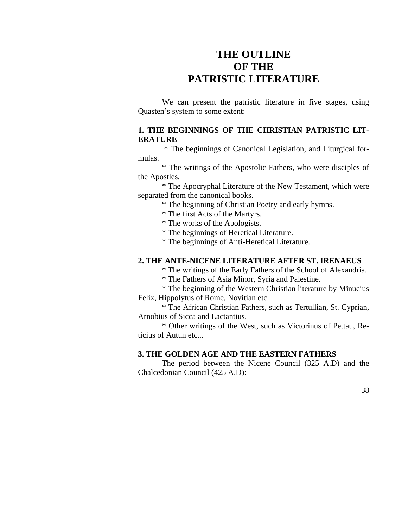## **THE OUTLINE OF THE PATRISTIC LITERATURE**

 We can present the patristic literature in five stages, using Quasten's system to some extent:

#### **1. THE BEGINNINGS OF THE CHRISTIAN PATRISTIC LIT-ERATURE**

 \* The beginnings of Canonical Legislation, and Liturgical formulas.

 \* The writings of the Apostolic Fathers, who were disciples of the Apostles.

 \* The Apocryphal Literature of the New Testament, which were separated from the canonical books.

\* The beginning of Christian Poetry and early hymns.

\* The first Acts of the Martyrs.

\* The works of the Apologists.

\* The beginnings of Heretical Literature.

\* The beginnings of Anti-Heretical Literature.

#### **2. THE ANTE-NICENE LITERATURE AFTER ST. IRENAEUS**

\* The writings of the Early Fathers of the School of Alexandria.

\* The Fathers of Asia Minor, Syria and Palestine.

 \* The beginning of the Western Christian literature by Minucius Felix, Hippolytus of Rome, Novitian etc..

 \* The African Christian Fathers, such as Tertullian, St. Cyprian, Arnobius of Sicca and Lactantius.

 \* Other writings of the West, such as Victorinus of Pettau, Reticius of Autun etc...

#### **3. THE GOLDEN AGE AND THE EASTERN FATHERS**

The period between the Nicene Council (325 A.D) and the Chalcedonian Council (425 A.D):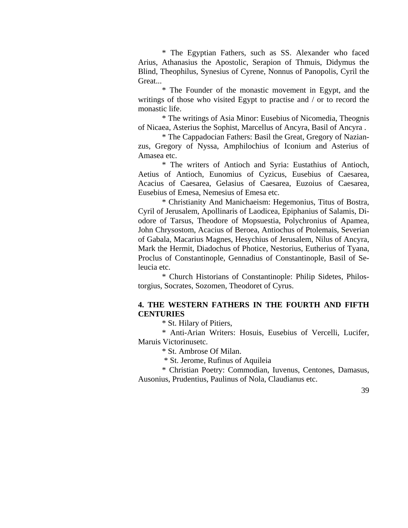\* The Egyptian Fathers, such as SS. Alexander who faced Arius, Athanasius the Apostolic, Serapion of Thmuis, Didymus the Blind, Theophilus, Synesius of Cyrene, Nonnus of Panopolis, Cyril the Great...

 \* The Founder of the monastic movement in Egypt, and the writings of those who visited Egypt to practise and / or to record the monastic life.

 \* The writings of Asia Minor: Eusebius of Nicomedia, Theognis of Nicaea, Asterius the Sophist, Marcellus of Ancyra, Basil of Ancyra .

 \* The Cappadocian Fathers: Basil the Great, Gregory of Nazianzus, Gregory of Nyssa, Amphilochius of Iconium and Asterius of Amasea etc.

 \* The writers of Antioch and Syria: Eustathius of Antioch, Aetius of Antioch, Eunomius of Cyzicus, Eusebius of Caesarea, Acacius of Caesarea, Gelasius of Caesarea, Euzoius of Caesarea, Eusebius of Emesa, Nemesius of Emesa etc.

 \* Christianity And Manichaeism: Hegemonius, Titus of Bostra, Cyril of Jerusalem, Apollinaris of Laodicea, Epiphanius of Salamis, Diodore of Tarsus, Theodore of Mopsuestia, Polychronius of Apamea, John Chrysostom, Acacius of Beroea, Antiochus of Ptolemais, Severian of Gabala, Macarius Magnes, Hesychius of Jerusalem, Nilus of Ancyra, Mark the Hermit, Diadochus of Photice, Nestorius, Eutherius of Tyana, Proclus of Constantinople, Gennadius of Constantinople, Basil of Seleucia etc.

 \* Church Historians of Constantinople: Philip Sidetes, Philostorgius, Socrates, Sozomen, Theodoret of Cyrus.

#### **4. THE WESTERN FATHERS IN THE FOURTH AND FIFTH CENTURIES**

\* St. Hilary of Pitiers,

 \* Anti-Arian Writers: Hosuis, Eusebius of Vercelli, Lucifer, Maruis Victorinusetc.

\* St. Ambrose Of Milan.

\* St. Jerome, Rufinus of Aquileia

 \* Christian Poetry: Commodian, Iuvenus, Centones, Damasus, Ausonius, Prudentius, Paulinus of Nola, Claudianus etc.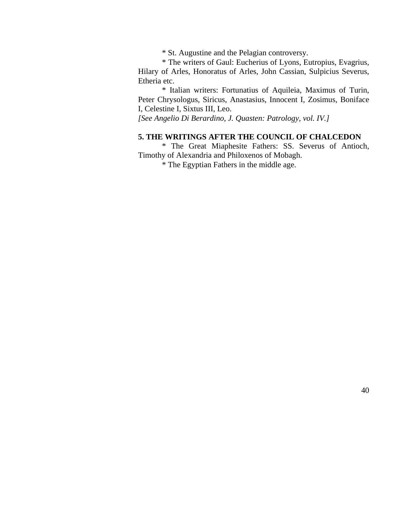\* St. Augustine and the Pelagian controversy.

 \* The writers of Gaul: Eucherius of Lyons, Eutropius, Evagrius, Hilary of Arles, Honoratus of Arles, John Cassian, Sulpicius Severus, Etheria etc.

 \* Italian writers: Fortunatius of Aquileia, Maximus of Turin, Peter Chrysologus, Siricus, Anastasius, Innocent I, Zosimus, Boniface I, Celestine I, Sixtus III, Leo.

*[See Angelio Di Berardino, J. Quasten: Patrology, vol. IV.]* 

#### **5. THE WRITINGS AFTER THE COUNCIL OF CHALCEDON**

 \* The Great Miaphesite Fathers: SS. Severus of Antioch, Timothy of Alexandria and Philoxenos of Mobagh.

\* The Egyptian Fathers in the middle age.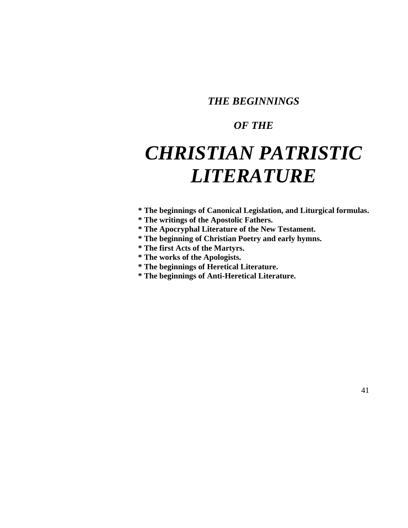## *THE BEGINNINGS*

## *OF THE*

# *CHRISTIAN PATRISTIC LITERATURE*

**\* The beginnings of Canonical Legislation, and Liturgical formulas.** 

- **\* The writings of the Apostolic Fathers.**
- **\* The Apocryphal Literature of the New Testament.**
- **\* The beginning of Christian Poetry and early hymns.**
- **\* The first Acts of the Martyrs.**
- **\* The works of the Apologists.**
- **\* The beginnings of Heretical Literature.**
- **\* The beginnings of Anti-Heretical Literature.**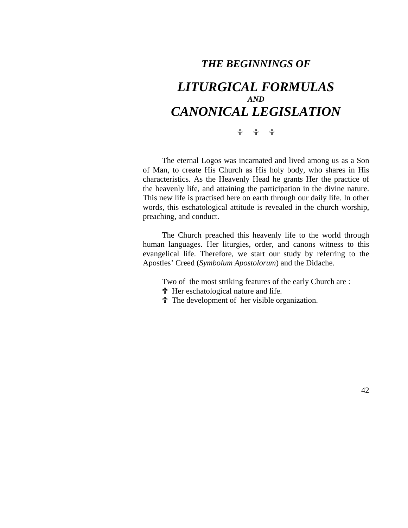#### *THE BEGINNINGS OF*

## *LITURGICAL FORMULAS AND CANONICAL LEGISLATION*

**슈** - 슈 - 슈

 The eternal Logos was incarnated and lived among us as a Son of Man, to create His Church as His holy body, who shares in His characteristics. As the Heavenly Head he grants Her the practice of the heavenly life, and attaining the participation in the divine nature. This new life is practised here on earth through our daily life. In other words, this eschatological attitude is revealed in the church worship, preaching, and conduct.

 The Church preached this heavenly life to the world through human languages. Her liturgies, order, and canons witness to this evangelical life. Therefore, we start our study by referring to the Apostles' Creed (*Symbolum Apostolorum*) and the Didache.

Two of the most striking features of the early Church are :

- < Her eschatological nature and life.
- < The development of her visible organization.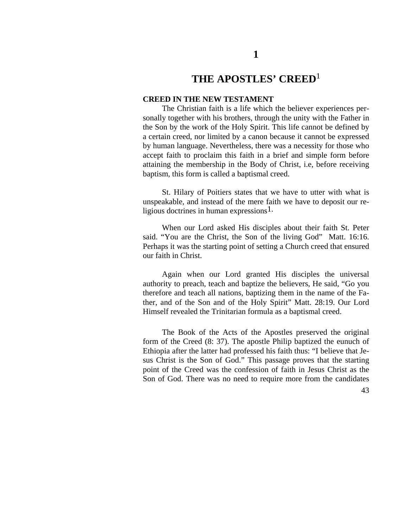**1** 

## **THE APOSTLES' CREED**<sup>1</sup>

#### **CREED IN THE NEW TESTAMENT**

The Christian faith is a life which the believer experiences personally together with his brothers, through the unity with the Father in the Son by the work of the Holy Spirit. This life cannot be defined by a certain creed, nor limited by a canon because it cannot be expressed by human language. Nevertheless, there was a necessity for those who accept faith to proclaim this faith in a brief and simple form before attaining the membership in the Body of Christ, i.e, before receiving baptism, this form is called a baptismal creed.

 St. Hilary of Poitiers states that we have to utter with what is unspeakable, and instead of the mere faith we have to deposit our religious doctrines in human expressions<sup>1.</sup>

 When our Lord asked His disciples about their faith St. Peter said. "You are the Christ, the Son of the living God" Matt. 16:16. Perhaps it was the starting point of setting a Church creed that ensured our faith in Christ.

 Again when our Lord granted His disciples the universal authority to preach, teach and baptize the believers, He said, "Go you therefore and teach all nations, baptizing them in the name of the Father, and of the Son and of the Holy Spirit" Matt. 28:19. Our Lord Himself revealed the Trinitarian formula as a baptismal creed.

 The Book of the Acts of the Apostles preserved the original form of the Creed (8: 37). The apostle Philip baptized the eunuch of Ethiopia after the latter had professed his faith thus: "I believe that Jesus Christ is the Son of God." This passage proves that the starting point of the Creed was the confession of faith in Jesus Christ as the Son of God. There was no need to require more from the candidates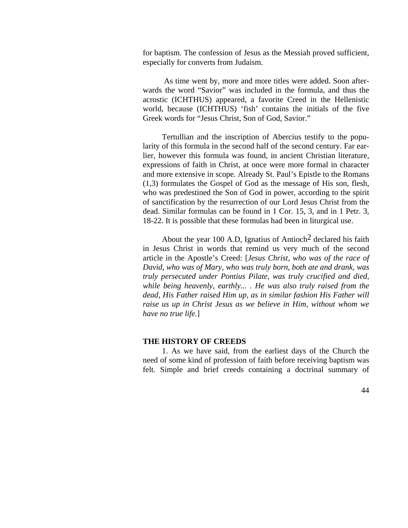for baptism. The confession of Jesus as the Messiah proved sufficient, especially for converts from Judaism.

 As time went by, more and more titles were added. Soon afterwards the word "Savior" was included in the formula, and thus the acrostic (ICHTHUS) appeared, a favorite Creed in the Hellenistic world, because (ICHTHUS) 'fish' contains the initials of the five Greek words for "Jesus Christ, Son of God, Savior."

 Tertullian and the inscription of Abercius testify to the popularity of this formula in the second half of the second century. Far earlier, however this formula was found, in ancient Christian literature, expressions of faith in Christ, at once were more formal in character and more extensive in scope. Already St. Paul's Epistle to the Romans (1,3) formulates the Gospel of God as the message of His son, flesh, who was predestined the Son of God in power, according to the spirit of sanctification by the resurrection of our Lord Jesus Christ from the dead. Similar formulas can be found in 1 Cor. 15, 3, and in 1 Petr. 3, 18-22. It is possible that these formulas had been in liturgical use.

 About the year 100 A.D, Ignatius of Antioch2 declared his faith in Jesus Christ in words that remind us very much of the second article in the Apostle's Creed: [*Jesus Christ, who was of the race of David, who was of Mary, who was truly born, both ate and drank, was truly persecuted under Pontius Pilate, was truly crucified and died, while being heavenly, earthly... . He was also truly raised from the dead, His Father raised Him up, as in similar fashion His Father will raise us up in Christ Jesus as we believe in Him, without whom we have no true life.*]

#### **THE HISTORY OF CREEDS**

 1. As we have said, from the earliest days of the Church the need of some kind of profession of faith before receiving baptism was felt. Simple and brief creeds containing a doctrinal summary of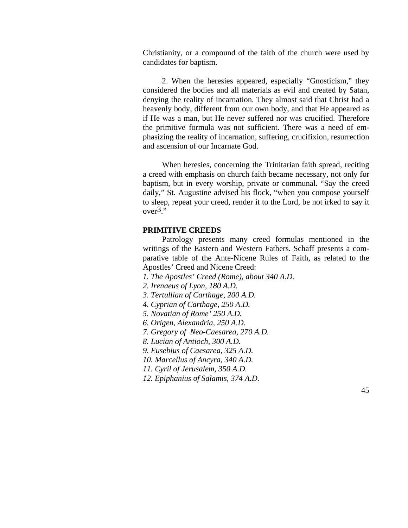Christianity, or a compound of the faith of the church were used by candidates for baptism.

 2. When the heresies appeared, especially "Gnosticism," they considered the bodies and all materials as evil and created by Satan, denying the reality of incarnation. They almost said that Christ had a heavenly body, different from our own body, and that He appeared as if He was a man, but He never suffered nor was crucified. Therefore the primitive formula was not sufficient. There was a need of emphasizing the reality of incarnation, suffering, crucifixion, resurrection and ascension of our Incarnate God.

 When heresies, concerning the Trinitarian faith spread, reciting a creed with emphasis on church faith became necessary, not only for baptism, but in every worship, private or communal. "Say the creed daily," St. Augustine advised his flock, "when you compose yourself to sleep, repeat your creed, render it to the Lord, be not irked to say it  $over^3$ ."

#### **PRIMITIVE CREEDS**

 Patrology presents many creed formulas mentioned in the writings of the Eastern and Western Fathers. Schaff presents a comparative table of the Ante-Nicene Rules of Faith, as related to the Apostles' Creed and Nicene Creed:

- *1. The Apostles' Creed (Rome), about 340 A.D.*
- *2. Irenaeus of Lyon, 180 A.D.*
- *3. Tertullian of Carthage, 200 A.D.*
- *4. Cyprian of Carthage, 250 A.D.*
- *5. Novatian of Rome' 250 A.D.*
- *6. Origen, Alexandria, 250 A.D.*
- *7. Gregory of Neo-Caesarea, 270 A.D.*
- *8. Lucian of Antioch, 300 A.D.*
- *9. Eusebius of Caesarea, 325 A.D.*
- *10. Marcellus of Ancyra, 340 A.D.*
- *11. Cyril of Jerusalem, 350 A.D.*
- *12. Epiphanius of Salamis, 374 A.D.*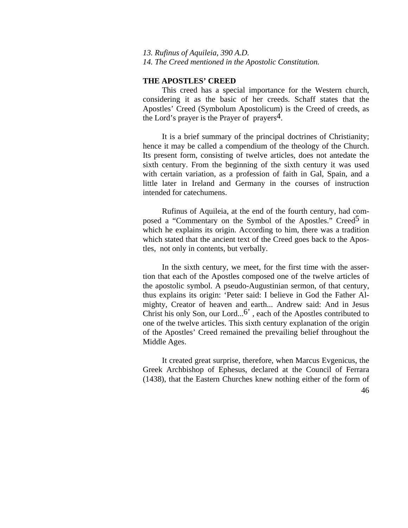*13. Rufinus of Aquileia, 390 A.D. 14. The Creed mentioned in the Apostolic Constitution.* 

#### **THE APOSTLES' CREED**

 This creed has a special importance for the Western church, considering it as the basic of her creeds. Schaff states that the Apostles' Creed (Symbolum Apostolicum) is the Creed of creeds, as the Lord's prayer is the Prayer of prayers4.

 It is a brief summary of the principal doctrines of Christianity; hence it may be called a compendium of the theology of the Church. Its present form, consisting of twelve articles, does not antedate the sixth century. From the beginning of the sixth century it was used with certain variation, as a profession of faith in Gal, Spain, and a little later in Ireland and Germany in the courses of instruction intended for catechumens.

 Rufinus of Aquileia, at the end of the fourth century, had composed a "Commentary on the Symbol of the Apostles." Creed<sup>5</sup> in which he explains its origin. According to him, there was a tradition which stated that the ancient text of the Creed goes back to the Apostles, not only in contents, but verbally.

 In the sixth century, we meet, for the first time with the assertion that each of the Apostles composed one of the twelve articles of the apostolic symbol. A pseudo-Augustinian sermon, of that century, thus explains its origin: 'Peter said: I believe in God the Father Almighty, Creator of heaven and earth... Andrew said: And in Jesus Christ his only Son, our Lord...6' , each of the Apostles contributed to one of the twelve articles. This sixth century explanation of the origin of the Apostles' Creed remained the prevailing belief throughout the Middle Ages.

 It created great surprise, therefore, when Marcus Evgenicus, the Greek Archbishop of Ephesus, declared at the Council of Ferrara (1438), that the Eastern Churches knew nothing either of the form of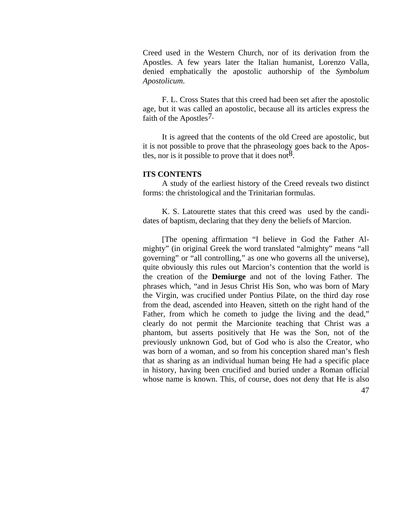Creed used in the Western Church, nor of its derivation from the Apostles. A few years later the Italian humanist, Lorenzo Valla, denied emphatically the apostolic authorship of the *Symbolum Apostolicum*.

 F. L. Cross States that this creed had been set after the apostolic age, but it was called an apostolic, because all its articles express the faith of the Apostles7.

 It is agreed that the contents of the old Creed are apostolic, but it is not possible to prove that the phraseology goes back to the Apostles, nor is it possible to prove that it does not<sup>8</sup>.

#### **ITS CONTENTS**

 A study of the earliest history of the Creed reveals two distinct forms: the christological and the Trinitarian formulas.

 K. S. Latourette states that this creed was used by the candidates of baptism, declaring that they deny the beliefs of Marcion.

 [The opening affirmation "I believe in God the Father Almighty" (in original Greek the word translated "almighty" means "all governing" or "all controlling," as one who governs all the universe), quite obviously this rules out Marcion's contention that the world is the creation of the **Demiurge** and not of the loving Father. The phrases which, "and in Jesus Christ His Son, who was born of Mary the Virgin, was crucified under Pontius Pilate, on the third day rose from the dead, ascended into Heaven, sitteth on the right hand of the Father, from which he cometh to judge the living and the dead," clearly do not permit the Marcionite teaching that Christ was a phantom, but asserts positively that He was the Son, not of the previously unknown God, but of God who is also the Creator, who was born of a woman, and so from his conception shared man's flesh that as sharing as an individual human being He had a specific place in history, having been crucified and buried under a Roman official whose name is known. This, of course, does not deny that He is also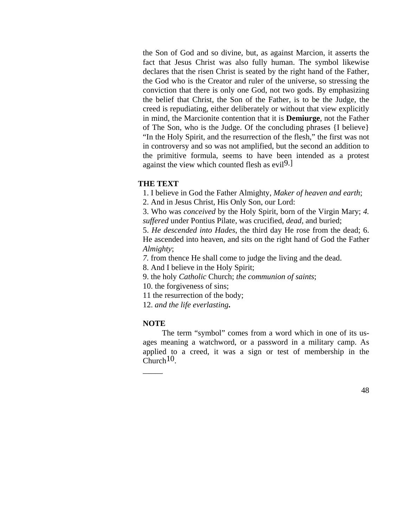the Son of God and so divine, but, as against Marcion, it asserts the fact that Jesus Christ was also fully human. The symbol likewise declares that the risen Christ is seated by the right hand of the Father, the God who is the Creator and ruler of the universe, so stressing the conviction that there is only one God, not two gods. By emphasizing the belief that Christ, the Son of the Father, is to be the Judge, the creed is repudiating, either deliberately or without that view explicitly in mind, the Marcionite contention that it is **Demiurge**, not the Father of The Son, who is the Judge. Of the concluding phrases {I believe} "In the Holy Spirit, and the resurrection of the flesh," the first was not in controversy and so was not amplified, but the second an addition to the primitive formula, seems to have been intended as a protest against the view which counted flesh as evil9.]

#### **THE TEXT**

1. I believe in God the Father Almighty, *Maker of heaven and earth*;

2. And in Jesus Christ, His Only Son, our Lord:

3. Who was *conceived* by the Holy Spirit, born of the Virgin Mary; *4. suffered* under Pontius Pilate, was crucified, *dead*, and buried;

5. *He descended into Hades*, the third day He rose from the dead; 6. He ascended into heaven, and sits on the right hand of God the Father *Almighty*;

*7.* from thence He shall come to judge the living and the dead.

8. And I believe in the Holy Spirit;

9. the holy *Catholic* Church; *the communion of saints*;

10. the forgiveness of sins;

11 the resurrection of the body;

12. *and the life everlasting***.** 

#### **NOTE**

 $\overline{\phantom{a}}$ 

 The term "symbol" comes from a word which in one of its usages meaning a watchword, or a password in a military camp. As applied to a creed, it was a sign or test of membership in the  $Church<sup>10</sup>$ .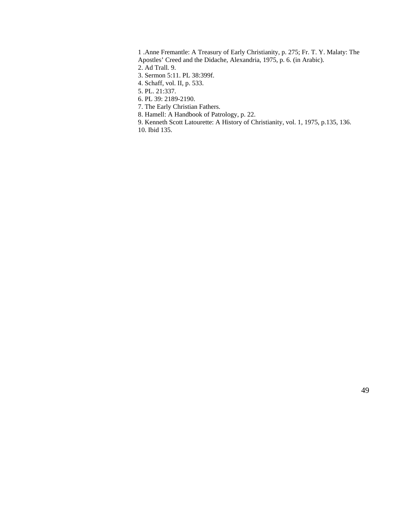1 .Anne Fremantle: A Treasury of Early Christianity, p. 275; Fr. T. Y. Malaty: The Apostles' Creed and the Didache, Alexandria, 1975, p. 6. (in Arabic).

- 2. Ad Trall. 9.
- 3. Sermon 5:11. PL 38:399f.
- 4. Schaff, vol. II, p. 533.
- 5. PL. 21:337.
- 6. PL 39: 2189-2190.
- 7. The Early Christian Fathers.
- 8. Hamell: A Handbook of Patrology, p. 22.
- 9. Kenneth Scott Latourette: A History of Christianity, vol. 1, 1975, p.135, 136.
- 10. Ibid 135.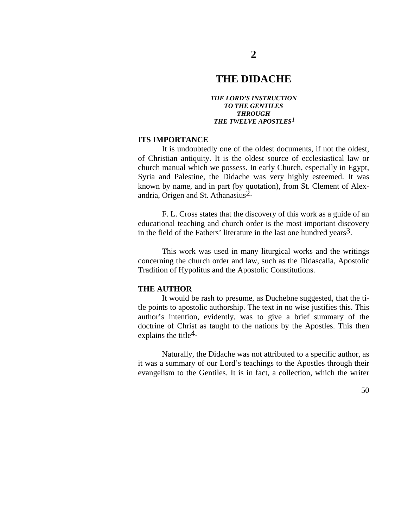#### **THE DIDACHE**

#### *THE LORD'S INSTRUCTION TO THE GENTILES THROUGH THE TWELVE APOSTLES1*

#### **ITS IMPORTANCE**

 It is undoubtedly one of the oldest documents, if not the oldest, of Christian antiquity. It is the oldest source of ecclesiastical law or church manual which we possess. In early Church, especially in Egypt, Syria and Palestine, the Didache was very highly esteemed. It was known by name, and in part (by quotation), from St. Clement of Alexandria, Origen and St. Athanasius2.

 F. L. Cross states that the discovery of this work as a guide of an educational teaching and church order is the most important discovery in the field of the Fathers' literature in the last one hundred years<sup>3</sup>.

 This work was used in many liturgical works and the writings concerning the church order and law, such as the Didascalia, Apostolic Tradition of Hypolitus and the Apostolic Constitutions.

#### **THE AUTHOR**

 It would be rash to presume, as Duchebne suggested, that the title points to apostolic authorship. The text in no wise justifies this. This author's intention, evidently, was to give a brief summary of the doctrine of Christ as taught to the nations by the Apostles. This then explains the title<sup>4.</sup>

 Naturally, the Didache was not attributed to a specific author, as it was a summary of our Lord's teachings to the Apostles through their evangelism to the Gentiles. It is in fact, a collection, which the writer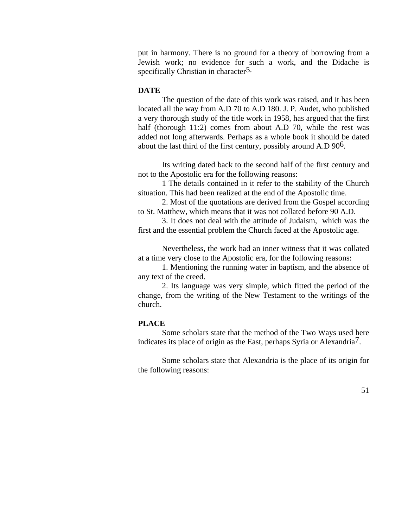put in harmony. There is no ground for a theory of borrowing from a Jewish work; no evidence for such a work, and the Didache is specifically Christian in character<sup>5.</sup>

#### **DATE**

 The question of the date of this work was raised, and it has been located all the way from A.D 70 to A.D 180. J. P. Audet, who published a very thorough study of the title work in 1958, has argued that the first half (thorough 11:2) comes from about A.D 70, while the rest was added not long afterwards. Perhaps as a whole book it should be dated about the last third of the first century, possibly around A.D 906.

 Its writing dated back to the second half of the first century and not to the Apostolic era for the following reasons:

 1 The details contained in it refer to the stability of the Church situation. This had been realized at the end of the Apostolic time.

 2. Most of the quotations are derived from the Gospel according to St. Matthew, which means that it was not collated before 90 A.D.

 3. It does not deal with the attitude of Judaism, which was the first and the essential problem the Church faced at the Apostolic age.

 Nevertheless, the work had an inner witness that it was collated at a time very close to the Apostolic era, for the following reasons:

 1. Mentioning the running water in baptism, and the absence of any text of the creed.

 2. Its language was very simple, which fitted the period of the change, from the writing of the New Testament to the writings of the church.

#### **PLACE**

 Some scholars state that the method of the Two Ways used here indicates its place of origin as the East, perhaps Syria or Alexandria<sup>7</sup>.

 Some scholars state that Alexandria is the place of its origin for the following reasons: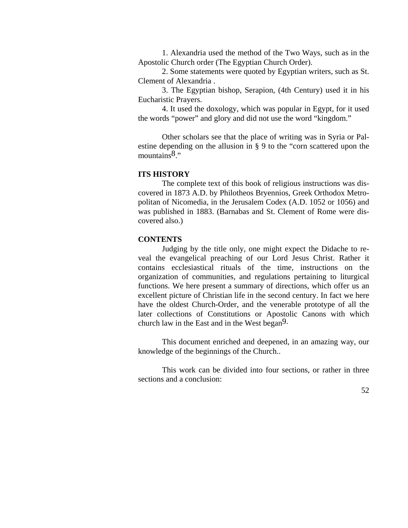1. Alexandria used the method of the Two Ways, such as in the Apostolic Church order (The Egyptian Church Order).

 2. Some statements were quoted by Egyptian writers, such as St. Clement of Alexandria .

 3. The Egyptian bishop, Serapion, (4th Century) used it in his Eucharistic Prayers.

 4. It used the doxology, which was popular in Egypt, for it used the words "power" and glory and did not use the word "kingdom."

 Other scholars see that the place of writing was in Syria or Palestine depending on the allusion in § 9 to the "corn scattered upon the  $m$ ountains $8$ "

#### **ITS HISTORY**

The complete text of this book of religious instructions was discovered in 1873 A.D. by Philotheos Bryennios, Greek Orthodox Metropolitan of Nicomedia, in the Jerusalem Codex (A.D. 1052 or 1056) and was published in 1883. (Barnabas and St. Clement of Rome were discovered also.)

#### **CONTENTS**

 Judging by the title only, one might expect the Didache to reveal the evangelical preaching of our Lord Jesus Christ. Rather it contains ecclesiastical rituals of the time, instructions on the organization of communities, and regulations pertaining to liturgical functions. We here present a summary of directions, which offer us an excellent picture of Christian life in the second century. In fact we here have the oldest Church-Order, and the venerable prototype of all the later collections of Constitutions or Apostolic Canons with which church law in the East and in the West began<sup>9.</sup>

 This document enriched and deepened, in an amazing way, our knowledge of the beginnings of the Church..

 This work can be divided into four sections, or rather in three sections and a conclusion: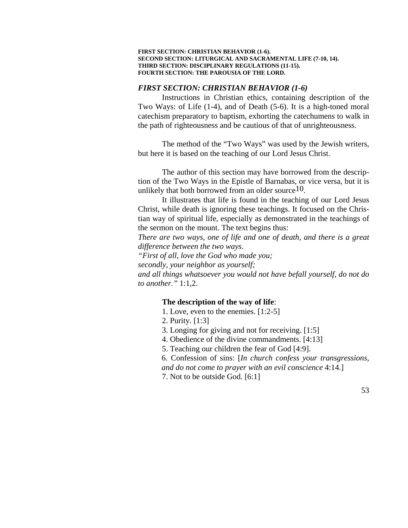#### **FIRST SECTION: CHRISTIAN BEHAVIOR (1-6). SECOND SECTION: LITURGICAL AND SACRAMENTAL LIFE (7-10, 14). THIRD SECTION: DISCIPLINARY REGULATIONS (11-15). FOURTH SECTION: THE PAROUSIA OF THE LORD.**

#### *FIRST SECTION: CHRISTIAN BEHAVIOR (1-6)*

Instructions in Christian ethics, containing description of the Two Ways: of Life (1-4), and of Death (5-6). It is a high-toned moral catechism preparatory to baptism, exhorting the catechumens to walk in the path of righteousness and be cautious of that of unrighteousness.

 The method of the "Two Ways" was used by the Jewish writers, but here it is based on the teaching of our Lord Jesus Christ.

 The author of this section may have borrowed from the description of the Two Ways in the Epistle of Barnabas, or vice versa, but it is unlikely that both borrowed from an older source  $10$ .

 It illustrates that life is found in the teaching of our Lord Jesus Christ, while death is ignoring these teachings. It focused on the Christian way of spiritual life, especially as demonstrated in the teachings of the sermon on the mount. The text begins thus:

*There are two ways, one of life and one of death, and there is a great difference between the two ways.* 

*"First of all, love the God who made you; secondly, your neighbor as yourself; and all things whatsoever you would not have befall yourself, do not do to another."* 1:1,2.

#### **The description of the way of life**:

- 1. Love, even to the enemies. [1:2-5]
- 2. Purity. [1:3]
- 3. Longing for giving and not for receiving. [1:5]
- 4. Obedience of the divine commandments. [4:13]
- 5. Teaching our children the fear of God [4:9].

 6. Confession of sins: [*In church confess your transgressions, and do not come to prayer with an evil conscience* 4:14.] 7. Not to be outside God. [6:1]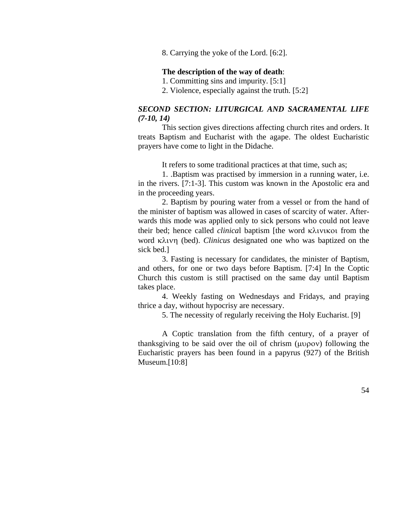8. Carrying the yoke of the Lord. [6:2].

#### **The description of the way of death**:

1. Committing sins and impurity. [5:1]

2. Violence, especially against the truth. [5:2]

#### *SECOND SECTION: LITURGICAL AND SACRAMENTAL LIFE (7-10, 14)*

 This section gives directions affecting church rites and orders. It treats Baptism and Eucharist with the agape. The oldest Eucharistic prayers have come to light in the Didache.

It refers to some traditional practices at that time, such as;

 1. .Baptism was practised by immersion in a running water, i.e. in the rivers. [7:1-3]. This custom was known in the Apostolic era and in the proceeding years.

 2. Baptism by pouring water from a vessel or from the hand of the minister of baptism was allowed in cases of scarcity of water. Afterwards this mode was applied only to sick persons who could not leave their bed; hence called *clinica*l baptism [the word κλινικοι from the word κλινη (bed). *Clinicus* designated one who was baptized on the sick bed.]

 3. Fasting is necessary for candidates, the minister of Baptism, and others, for one or two days before Baptism. [7:4] In the Coptic Church this custom is still practised on the same day until Baptism takes place.

 4. Weekly fasting on Wednesdays and Fridays, and praying thrice a day, without hypocrisy are necessary.

5. The necessity of regularly receiving the Holy Eucharist. [9]

 A Coptic translation from the fifth century, of a prayer of thanksgiving to be said over the oil of chrism (µυρον) following the Eucharistic prayers has been found in a papyrus (927) of the British Museum.<sup>[10:8]</sup>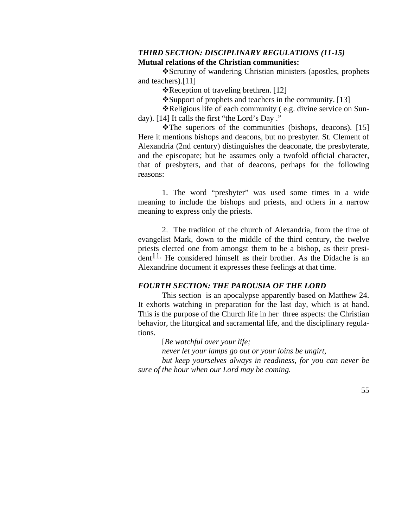#### *THIRD SECTION: DISCIPLINARY REGULATIONS (11-15)*  **Mutual relations of the Christian communities:**

\* Scrutiny of wandering Christian ministers (apostles, prophets and teachers).[11]

\*Reception of traveling brethren. [12]

\*Support of prophets and teachers in the community. [13]

\*Religious life of each community (e.g. divine service on Sunday). [14] It calls the first "the Lord's Day ."

 $\cdot$ The superiors of the communities (bishops, deacons). [15] Here it mentions bishops and deacons, but no presbyter. St. Clement of Alexandria (2nd century) distinguishes the deaconate, the presbyterate, and the episcopate; but he assumes only a twofold official character, that of presbyters, and that of deacons, perhaps for the following reasons:

 1. The word "presbyter" was used some times in a wide meaning to include the bishops and priests, and others in a narrow meaning to express only the priests.

 2. The tradition of the church of Alexandria, from the time of evangelist Mark, down to the middle of the third century, the twelve priests elected one from amongst them to be a bishop, as their presi- $\delta$ dent<sup>11.</sup> He considered himself as their brother. As the Didache is an Alexandrine document it expresses these feelings at that time.

#### *FOURTH SECTION: THE PAROUSIA OF THE LORD*

 This section is an apocalypse apparently based on Matthew 24. It exhorts watching in preparation for the last day, which is at hand. This is the purpose of the Church life in her three aspects: the Christian behavior, the liturgical and sacramental life, and the disciplinary regulations.

 [*Be watchful over your life; never let your lamps go out or your loins be ungirt, but keep yourselves always in readiness, for you can never be sure of the hour when our Lord may be coming.*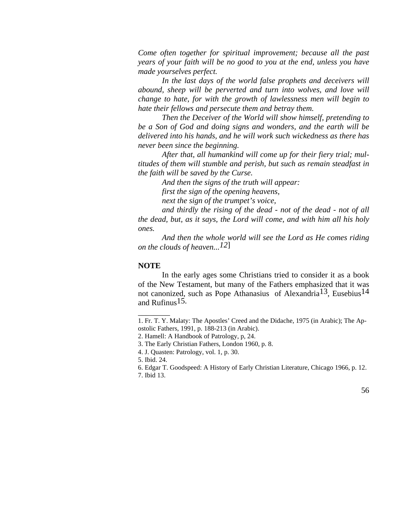*Come often together for spiritual improvement; because all the past years of your faith will be no good to you at the end, unless you have made yourselves perfect.* 

 *In the last days of the world false prophets and deceivers will abound, sheep will be perverted and turn into wolves, and love will change to hate, for with the growth of lawlessness men will begin to hate their fellows and persecute them and betray them.* 

 *Then the Deceiver of the World will show himself, pretending to be a Son of God and doing signs and wonders, and the earth will be delivered into his hands, and he will work such wickedness as there has never been since the beginning.* 

 *After that, all humankind will come up for their fiery trial; multitudes of them will stumble and perish, but such as remain steadfast in the faith will be saved by the Curse.* 

 *And then the signs of the truth will appear:* 

 *first the sign of the opening heavens,* 

 *next the sign of the trumpet's voice,* 

 *and thirdly the rising of the dead - not of the dead - not of all the dead, but, as it says, the Lord will come, and with him all his holy ones.* 

 *And then the whole world will see the Lord as He comes riding on the clouds of heaven...12*]

#### **NOTE**

 In the early ages some Christians tried to consider it as a book of the New Testament, but many of the Fathers emphasized that it was not canonized, such as Pope Athanasius of Alexandria<sup>13</sup>, Eusebius<sup>14</sup> and Rufinus15.

\_\_\_\_\_\_\_\_

<sup>1.</sup> Fr. T. Y. Malaty: The Apostles' Creed and the Didache, 1975 (in Arabic); The Apostolic Fathers, 1991, p. 188-213 (in Arabic).

<sup>2.</sup> Hamell: A Handbook of Patrology, p, 24.

<sup>3.</sup> The Early Christian Fathers, London 1960, p. 8.

<sup>4.</sup> J. Quasten: Patrology, vol. 1, p. 30.

<sup>5.</sup> Ibid. 24.

<sup>6.</sup> Edgar T. Goodspeed: A History of Early Christian Literature, Chicago 1966, p. 12. 7. Ibid 13.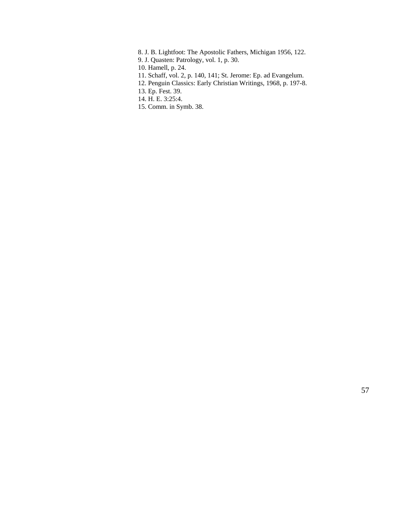- 8. J. B. Lightfoot: The Apostolic Fathers, Michigan 1956, 122.
- 9. J. Quasten: Patrology, vol. 1, p. 30.
- 10. Hamell, p. 24.
- 11. Schaff, vol. 2, p. 140, 141; St. Jerome: Ep. ad Evangelum.
- 12. Penguin Classics: Early Christian Writings, 1968, p. 197-8.
- 13. Ep. Fest. 39.
- 14. H. E. 3:25:4.
- 15. Comm. in Symb. 38.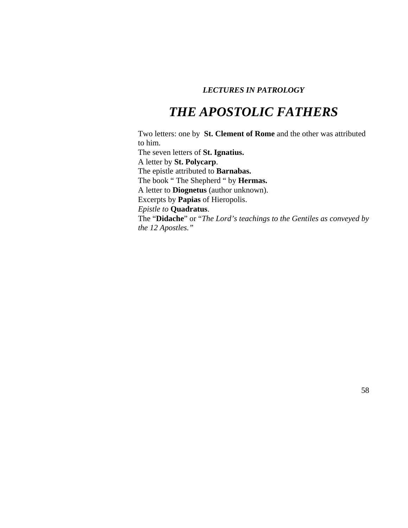## *LECTURES IN PATROLOGY*

## *THE APOSTOLIC FATHERS*

Two letters: one by **St. Clement of Rome** and the other was attributed to him.

The seven letters of **St. Ignatius.** 

A letter by **St. Polycarp**.

The epistle attributed to **Barnabas.** 

The book " The Shepherd " by **Hermas.** 

A letter to **Diognetus** (author unknown).

Excerpts by **Papias** of Hieropolis.

*Epistle to* **Quadratus**.

The "**Didache**" or "*The Lord's teachings to the Gentiles as conveyed by the 12 Apostles."*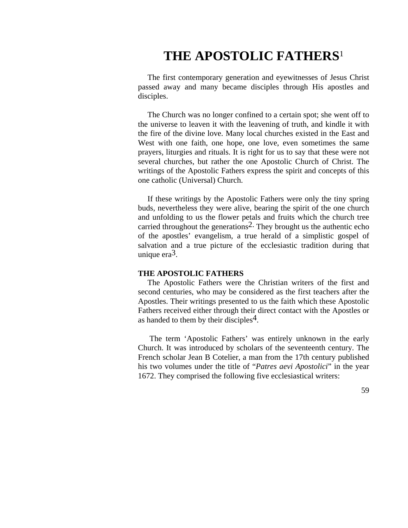## **THE APOSTOLIC FATHERS**<sup>1</sup>

The first contemporary generation and eyewitnesses of Jesus Christ passed away and many became disciples through His apostles and disciples.

The Church was no longer confined to a certain spot; she went off to the universe to leaven it with the leavening of truth, and kindle it with the fire of the divine love. Many local churches existed in the East and West with one faith, one hope, one love, even sometimes the same prayers, liturgies and rituals. It is right for us to say that these were not several churches, but rather the one Apostolic Church of Christ. The writings of the Apostolic Fathers express the spirit and concepts of this one catholic (Universal) Church.

If these writings by the Apostolic Fathers were only the tiny spring buds, nevertheless they were alive, bearing the spirit of the one church and unfolding to us the flower petals and fruits which the church tree carried throughout the generations<sup>2.</sup> They brought us the authentic echo of the apostles' evangelism, a true herald of a simplistic gospel of salvation and a true picture of the ecclesiastic tradition during that unique era $3$ .

#### **THE APOSTOLIC FATHERS**

The Apostolic Fathers were the Christian writers of the first and second centuries, who may be considered as the first teachers after the Apostles. Their writings presented to us the faith which these Apostolic Fathers received either through their direct contact with the Apostles or as handed to them by their disciples<sup>4</sup>.

 The term 'Apostolic Fathers' was entirely unknown in the early Church. It was introduced by scholars of the seventeenth century. The French scholar Jean B Cotelier, a man from the 17th century published his two volumes under the title of "*Patres aevi Apostolici*" in the year 1672. They comprised the following five ecclesiastical writers: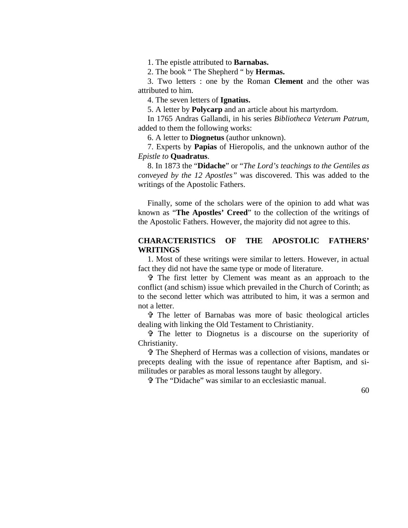1. The epistle attributed to **Barnabas.** 

2. The book " The Shepherd " by **Hermas.** 

3. Two letters : one by the Roman **Clement** and the other was attributed to him.

4. The seven letters of **Ignatius.**

5. A letter by **Polycarp** and an article about his martyrdom.

In 1765 Andras Gallandi, in his series *Bibliotheca Veterum Patrum,* added to them the following works:

6. A letter to **Diognetus** (author unknown).

7. Experts by **Papias** of Hieropolis, and the unknown author of the *Epistle to* **Quadratus**.

8. In 1873 the "**Didache**" or "*The Lord's teachings to the Gentiles as conveyed by the 12 Apostles"* was discovered. This was added to the writings of the Apostolic Fathers.

Finally, some of the scholars were of the opinion to add what was known as "**The Apostles' Creed**" to the collection of the writings of the Apostolic Fathers. However, the majority did not agree to this.

#### **CHARACTERISTICS OF THE APOSTOLIC FATHERS' WRITINGS**

1. Most of these writings were similar to letters. However, in actual fact they did not have the same type or mode of literature.

= The first letter by Clement was meant as an approach to the conflict (and schism) issue which prevailed in the Church of Corinth; as to the second letter which was attributed to him, it was a sermon and not a letter.

= The letter of Barnabas was more of basic theological articles dealing with linking the Old Testament to Christianity.

 $\hat{\mathbf{\tau}}$  The letter to Diognetus is a discourse on the superiority of Christianity.

= The Shepherd of Hermas was a collection of visions, mandates or precepts dealing with the issue of repentance after Baptism, and similitudes or parables as moral lessons taught by allegory.

= The "Didache" was similar to an ecclesiastic manual.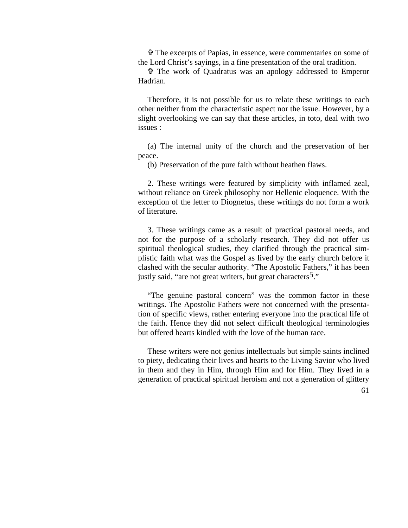$\hat{\tau}$  The excerpts of Papias, in essence, were commentaries on some of the Lord Christ's sayings, in a fine presentation of the oral tradition.

= The work of Quadratus was an apology addressed to Emperor Hadrian.

Therefore, it is not possible for us to relate these writings to each other neither from the characteristic aspect nor the issue. However, by a slight overlooking we can say that these articles, in toto, deal with two issues :

(a) The internal unity of the church and the preservation of her peace.

(b) Preservation of the pure faith without heathen flaws.

2. These writings were featured by simplicity with inflamed zeal, without reliance on Greek philosophy nor Hellenic eloquence. With the exception of the letter to Diognetus, these writings do not form a work of literature.

3. These writings came as a result of practical pastoral needs, and not for the purpose of a scholarly research. They did not offer us spiritual theological studies, they clarified through the practical simplistic faith what was the Gospel as lived by the early church before it clashed with the secular authority. "The Apostolic Fathers," it has been justly said, "are not great writers, but great characters<sup>5</sup>."

"The genuine pastoral concern" was the common factor in these writings. The Apostolic Fathers were not concerned with the presentation of specific views, rather entering everyone into the practical life of the faith. Hence they did not select difficult theological terminologies but offered hearts kindled with the love of the human race.

These writers were not genius intellectuals but simple saints inclined to piety, dedicating their lives and hearts to the Living Savior who lived in them and they in Him, through Him and for Him. They lived in a generation of practical spiritual heroism and not a generation of glittery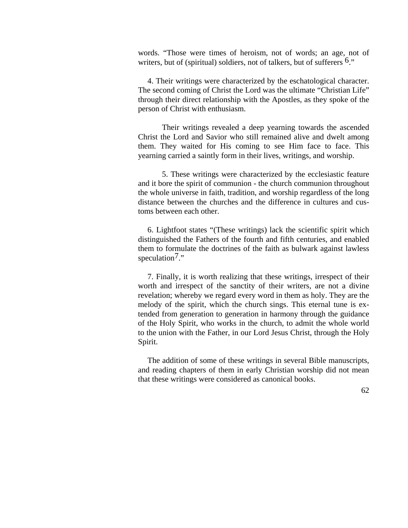words. "Those were times of heroism, not of words; an age, not of writers, but of (spiritual) soldiers, not of talkers, but of sufferers 6."

4. Their writings were characterized by the eschatological character. The second coming of Christ the Lord was the ultimate "Christian Life" through their direct relationship with the Apostles, as they spoke of the person of Christ with enthusiasm.

 Their writings revealed a deep yearning towards the ascended Christ the Lord and Savior who still remained alive and dwelt among them. They waited for His coming to see Him face to face. This yearning carried a saintly form in their lives, writings, and worship.

 5. These writings were characterized by the ecclesiastic feature and it bore the spirit of communion - the church communion throughout the whole universe in faith, tradition, and worship regardless of the long distance between the churches and the difference in cultures and customs between each other.

6. Lightfoot states "(These writings) lack the scientific spirit which distinguished the Fathers of the fourth and fifth centuries, and enabled them to formulate the doctrines of the faith as bulwark against lawless speculation<sup>7</sup>."

7. Finally, it is worth realizing that these writings, irrespect of their worth and irrespect of the sanctity of their writers, are not a divine revelation; whereby we regard every word in them as holy. They are the melody of the spirit, which the church sings. This eternal tune is extended from generation to generation in harmony through the guidance of the Holy Spirit, who works in the church, to admit the whole world to the union with the Father, in our Lord Jesus Christ, through the Holy Spirit.

The addition of some of these writings in several Bible manuscripts, and reading chapters of them in early Christian worship did not mean that these writings were considered as canonical books.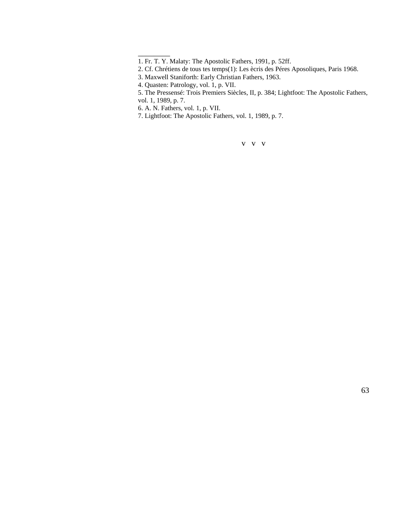- 1. Fr. T. Y. Malaty: The Apostolic Fathers, 1991, p. 52ff.
- 2. Cf. Chrétiens de tous tes temps(1): Les ècris des Péres Aposoliques, Paris 1968.
- 3. Maxwell Staniforth: Early Christian Fathers, 1963.
- 4. Quasten: Patrology, vol. 1, p. VII.
- 5. The Pressensé: Trois Premiers Siècles, II, p. 384; Lightfoot: The Apostolic Fathers, vol. 1, 1989, p. 7.
- 6. A. N. Fathers, vol. 1, p. VII.

 $\overline{\phantom{a}}$ 

7. Lightfoot: The Apostolic Fathers, vol. 1, 1989, p. 7.

v v v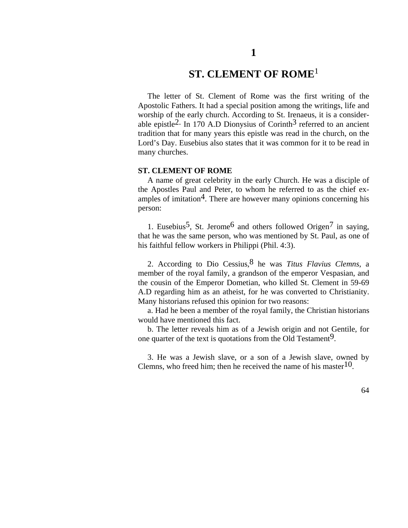## **ST. CLEMENT OF ROME**<sup>1</sup>

The letter of St. Clement of Rome was the first writing of the Apostolic Fathers. It had a special position among the writings, life and worship of the early church. According to St. Irenaeus, it is a considerable epistle<sup>2.</sup> In 170 A.D Dionysius of Corinth<sup>3</sup> referred to an ancient tradition that for many years this epistle was read in the church, on the Lord's Day. Eusebius also states that it was common for it to be read in many churches.

#### **ST. CLEMENT OF ROME**

A name of great celebrity in the early Church. He was a disciple of the Apostles Paul and Peter, to whom he referred to as the chief examples of imitation<sup>4</sup>. There are however many opinions concerning his person:

1. Eusebius<sup>5</sup>, St. Jerome<sup>6</sup> and others followed Origen<sup>7</sup> in saying, that he was the same person, who was mentioned by St. Paul, as one of his faithful fellow workers in Philippi (Phil. 4:3).

2. According to Dio Cessius,8 he was *Titus Flavius Clemns*, a member of the royal family, a grandson of the emperor Vespasian, and the cousin of the Emperor Dometian, who killed St. Clement in 59-69 A.D regarding him as an atheist, for he was converted to Christianity. Many historians refused this opinion for two reasons:

a. Had he been a member of the royal family, the Christian historians would have mentioned this fact.

b. The letter reveals him as of a Jewish origin and not Gentile, for one quarter of the text is quotations from the Old Testament<sup>9</sup>.

3. He was a Jewish slave, or a son of a Jewish slave, owned by Clemns, who freed him; then he received the name of his master  $10$ .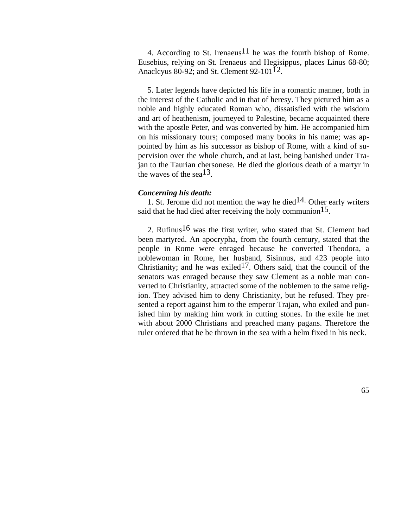4. According to St. Irenaeus<sup>11</sup> he was the fourth bishop of Rome. Eusebius, relying on St. Irenaeus and Hegisippus, places Linus 68-80; Anaclcyus 80-92; and St. Clement 92-101<sup>12</sup>.

5. Later legends have depicted his life in a romantic manner, both in the interest of the Catholic and in that of heresy. They pictured him as a noble and highly educated Roman who, dissatisfied with the wisdom and art of heathenism, journeyed to Palestine, became acquainted there with the apostle Peter, and was converted by him. He accompanied him on his missionary tours; composed many books in his name; was appointed by him as his successor as bishop of Rome, with a kind of supervision over the whole church, and at last, being banished under Trajan to the Taurian chersonese. He died the glorious death of a martyr in the waves of the sea<sup>13</sup>.

#### *Concerning his death:*

1. St. Jerome did not mention the way he died<sup>14.</sup> Other early writers said that he had died after receiving the holy communion<sup>15</sup>.

2. Rufinus<sup>16</sup> was the first writer, who stated that St. Clement had been martyred. An apocrypha, from the fourth century, stated that the people in Rome were enraged because he converted Theodora, a noblewoman in Rome, her husband, Sisinnus, and 423 people into Christianity; and he was exiled<sup>17</sup>. Others said, that the council of the senators was enraged because they saw Clement as a noble man converted to Christianity, attracted some of the noblemen to the same religion. They advised him to deny Christianity, but he refused. They presented a report against him to the emperor Trajan, who exiled and punished him by making him work in cutting stones. In the exile he met with about 2000 Christians and preached many pagans. Therefore the ruler ordered that he be thrown in the sea with a helm fixed in his neck.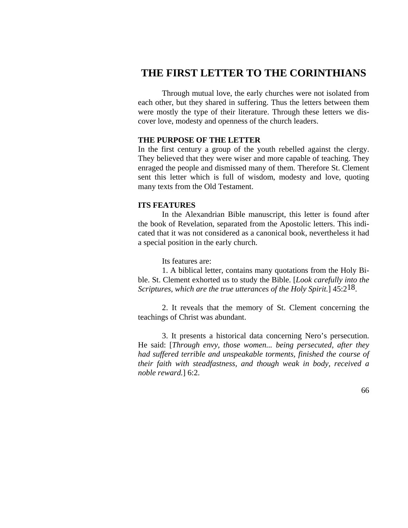## **THE FIRST LETTER TO THE CORINTHIANS**

 Through mutual love, the early churches were not isolated from each other, but they shared in suffering. Thus the letters between them were mostly the type of their literature. Through these letters we discover love, modesty and openness of the church leaders.

#### **THE PURPOSE OF THE LETTER**

In the first century a group of the youth rebelled against the clergy. They believed that they were wiser and more capable of teaching. They enraged the people and dismissed many of them. Therefore St. Clement sent this letter which is full of wisdom, modesty and love, quoting many texts from the Old Testament.

#### **ITS FEATURES**

 In the Alexandrian Bible manuscript, this letter is found after the book of Revelation, separated from the Apostolic letters. This indicated that it was not considered as a canonical book, nevertheless it had a special position in the early church.

Its features are:

 1. A biblical letter, contains many quotations from the Holy Bible. St. Clement exhorted us to study the Bible. [*Look carefully into the Scriptures, which are the true utterances of the Holy Spirit.*] 45:218.

 2. It reveals that the memory of St. Clement concerning the teachings of Christ was abundant.

 3. It presents a historical data concerning Nero's persecution. He said: [*Through envy, those women... being persecuted, after they had suffered terrible and unspeakable torments, finished the course of their faith with steadfastness, and though weak in body, received a noble reward.*] 6:2.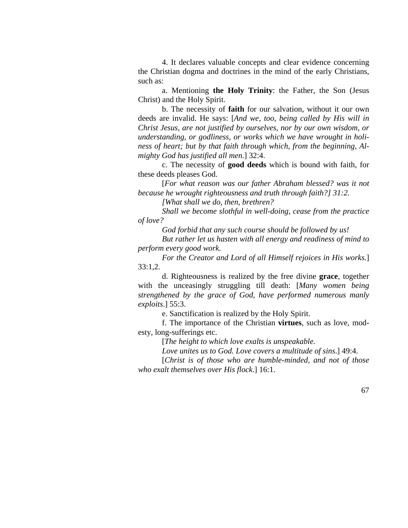4. It declares valuable concepts and clear evidence concerning the Christian dogma and doctrines in the mind of the early Christians, such as:

 a. Mentioning **the Holy Trinity**: the Father, the Son (Jesus Christ) and the Holy Spirit.

 b. The necessity of **faith** for our salvation, without it our own deeds are invalid. He says: [*And we, too, being called by His will in Christ Jesus, are not justified by ourselves, nor by our own wisdom, or understanding, or godliness, or works which we have wrought in holiness of heart; but by that faith through which, from the beginning, Almighty God has justified all men.*] 32:4.

 c. The necessity of **good deeds** which is bound with faith, for these deeds pleases God.

 [*For what reason was our father Abraham blessed? was it not because he wrought righteousness and truth through faith?] 31:2.* 

 *[What shall we do, then, brethren?* 

 *Shall we become slothful in well-doing, cease from the practice of love?* 

 *God forbid that any such course should be followed by us!* 

 *But rather let us hasten with all energy and readiness of mind to perform every good work.* 

 *For the Creator and Lord of all Himself rejoices in His works.*] 33:1,2.

 d. Righteousness is realized by the free divine **grace**, together with the unceasingly struggling till death: [*Many women being strengthened by the grace of God, have performed numerous manly exploits*.] 55:3.

e. Sanctification is realized by the Holy Spirit.

 f. The importance of the Christian **virtues**, such as love, modesty, long-sufferings etc.

[*The height to which love exalts is unspeakable.* 

 *Love unites us to God. Love covers a multitude of sins*.] 49:4.

 [*Christ is of those who are humble-minded, and not of those who exalt themselves over His flock*.] 16:1.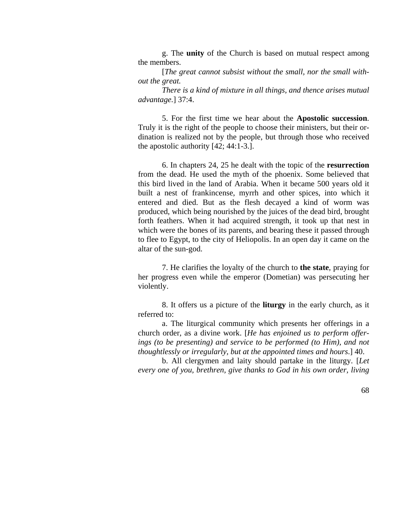g. The **unity** of the Church is based on mutual respect among the members.

 [*The great cannot subsist without the small, nor the small without the great.* 

 *There is a kind of mixture in all things, and thence arises mutual advantage.*] 37:4.

 5. For the first time we hear about the **Apostolic succession**. Truly it is the right of the people to choose their ministers, but their ordination is realized not by the people, but through those who received the apostolic authority [42; 44:1-3.].

 6. In chapters 24, 25 he dealt with the topic of the **resurrection** from the dead. He used the myth of the phoenix. Some believed that this bird lived in the land of Arabia. When it became 500 years old it built a nest of frankincense, myrrh and other spices, into which it entered and died. But as the flesh decayed a kind of worm was produced, which being nourished by the juices of the dead bird, brought forth feathers. When it had acquired strength, it took up that nest in which were the bones of its parents, and bearing these it passed through to flee to Egypt, to the city of Heliopolis. In an open day it came on the altar of the sun-god.

 7. He clarifies the loyalty of the church to **the state**, praying for her progress even while the emperor (Dometian) was persecuting her violently.

 8. It offers us a picture of the **liturgy** in the early church, as it referred to:

 a. The liturgical community which presents her offerings in a church order, as a divine work. [*He has enjoined us to perform offerings (to be presenting) and service to be performed (to Him), and not thoughtlessly or irregularly, but at the appointed times and hours*.] 40.

 b. All clergymen and laity should partake in the liturgy. [*Let every one of you, brethren, give thanks to God in his own order, living*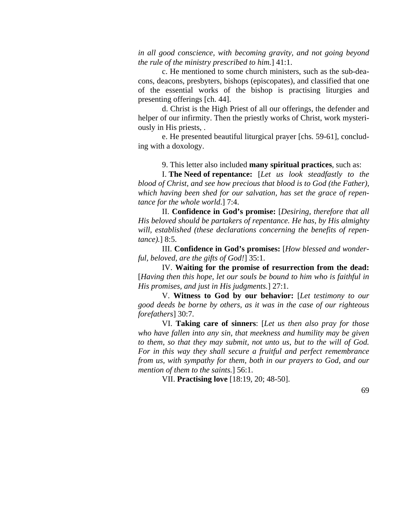*in all good conscience, with becoming gravity, and not going beyond the rule of the ministry prescribed to him.*] 41:1.

 c. He mentioned to some church ministers, such as the sub-deacons, deacons, presbyters, bishops (episcopates), and classified that one of the essential works of the bishop is practising liturgies and presenting offerings [ch. 44].

 d. Christ is the High Priest of all our offerings, the defender and helper of our infirmity. Then the priestly works of Christ, work mysteriously in His priests, .

 e. He presented beautiful liturgical prayer [chs. 59-61], concluding with a doxology.

9. This letter also included **many spiritual practices**, such as:

 I. **The Need of repentance:** [*Let us look steadfastly to the blood of Christ, and see how precious that blood is to God (the Father), which having been shed for our salvation, has set the grace of repentance for the whole world*.] 7:4.

 II. **Confidence in God's promise:** [*Desiring, therefore that all His beloved should be partakers of repentance. He has, by His almighty will, established (these declarations concerning the benefits of repentance).*] 8:5.

 III. **Confidence in God's promises:** [*How blessed and wonderful, beloved, are the gifts of God!*] 35:1.

 IV. **Waiting for the promise of resurrection from the dead:**  [*Having then this hope, let our souls be bound to him who is faithful in His promises, and just in His judgments.*] 27:1.

 V. **Witness to God by our behavior:** [*Let testimony to our good deeds be borne by others, as it was in the case of our righteous forefathers*] 30:7.

 VI. **Taking care of sinners**: [*Let us then also pray for those who have fallen into any sin, that meekness and humility may be given to them, so that they may submit, not unto us, but to the will of God. For in this way they shall secure a fruitful and perfect remembrance from us, with sympathy for them, both in our prayers to God, and our mention of them to the saints.*] 56:1.

VII. **Practising love** [18:19, 20; 48-50].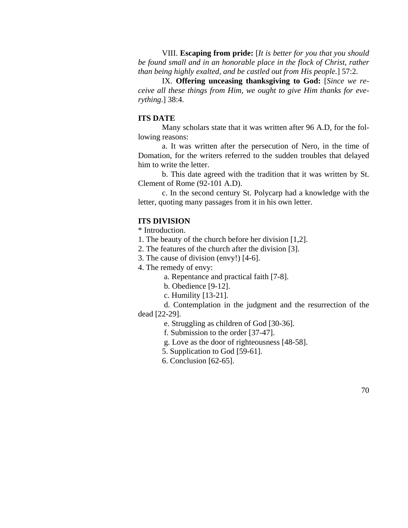VIII. **Escaping from pride:** [*It is better for you that you should be found small and in an honorable place in the flock of Christ, rather than being highly exalted, and be castled out from His people.*] 57:2.

 IX. **Offering unceasing thanksgiving to God:** [*Since we receive all these things from Him, we ought to give Him thanks for everything*.] 38:4.

#### **ITS DATE**

 Many scholars state that it was written after 96 A.D, for the following reasons:

 a. It was written after the persecution of Nero, in the time of Domation, for the writers referred to the sudden troubles that delayed him to write the letter.

 b. This date agreed with the tradition that it was written by St. Clement of Rome (92-101 A.D).

 c. In the second century St. Polycarp had a knowledge with the letter, quoting many passages from it in his own letter.

#### **ITS DIVISION**

\* Introduction.

1. The beauty of the church before her division [1,2].

2. The features of the church after the division [3].

3. The cause of division (envy!) [4-6].

4. The remedy of envy:

a. Repentance and practical faith [7-8].

b. Obedience [9-12].

c. Humility [13-21].

 d. Contemplation in the judgment and the resurrection of the dead [22-29].

e. Struggling as children of God [30-36].

f. Submission to the order [37-47].

g. Love as the door of righteousness [48-58].

5. Supplication to God [59-61].

6. Conclusion [62-65].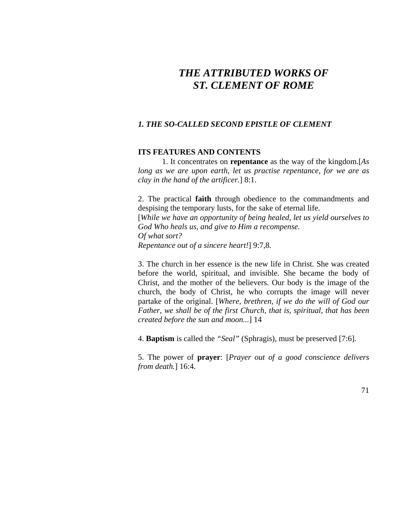## *THE ATTRIBUTED WORKS OF ST. CLEMENT OF ROME*

#### *1. THE SO-CALLED SECOND EPISTLE OF CLEMENT*

#### **ITS FEATURES AND CONTENTS**

 1. It concentrates on **repentance** as the way of the kingdom.[*As long as we are upon earth, let us practise repentance, for we are as clay in the hand of the artificer.*] 8:1.

2. The practical **faith** through obedience to the commandments and despising the temporary lusts, for the sake of eternal life.

[*While we have an opportunity of being healed, let us yield ourselves to God Who heals us, and give to Him a recompense. Of what sort? Repentance out of a sincere heart!*] 9:7,8.

3. The church in her essence is the new life in Christ. She was created before the world, spiritual, and invisible. She became the body of Christ, and the mother of the believers. Our body is the image of the church, the body of Christ, he who corrupts the image will never partake of the original. [*Where, brethren, if we do the will of God our Father, we shall be of the first Church, that is, spiritual, that has been created before the sun and moon...*] 14

4. **Baptism** is called the *"Seal"* (Sphragis), must be preserved [7:6].

5. The power of **prayer**: [*Prayer out of a good conscience delivers from death.*] 16:4.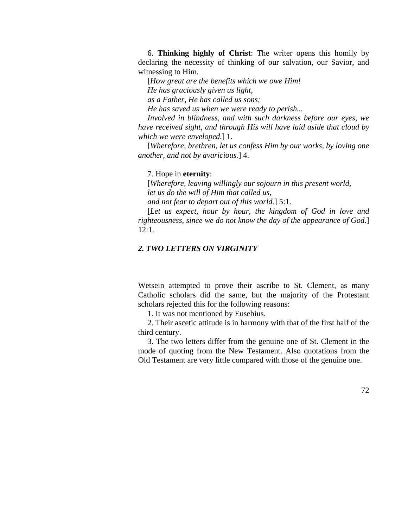6. **Thinking highly of Christ**: The writer opens this homily by declaring the necessity of thinking of our salvation, our Savior, and witnessing to Him.

[*How great are the benefits which we owe Him!* 

*He has graciously given us light,* 

*as a Father, He has called us sons;* 

*He has saved us when we were ready to perish...* 

*Involved in blindness, and with such darkness before our eyes, we have received sight, and through His will have laid aside that cloud by which we were enveloped.*] 1.

[*Wherefore, brethren, let us confess Him by our works, by loving one another, and not by avaricious.*] 4.

## 7. Hope in **eternity**:

[*Wherefore, leaving willingly our sojourn in this present world, let us do the will of Him that called us,* 

*and not fear to depart out of this world.*] 5:1.

[*Let us expect, hour by hour, the kingdom of God in love and righteousness, since we do not know the day of the appearance of God.*] 12:1.

## *2. TWO LETTERS ON VIRGINITY*

Wetsein attempted to prove their ascribe to St. Clement, as many Catholic scholars did the same, but the majority of the Protestant scholars rejected this for the following reasons:

1. It was not mentioned by Eusebius.

2. Their ascetic attitude is in harmony with that of the first half of the third century.

3. The two letters differ from the genuine one of St. Clement in the mode of quoting from the New Testament. Also quotations from the Old Testament are very little compared with those of the genuine one.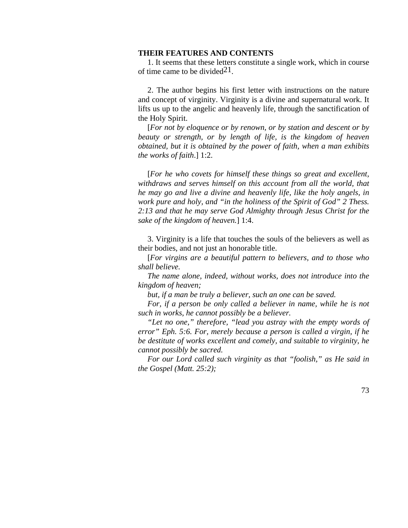#### **THEIR FEATURES AND CONTENTS**

1. It seems that these letters constitute a single work, which in course of time came to be divided  $21$ .

2. The author begins his first letter with instructions on the nature and concept of virginity. Virginity is a divine and supernatural work. It lifts us up to the angelic and heavenly life, through the sanctification of the Holy Spirit.

[*For not by eloquence or by renown, or by station and descent or by beauty or strength, or by length of life, is the kingdom of heaven obtained, but it is obtained by the power of faith, when a man exhibits the works of faith*.] 1:2.

[*For he who covets for himself these things so great and excellent, withdraws and serves himself on this account from all the world, that he may go and live a divine and heavenly life, like the holy angels, in work pure and holy, and "in the holiness of the Spirit of God" 2 Thess. 2:13 and that he may serve God Almighty through Jesus Christ for the sake of the kingdom of heaven.*] 1:4.

3. Virginity is a life that touches the souls of the believers as well as their bodies, and not just an honorable title.

[*For virgins are a beautiful pattern to believers, and to those who shall believe.* 

*The name alone, indeed, without works, does not introduce into the kingdom of heaven;* 

*but, if a man be truly a believer, such an one can be saved.* 

For, if a person be only called a believer in name, while he is not *such in works, he cannot possibly be a believer.* 

*"Let no one," therefore, "lead you astray with the empty words of error" Eph. 5:6. For, merely because a person is called a virgin, if he be destitute of works excellent and comely, and suitable to virginity, he cannot possibly be sacred.* 

*For our Lord called such virginity as that "foolish," as He said in the Gospel (Matt. 25:2);*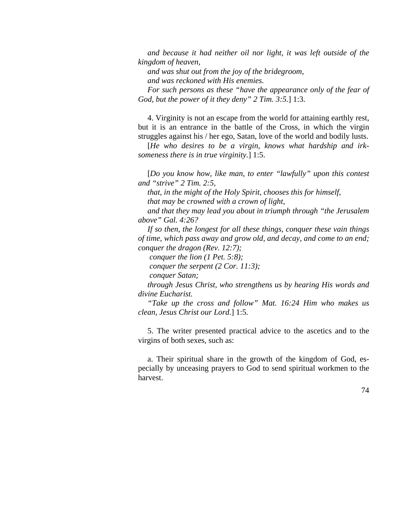*and because it had neither oil nor light, it was left outside of the kingdom of heaven,* 

*and was shut out from the joy of the bridegroom, and was reckoned with His enemies.* 

*For such persons as these "have the appearance only of the fear of God, but the power of it they deny" 2 Tim. 3:5.*] 1:3.

4. Virginity is not an escape from the world for attaining earthly rest, but it is an entrance in the battle of the Cross, in which the virgin struggles against his / her ego, Satan, love of the world and bodily lusts.

[*He who desires to be a virgin, knows what hardship and irksomeness there is in true virginity.*] 1:5.

[*Do you know how, like man, to enter "lawfully" upon this contest and "strive" 2 Tim. 2:5,* 

*that, in the might of the Holy Spirit, chooses this for himself, that may be crowned with a crown of light,* 

*and that they may lead you about in triumph through "the Jerusalem above" Gal. 4:26?* 

*If so then, the longest for all these things, conquer these vain things of time, which pass away and grow old, and decay, and come to an end; conquer the dragon (Rev. 12:7);* 

 *conquer the lion (1 Pet. 5:8);* 

 *conquer the serpent (2 Cor. 11:3);* 

 *conquer Satan;* 

*through Jesus Christ, who strengthens us by hearing His words and divine Eucharist.* 

*"Take up the cross and follow" Mat. 16:24 Him who makes us clean, Jesus Christ our Lord.*] 1:5.

5. The writer presented practical advice to the ascetics and to the virgins of both sexes, such as:

a. Their spiritual share in the growth of the kingdom of God, especially by unceasing prayers to God to send spiritual workmen to the harvest.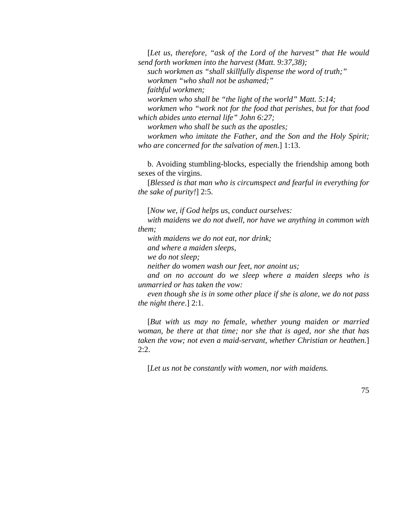[*Let us, therefore, "ask of the Lord of the harvest" that He would send forth workmen into the harvest (Matt. 9:37,38);* 

*such workmen as "shall skillfully dispense the word of truth;"* 

*workmen "who shall not be ashamed;"* 

*faithful workmen;* 

*workmen who shall be "the light of the world" Matt. 5:14;* 

*workmen who "work not for the food that perishes, but for that food which abides unto eternal life" John 6:27;* 

*workmen who shall be such as the apostles;* 

*workmen who imitate the Father, and the Son and the Holy Spirit; who are concerned for the salvation of men.*] 1:13.

b. Avoiding stumbling-blocks, especially the friendship among both sexes of the virgins.

[*Blessed is that man who is circumspect and fearful in everything for the sake of purity!*] 2:5.

[*Now we, if God helps us, conduct ourselves:* 

*with maidens we do not dwell, nor have we anything in common with them;* 

*with maidens we do not eat, nor drink;* 

*and where a maiden sleeps,* 

*we do not sleep;* 

*neither do women wash our feet, nor anoint us;* 

*and on no account do we sleep where a maiden sleeps who is unmarried or has taken the vow:* 

*even though she is in some other place if she is alone, we do not pass the night there*.] 2:1.

[*But with us may no female, whether young maiden or married woman, be there at that time; nor she that is aged, nor she that has taken the vow; not even a maid-servant, whether Christian or heathen.*] 2:2.

[*Let us not be constantly with women, nor with maidens.*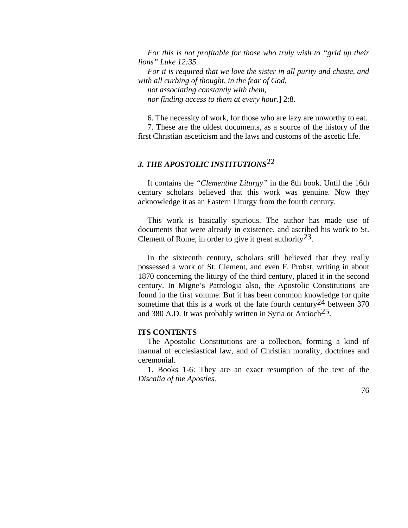*For this is not profitable for those who truly wish to "grid up their lions" Luke 12:35.* 

*For it is required that we love the sister in all purity and chaste, and with all curbing of thought, in the fear of God, not associating constantly with them, nor finding access to them at every hour.*] 2:8.

6. The necessity of work, for those who are lazy are unworthy to eat.

7. These are the oldest documents, as a source of the history of the first Christian asceticism and the laws and customs of the ascetic life.

## *3. THE APOSTOLIC INSTITUTIONS*22

It contains the *"Clementine Liturgy"* in the 8th book. Until the 16th century scholars believed that this work was genuine. Now they acknowledge it as an Eastern Liturgy from the fourth century.

This work is basically spurious. The author has made use of documents that were already in existence, and ascribed his work to St. Clement of Rome, in order to give it great authority<sup>23</sup>.

In the sixteenth century, scholars still believed that they really possessed a work of St. Clement, and even F. Probst, writing in about 1870 concerning the liturgy of the third century, placed it in the second century. In Migne's Patrologia also, the Apostolic Constitutions are found in the first volume. But it has been common knowledge for quite sometime that this is a work of the late fourth century<sup>24</sup> between 370 and 380 A.D. It was probably written in Syria or Antioch25.

#### **ITS CONTENTS**

The Apostolic Constitutions are a collection, forming a kind of manual of ecclesiastical law, and of Christian morality, doctrines and ceremonial.

1. Books 1-6: They are an exact resumption of the text of the *Discalia of the Apostles*.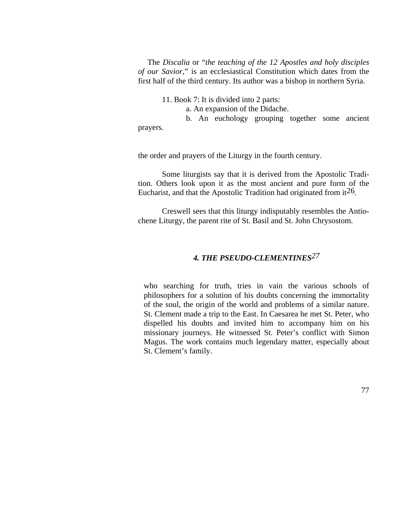The *Discalia* or "*the teaching of the 12 Apostles and holy disciples of our Savior*," is an ecclesiastical Constitution which dates from the first half of the third century. Its author was a bishop in northern Syria.

11. Book 7: It is divided into 2 parts:

a. An expansion of the Didache.

 b. An euchology grouping together some ancient prayers.

the order and prayers of the Liturgy in the fourth century.

 Some liturgists say that it is derived from the Apostolic Tradition. Others look upon it as the most ancient and pure form of the Eucharist, and that the Apostolic Tradition had originated from  $it^{26}$ .

 Creswell sees that this liturgy indisputably resembles the Antiochene Liturgy, the parent rite of St. Basil and St. John Chrysostom.

## *4. THE PSEUDO-CLEMENTINES27*

who searching for truth, tries in vain the various schools of philosophers for a solution of his doubts concerning the immortality of the soul, the origin of the world and problems of a similar nature. St. Clement made a trip to the East. In Caesarea he met St. Peter, who dispelled his doubts and invited him to accompany him on his missionary journeys. He witnessed St. Peter's conflict with Simon Magus. The work contains much legendary matter, especially about St. Clement's family.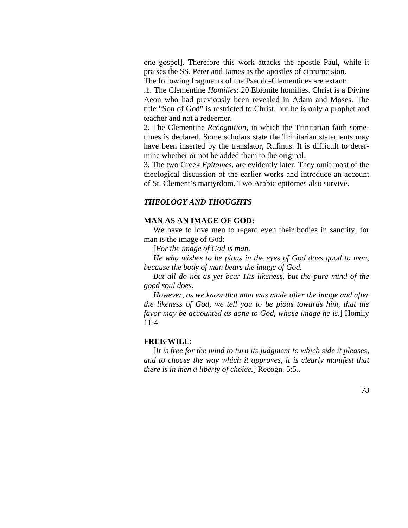one gospel]. Therefore this work attacks the apostle Paul, while it praises the SS. Peter and James as the apostles of circumcision.

The following fragments of the Pseudo-Clementines are extant:

.1. The Clementine *Homilies*: 20 Ebionite homilies. Christ is a Divine Aeon who had previously been revealed in Adam and Moses. The title "Son of God" is restricted to Christ, but he is only a prophet and teacher and not a redeemer.

2. The Clementine *Recognition,* in which the Trinitarian faith sometimes is declared. Some scholars state the Trinitarian statements may have been inserted by the translator, Rufinus. It is difficult to determine whether or not he added them to the original.

3. The two Greek *Epitomes,* are evidently later. They omit most of the theological discussion of the earlier works and introduce an account of St. Clement's martyrdom. Two Arabic epitomes also survive.

## *THEOLOGY AND THOUGHTS*

## **MAN AS AN IMAGE OF GOD:**

We have to love men to regard even their bodies in sanctity, for man is the image of God:

[*For the image of God is man.* 

*He who wishes to be pious in the eyes of God does good to man, because the body of man bears the image of God.* 

*But all do not as yet bear His likeness, but the pure mind of the good soul does.* 

*However, as we know that man was made after the image and after the likeness of God, we tell you to be pious towards him, that the favor may be accounted as done to God, whose image he is*.] Homily 11:4.

## **FREE-WILL:**

[*It is free for the mind to turn its judgment to which side it pleases, and to choose the way which it approves, it is clearly manifest that there is in men a liberty of choice.*] Recogn. 5:5..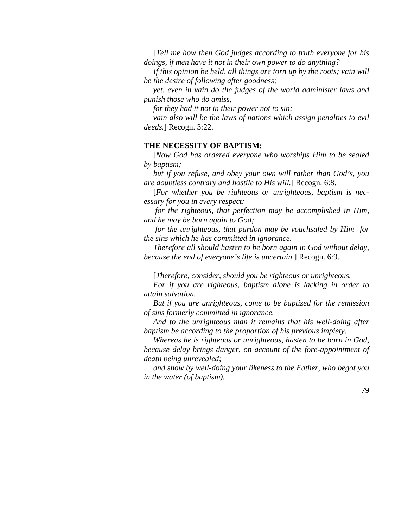[*Tell me how then God judges according to truth everyone for his doings, if men have it not in their own power to do anything?* 

*If this opinion be held, all things are torn up by the roots; vain will be the desire of following after goodness;* 

*yet, even in vain do the judges of the world administer laws and punish those who do amiss,* 

*for they had it not in their power not to sin;* 

*vain also will be the laws of nations which assign penalties to evil deeds.*] Recogn. 3:22.

#### **THE NECESSITY OF BAPTISM:**

[*Now God has ordered everyone who worships Him to be sealed by baptism;* 

*but if you refuse, and obey your own will rather than God's, you are doubtless contrary and hostile to His will.*] Recogn. 6:8.

[*For whether you be righteous or unrighteous, baptism is necessary for you in every respect:* 

 *for the righteous, that perfection may be accomplished in Him, and he may be born again to God;* 

 *for the unrighteous, that pardon may be vouchsafed by Him for the sins which he has committed in ignorance.* 

*Therefore all should hasten to be born again in God without delay, because the end of everyone's life is uncertain.*] Recogn. 6:9.

[*Therefore, consider, should you be righteous or unrighteous.* 

*For if you are righteous, baptism alone is lacking in order to attain salvation.* 

*But if you are unrighteous, come to be baptized for the remission of sins formerly committed in ignorance.* 

*And to the unrighteous man it remains that his well-doing after baptism be according to the proportion of his previous impiety.* 

*Whereas he is righteous or unrighteous, hasten to be born in God, because delay brings danger, on account of the fore-appointment of death being unrevealed;* 

*and show by well-doing your likeness to the Father, who begot you in the water (of baptism).*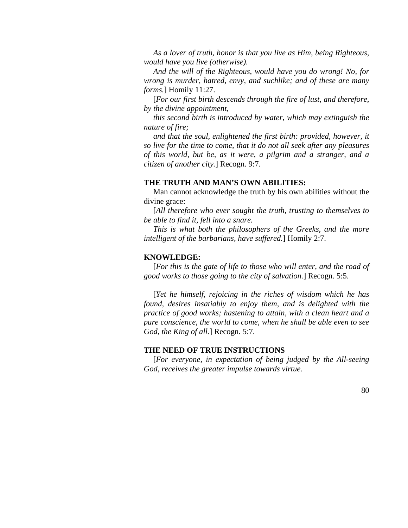*As a lover of truth, honor is that you live as Him, being Righteous, would have you live (otherwise).* 

*And the will of the Righteous, would have you do wrong! No, for wrong is murder, hatred, envy, and suchlike; and of these are many forms.*] Homily 11:27.

[*For our first birth descends through the fire of lust, and therefore, by the divine appointment,* 

*this second birth is introduced by water, which may extinguish the nature of fire;* 

*and that the soul, enlightened the first birth: provided, however, it so live for the time to come, that it do not all seek after any pleasures of this world, but be, as it were, a pilgrim and a stranger, and a citizen of another city.*] Recogn. 9:7.

#### **THE TRUTH AND MAN'S OWN ABILITIES:**

Man cannot acknowledge the truth by his own abilities without the divine grace:

[*All therefore who ever sought the truth, trusting to themselves to be able to find it, fell into a snare.* 

*This is what both the philosophers of the Greeks, and the more intelligent of the barbarians, have suffered.*] Homily 2:7.

#### **KNOWLEDGE:**

[*For this is the gate of life to those who will enter, and the road of good works to those going to the city of salvation.*] Recogn. 5:5.

[*Yet he himself, rejoicing in the riches of wisdom which he has found, desires insatiably to enjoy them, and is delighted with the practice of good works; hastening to attain, with a clean heart and a pure conscience, the world to come, when he shall be able even to see God, the King of all.*] Recogn. 5:7.

#### **THE NEED OF TRUE INSTRUCTIONS**

[*For everyone, in expectation of being judged by the All-seeing God, receives the greater impulse towards virtue.*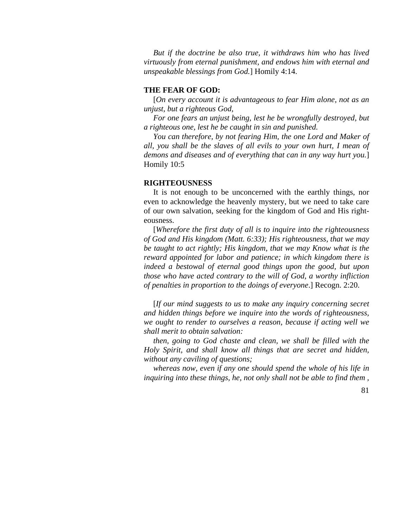*But if the doctrine be also true, it withdraws him who has lived virtuously from eternal punishment, and endows him with eternal and unspeakable blessings from God.*] Homily 4:14.

## **THE FEAR OF GOD:**

[*On every account it is advantageous to fear Him alone, not as an unjust, but a righteous God,* 

*For one fears an unjust being, lest he be wrongfully destroyed, but a righteous one, lest he be caught in sin and punished.* 

*You can therefore, by not fearing Him, the one Lord and Maker of all, you shall be the slaves of all evils to your own hurt, I mean of demons and diseases and of everything that can in any way hurt you.*] Homily 10:5

## **RIGHTEOUSNESS**

It is not enough to be unconcerned with the earthly things, nor even to acknowledge the heavenly mystery, but we need to take care of our own salvation, seeking for the kingdom of God and His righteousness.

[*Wherefore the first duty of all is to inquire into the righteousness of God and His kingdom (Matt. 6:33); His righteousness, that we may be taught to act rightly; His kingdom, that we may Know what is the reward appointed for labor and patience; in which kingdom there is indeed a bestowal of eternal good things upon the good, but upon those who have acted contrary to the will of God, a worthy infliction of penalties in proportion to the doings of everyone*.] Recogn. 2:20.

[*If our mind suggests to us to make any inquiry concerning secret and hidden things before we inquire into the words of righteousness, we ought to render to ourselves a reason, because if acting well we shall merit to obtain salvation:* 

*then, going to God chaste and clean, we shall be filled with the Holy Spirit, and shall know all things that are secret and hidden, without any caviling of questions;* 

*whereas now, even if any one should spend the whole of his life in inquiring into these things, he, not only shall not be able to find them ,*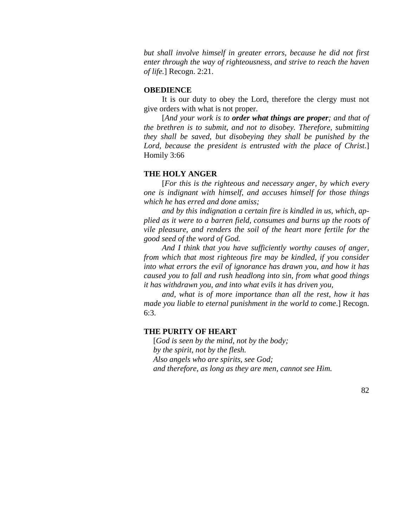*but shall involve himself in greater errors, because he did not first enter through the way of righteousness, and strive to reach the haven of life.*] Recogn. 2:21.

## **OBEDIENCE**

 It is our duty to obey the Lord, therefore the clergy must not give orders with what is not proper.

 [*And your work is to order what things are proper; and that of the brethren is to submit, and not to disobey. Therefore, submitting they shall be saved, but disobeying they shall be punished by the Lord, because the president is entrusted with the place of Christ*.] Homily 3:66

## **THE HOLY ANGER**

 [*For this is the righteous and necessary anger, by which every one is indignant with himself, and accuses himself for those things which he has erred and done amiss;* 

 *and by this indignation a certain fire is kindled in us, which, applied as it were to a barren field, consumes and burns up the roots of vile pleasure, and renders the soil of the heart more fertile for the good seed of the word of God.* 

 *And I think that you have sufficiently worthy causes of anger, from which that most righteous fire may be kindled, if you consider into what errors the evil of ignorance has drawn you, and how it has caused you to fall and rush headlong into sin, from what good things it has withdrawn you, and into what evils it has driven you,* 

 *and, what is of more importance than all the rest, how it has made you liable to eternal punishment in the world to come*.] Recogn. 6:3.

## **THE PURITY OF HEART**

[*God is seen by the mind, not by the body; by the spirit, not by the flesh. Also angels who are spirits, see God; and therefore, as long as they are men, cannot see Him.*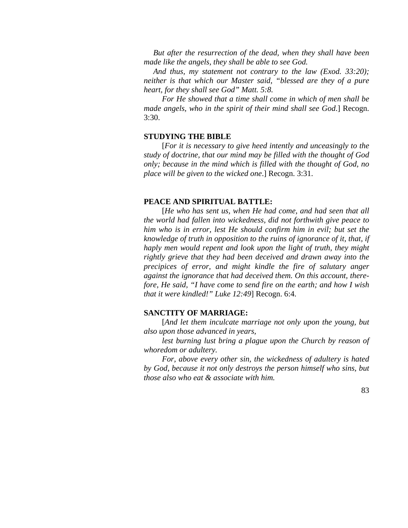*But after the resurrection of the dead, when they shall have been made like the angels, they shall be able to see God.* 

*And thus, my statement not contrary to the law (Exod. 33:20); neither is that which our Master said, "blessed are they of a pure heart, for they shall see God" Matt. 5:8.* 

 *For He showed that a time shall come in which of men shall be made angels, who in the spirit of their mind shall see God*.] Recogn. 3:30.

#### **STUDYING THE BIBLE**

 [*For it is necessary to give heed intently and unceasingly to the study of doctrine, that our mind may be filled with the thought of God only; because in the mind which is filled with the thought of God, no place will be given to the wicked one*.] Recogn. 3:31.

#### **PEACE AND SPIRITUAL BATTLE:**

 [*He who has sent us, when He had come, and had seen that all the world had fallen into wickedness, did not forthwith give peace to him who is in error, lest He should confirm him in evil; but set the knowledge of truth in opposition to the ruins of ignorance of it, that, if haply men would repent and look upon the light of truth, they might rightly grieve that they had been deceived and drawn away into the precipices of error, and might kindle the fire of salutary anger against the ignorance that had deceived them. On this account, therefore, He said, "I have come to send fire on the earth; and how I wish that it were kindled!" Luke 12:49*] Recogn. 6:4.

#### **SANCTITY OF MARRIAGE:**

 [*And let them inculcate marriage not only upon the young, but also upon those advanced in years,* 

 *lest burning lust bring a plague upon the Church by reason of whoredom or adultery.* 

 *For, above every other sin, the wickedness of adultery is hated by God, because it not only destroys the person himself who sins, but those also who eat & associate with him.*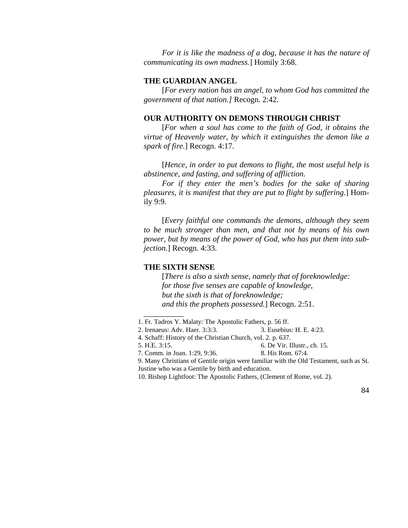*For it is like the madness of a dog, because it has the nature of communicating its own madness.*] Homily 3:68.

## **THE GUARDIAN ANGEL**

 [*For every nation has an angel, to whom God has committed the government of that nation.]* Recogn. 2:42.

## **OUR AUTHORITY ON DEMONS THROUGH CHRIST**

 [*For when a soul has come to the faith of God, it obtains the virtue of Heavenly water, by which it extinguishes the demon like a spark of fire.*] Recogn. 4:17.

 [*Hence, in order to put demons to flight, the most useful help is abstinence, and fasting, and suffering of affliction.* 

 *For if they enter the men's bodies for the sake of sharing pleasures, it is manifest that they are put to flight by suffering*.] Homily 9:9.

 [*Every faithful one commands the demons, although they seem to be much stronger than men, and that not by means of his own power, but by means of the power of God, who has put them into subjection.*] Recogn. 4:33.

## **THE SIXTH SENSE**

\_\_\_\_\_\_\_\_\_\_

 [*There is also a sixth sense, namely that of foreknowledge: for those five senses are capable of knowledge, but the sixth is that of foreknowledge; and this the prophets possessed.*] Recogn. 2:51.

<sup>1.</sup> Fr. Tadros Y. Malaty: The Apostolic Fathers, p. 56 ff.

<sup>2.</sup> Irenaeus: Adv. Haer. 3:3:3. 3. Eusebius: H. E. 4:23.

<sup>4.</sup> Schaff: History of the Christian Church, vol. 2. p. 637.

<sup>5.</sup> H.E. 3:15. 6. De Vir. Illustr., ch. 15.

<sup>7.</sup> Comm. in Joan. 1:29, 9:36. 8. His Rom. 67:4.

<sup>9.</sup> Many Christians of Gentile origin were familiar with the Old Testament, such as St. Justine who was a Gentile by birth and education.

<sup>10.</sup> Bishop Lightfoot: The Apostolic Fathers, (Clement of Rome, vol. 2).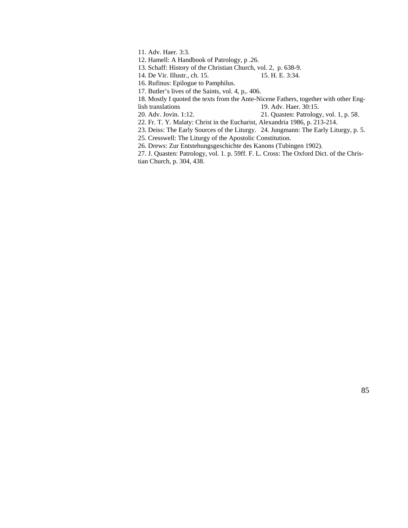- 11. Adv. Haer. 3:3.
- 12. Hamell: A Handbook of Patrology, p .26.
- 13. Schaff: History of the Christian Church, vol. 2, p. 638-9.
- 14. De Vir. Illustr., ch. 15. 15. H. E. 3:34.
- 16. Rufinus: Epilogue to Pamphilus.
- 17. Butler's lives of the Saints, vol. 4, p,. 406.
- 18. Mostly I quoted the texts from the Ante-Nicene Fathers, together with other English translations 19. Adv. Haer. 30:15.
- 

- 20. Adv. Jovin. 1:12. 21. Quasten: Patrology, vol. 1, p. 58.
- 22. Fr. T. Y. Malaty: Christ in the Eucharist, Alexandria 1986, p. 213-214.
- 23. Deiss: The Early Sources of the Liturgy. 24. Jungmann: The Early Liturgy, p. 5.
- 25. Cresswell: The Liturgy of the Apostolic Constitution.
- 26. Drews: Zur Entstehungsgeschichte des Kanons (Tubingen 1902).
- 27. J. Quasten: Patrology, vol. 1. p. 59ff. F. L. Cross: The Oxford Dict. of the Christian Church, p. 304, 438.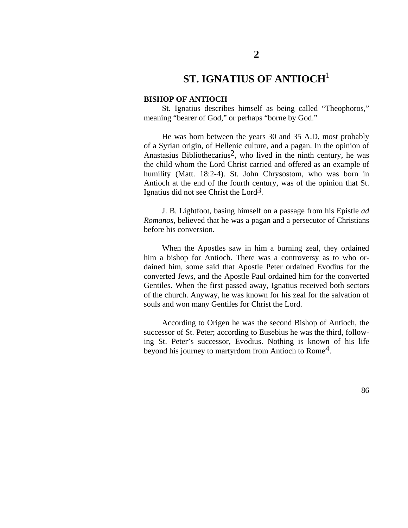# **ST. IGNATIUS OF ANTIOCH**<sup>1</sup>

#### **BISHOP OF ANTIOCH**

 St. Ignatius describes himself as being called "Theophoros," meaning "bearer of God," or perhaps "borne by God."

He was born between the years 30 and 35 A.D, most probably of a Syrian origin, of Hellenic culture, and a pagan. In the opinion of Anastasius Bibliothecarius<sup>2</sup>, who lived in the ninth century, he was the child whom the Lord Christ carried and offered as an example of humility (Matt. 18:2-4). St. John Chrysostom, who was born in Antioch at the end of the fourth century, was of the opinion that St. Ignatius did not see Christ the Lord3.

 J. B. Lightfoot, basing himself on a passage from his Epistle *ad Romanos*, believed that he was a pagan and a persecutor of Christians before his conversion.

 When the Apostles saw in him a burning zeal, they ordained him a bishop for Antioch. There was a controversy as to who ordained him, some said that Apostle Peter ordained Evodius for the converted Jews, and the Apostle Paul ordained him for the converted Gentiles. When the first passed away, Ignatius received both sectors of the church. Anyway, he was known for his zeal for the salvation of souls and won many Gentiles for Christ the Lord.

 According to Origen he was the second Bishop of Antioch, the successor of St. Peter; according to Eusebius he was the third, following St. Peter's successor, Evodius. Nothing is known of his life beyond his journey to martyrdom from Antioch to Rome4.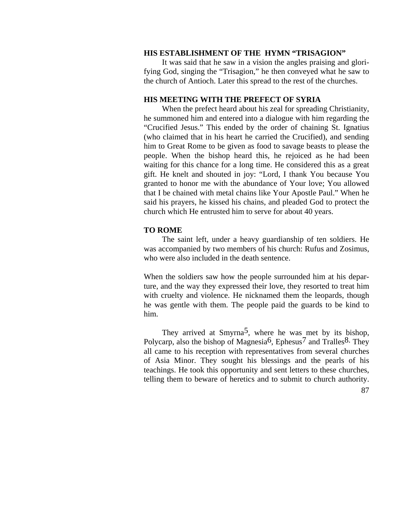## **HIS ESTABLISHMENT OF THE HYMN "TRISAGION"**

 It was said that he saw in a vision the angles praising and glorifying God, singing the "Trisagion," he then conveyed what he saw to the church of Antioch. Later this spread to the rest of the churches.

## **HIS MEETING WITH THE PREFECT OF SYRIA**

 When the prefect heard about his zeal for spreading Christianity, he summoned him and entered into a dialogue with him regarding the "Crucified Jesus." This ended by the order of chaining St. Ignatius (who claimed that in his heart he carried the Crucified), and sending him to Great Rome to be given as food to savage beasts to please the people. When the bishop heard this, he rejoiced as he had been waiting for this chance for a long time. He considered this as a great gift. He knelt and shouted in joy: "Lord, I thank You because You granted to honor me with the abundance of Your love; You allowed that I be chained with metal chains like Your Apostle Paul." When he said his prayers, he kissed his chains, and pleaded God to protect the church which He entrusted him to serve for about 40 years.

## **TO ROME**

 The saint left, under a heavy guardianship of ten soldiers. He was accompanied by two members of his church: Rufus and Zosimus, who were also included in the death sentence.

When the soldiers saw how the people surrounded him at his departure, and the way they expressed their love, they resorted to treat him with cruelty and violence. He nicknamed them the leopards, though he was gentle with them. The people paid the guards to be kind to him.

They arrived at Smyrna<sup>5</sup>, where he was met by its bishop, Polycarp, also the bishop of Magnesia<sup>6</sup>, Ephesus<sup>7</sup> and Tralles<sup>8</sup>. They all came to his reception with representatives from several churches of Asia Minor. They sought his blessings and the pearls of his teachings. He took this opportunity and sent letters to these churches, telling them to beware of heretics and to submit to church authority.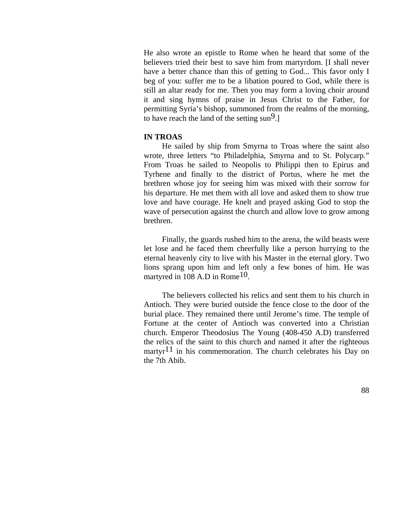He also wrote an epistle to Rome when he heard that some of the believers tried their best to save him from martyrdom. [I shall never have a better chance than this of getting to God... This favor only I beg of you: suffer me to be a libation poured to God, while there is still an altar ready for me. Then you may form a loving choir around it and sing hymns of praise in Jesus Christ to the Father, for permitting Syria's bishop, summoned from the realms of the morning, to have reach the land of the setting  $\text{sun}^9$ .]

## **IN TROAS**

 He sailed by ship from Smyrna to Troas where the saint also wrote, three letters "to Philadelphia, Smyrna and to St. Polycarp." From Troas he sailed to Neopolis to Philippi then to Epirus and Tyrhene and finally to the district of Portus, where he met the brethren whose joy for seeing him was mixed with their sorrow for his departure. He met them with all love and asked them to show true love and have courage. He knelt and prayed asking God to stop the wave of persecution against the church and allow love to grow among brethren.

 Finally, the guards rushed him to the arena, the wild beasts were let lose and he faced them cheerfully like a person hurrying to the eternal heavenly city to live with his Master in the eternal glory. Two lions sprang upon him and left only a few bones of him. He was martyred in 108 A.D in Rome<sup>10</sup>.

 The believers collected his relics and sent them to his church in Antioch. They were buried outside the fence close to the door of the burial place. They remained there until Jerome's time. The temple of Fortune at the center of Antioch was converted into a Christian church. Emperor Theodosius The Young (408-450 A.D) transferred the relics of the saint to this church and named it after the righteous  $m$ artyr<sup>11</sup> in his commemoration. The church celebrates his Day on the 7th Abib.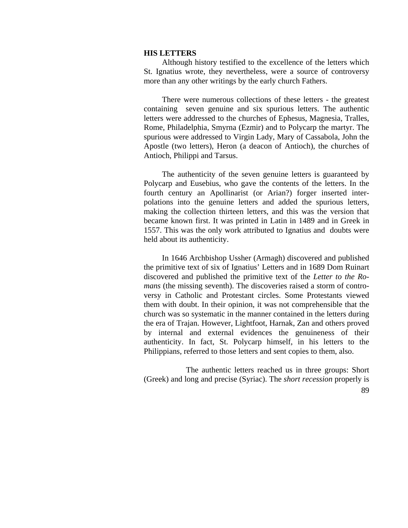## **HIS LETTERS**

 Although history testified to the excellence of the letters which St. Ignatius wrote, they nevertheless, were a source of controversy more than any other writings by the early church Fathers.

 There were numerous collections of these letters - the greatest containing seven genuine and six spurious letters. The authentic letters were addressed to the churches of Ephesus, Magnesia, Tralles, Rome, Philadelphia, Smyrna (Ezmir) and to Polycarp the martyr. The spurious were addressed to Virgin Lady, Mary of Cassabola, John the Apostle (two letters), Heron (a deacon of Antioch), the churches of Antioch, Philippi and Tarsus.

 The authenticity of the seven genuine letters is guaranteed by Polycarp and Eusebius, who gave the contents of the letters. In the fourth century an Apollinarist (or Arian?) forger inserted interpolations into the genuine letters and added the spurious letters, making the collection thirteen letters, and this was the version that became known first. It was printed in Latin in 1489 and in Greek in 1557. This was the only work attributed to Ignatius and doubts were held about its authenticity.

 In 1646 Archbishop Ussher (Armagh) discovered and published the primitive text of six of Ignatius' Letters and in 1689 Dom Ruinart discovered and published the primitive text of the *Letter to the Romans* (the missing seventh). The discoveries raised a storm of controversy in Catholic and Protestant circles. Some Protestants viewed them with doubt. In their opinion, it was not comprehensible that the church was so systematic in the manner contained in the letters during the era of Trajan. However, Lightfoot, Harnak, Zan and others proved by internal and external evidences the genuineness of their authenticity. In fact, St. Polycarp himself, in his letters to the Philippians, referred to those letters and sent copies to them, also.

 The authentic letters reached us in three groups: Short (Greek) and long and precise (Syriac). The *short recession* properly is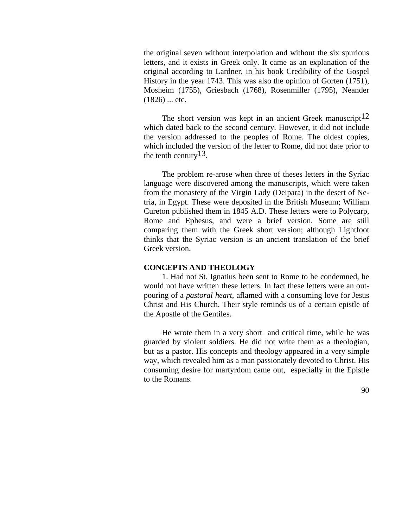the original seven without interpolation and without the six spurious letters, and it exists in Greek only. It came as an explanation of the original according to Lardner, in his book Credibility of the Gospel History in the year 1743. This was also the opinion of Gorten (1751), Mosheim (1755), Griesbach (1768), Rosenmiller (1795), Neander (1826) ... etc.

The short version was kept in an ancient Greek manuscript<sup>12</sup> which dated back to the second century. However, it did not include the version addressed to the peoples of Rome. The oldest copies, which included the version of the letter to Rome, did not date prior to the tenth century<sup>13</sup>.

 The problem re-arose when three of theses letters in the Syriac language were discovered among the manuscripts, which were taken from the monastery of the Virgin Lady (Deipara) in the desert of Netria, in Egypt. These were deposited in the British Museum; William Cureton published them in 1845 A.D. These letters were to Polycarp, Rome and Ephesus, and were a brief version. Some are still comparing them with the Greek short version; although Lightfoot thinks that the Syriac version is an ancient translation of the brief Greek version.

## **CONCEPTS AND THEOLOGY**

 1. Had not St. Ignatius been sent to Rome to be condemned, he would not have written these letters. In fact these letters were an outpouring of a *pastoral heart*, aflamed with a consuming love for Jesus Christ and His Church. Their style reminds us of a certain epistle of the Apostle of the Gentiles.

 He wrote them in a very short and critical time, while he was guarded by violent soldiers. He did not write them as a theologian, but as a pastor. His concepts and theology appeared in a very simple way, which revealed him as a man passionately devoted to Christ. His consuming desire for martyrdom came out, especially in the Epistle to the Romans.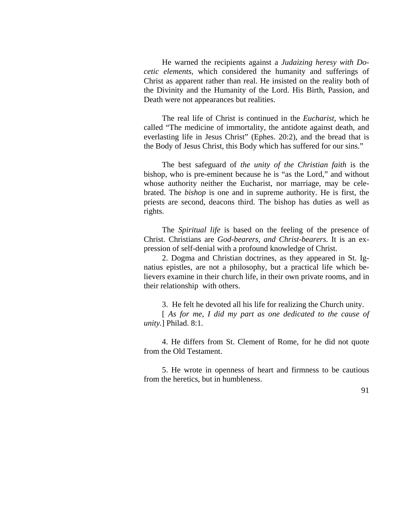He warned the recipients against a *Judaizing heresy with Docetic elements*, which considered the humanity and sufferings of Christ as apparent rather than real. He insisted on the reality both of the Divinity and the Humanity of the Lord. His Birth, Passion, and Death were not appearances but realities.

 The real life of Christ is continued in the *Eucharist*, which he called "The medicine of immortality, the antidote against death, and everlasting life in Jesus Christ" (Ephes. 20:2), and the bread that is the Body of Jesus Christ, this Body which has suffered for our sins."

 The best safeguard of *the unity of the Christian faith* is the bishop, who is pre-eminent because he is "as the Lord," and without whose authority neither the Eucharist, nor marriage, may be celebrated. The *bishop* is one and in supreme authority. He is first, the priests are second, deacons third. The bishop has duties as well as rights.

 The *Spiritual life* is based on the feeling of the presence of Christ. Christians are *God-bearers, and Christ-bearers*. It is an expression of self-denial with a profound knowledge of Christ.

 2. Dogma and Christian doctrines, as they appeared in St. Ignatius epistles, are not a philosophy, but a practical life which believers examine in their church life, in their own private rooms, and in their relationship with others.

3. He felt he devoted all his life for realizing the Church unity.

[ As for me, I did my part as one dedicated to the cause of *unity.*] Philad. 8:1.

 4. He differs from St. Clement of Rome, for he did not quote from the Old Testament.

 5. He wrote in openness of heart and firmness to be cautious from the heretics, but in humbleness.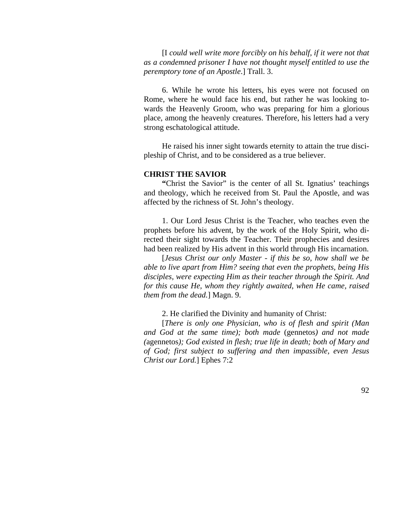[I *could well write more forcibly on his behalf, if it were not that as a condemned prisoner I have not thought myself entitled to use the peremptory tone of an Apostle*.] Trall. 3.

 6. While he wrote his letters, his eyes were not focused on Rome, where he would face his end, but rather he was looking towards the Heavenly Groom, who was preparing for him a glorious place, among the heavenly creatures. Therefore, his letters had a very strong eschatological attitude.

 He raised his inner sight towards eternity to attain the true discipleship of Christ, and to be considered as a true believer.

## **CHRIST THE SAVIOR**

 **"**Christ the Savior" is the center of all St. Ignatius' teachings and theology, which he received from St. Paul the Apostle, and was affected by the richness of St. John's theology.

 1. Our Lord Jesus Christ is the Teacher, who teaches even the prophets before his advent, by the work of the Holy Spirit, who directed their sight towards the Teacher. Their prophecies and desires had been realized by His advent in this world through His incarnation.

 [*Jesus Christ our only Master - if this be so, how shall we be able to live apart from Him? seeing that even the prophets, being His disciples, were expecting Him as their teacher through the Spirit. And for this cause He, whom they rightly awaited, when He came, raised them from the dead.*] Magn. 9.

## 2. He clarified the Divinity and humanity of Christ:

 [*There is only one Physician, who is of flesh and spirit (Man and God at the same time); both made* (gennetos*) and not made (*agennetos*); God existed in flesh; true life in death; both of Mary and of God; first subject to suffering and then impassible, even Jesus Christ our Lord.*] Ephes 7:2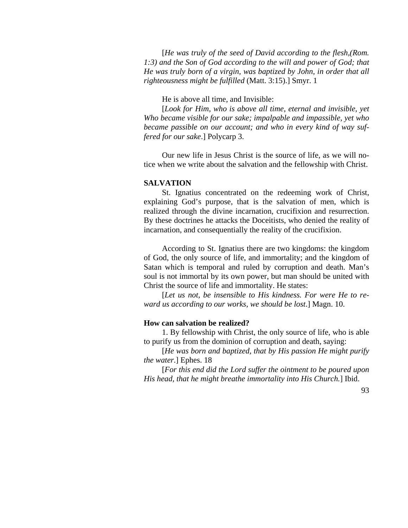[*He was truly of the seed of David according to the flesh,(Rom. 1:3) and the Son of God according to the will and power of God; that He was truly born of a virgin, was baptized by John, in order that all righteousness might be fulfilled* (Matt. 3:15).] Smyr. 1

He is above all time, and Invisible:

 [*Look for Him, who is above all time, eternal and invisible, yet Who became visible for our sake; impalpable and impassible, yet who became passible on our account; and who in every kind of way suffered for our sake*.] Polycarp 3.

 Our new life in Jesus Christ is the source of life, as we will notice when we write about the salvation and the fellowship with Christ.

## **SALVATION**

 St. Ignatius concentrated on the redeeming work of Christ, explaining God's purpose, that is the salvation of men, which is realized through the divine incarnation, crucifixion and resurrection. By these doctrines he attacks the Doceitists, who denied the reality of incarnation, and consequentially the reality of the crucifixion.

 According to St. Ignatius there are two kingdoms: the kingdom of God, the only source of life, and immortality; and the kingdom of Satan which is temporal and ruled by corruption and death. Man's soul is not immortal by its own power, but man should be united with Christ the source of life and immortality. He states:

[Let us not, be insensible to His kindness. For were He to re*ward us according to our works, we should be lost*.] Magn. 10.

#### **How can salvation be realized?**

 1. By fellowship with Christ, the only source of life, who is able to purify us from the dominion of corruption and death, saying:

 [*He was born and baptized, that by His passion He might purify the water*.] Ephes. 18

 [*For this end did the Lord suffer the ointment to be poured upon His head, that he might breathe immortality into His Church.*] Ibid.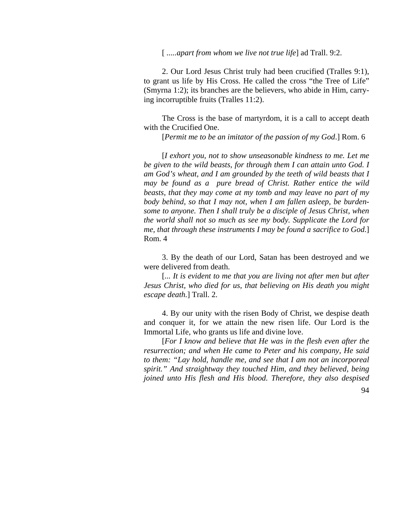[ *.....apart from whom we live not true life*] ad Trall. 9:2.

 2. Our Lord Jesus Christ truly had been crucified (Tralles 9:1), to grant us life by His Cross. He called the cross "the Tree of Life" (Smyrna 1:2); its branches are the believers, who abide in Him, carrying incorruptible fruits (Tralles 11:2).

 The Cross is the base of martyrdom, it is a call to accept death with the Crucified One.

[*Permit me to be an imitator of the passion of my God*.] Rom. 6

 [*I exhort you, not to show unseasonable kindness to me. Let me be given to the wild beasts, for through them I can attain unto God. I am God's wheat, and I am grounded by the teeth of wild beasts that I may be found as a pure bread of Christ. Rather entice the wild beasts, that they may come at my tomb and may leave no part of my body behind, so that I may not, when I am fallen asleep, be burdensome to anyone. Then I shall truly be a disciple of Jesus Christ, when the world shall not so much as see my body. Supplicate the Lord for me, that through these instruments I may be found a sacrifice to God*.] Rom. 4

 3. By the death of our Lord, Satan has been destroyed and we were delivered from death.

 [*... It is evident to me that you are living not after men but after Jesus Christ, who died for us, that believing on His death you might escape death.*] Trall. 2.

 4. By our unity with the risen Body of Christ, we despise death and conquer it, for we attain the new risen life. Our Lord is the Immortal Life, who grants us life and divine love.

 [*For I know and believe that He was in the flesh even after the resurrection; and when He came to Peter and his company, He said to them: "Lay hold, handle me, and see that I am not an incorporeal spirit." And straightway they touched Him, and they believed, being joined unto His flesh and His blood. Therefore, they also despised*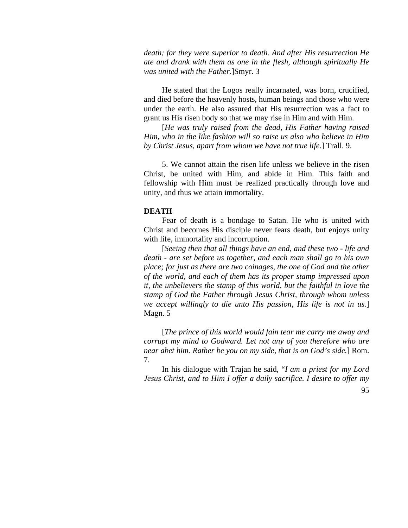*death; for they were superior to death. And after His resurrection He ate and drank with them as one in the flesh, although spiritually He was united with the Father*.]Smyr. 3

 He stated that the Logos really incarnated, was born, crucified, and died before the heavenly hosts, human beings and those who were under the earth. He also assured that His resurrection was a fact to grant us His risen body so that we may rise in Him and with Him.

 [*He was truly raised from the dead, His Father having raised Him, who in the like fashion will so raise us also who believe in Him by Christ Jesus, apart from whom we have not true life.*] Trall. 9.

 5. We cannot attain the risen life unless we believe in the risen Christ, be united with Him, and abide in Him. This faith and fellowship with Him must be realized practically through love and unity, and thus we attain immortality.

## **DEATH**

 Fear of death is a bondage to Satan. He who is united with Christ and becomes His disciple never fears death, but enjoys unity with life, immortality and incorruption.

 [*Seeing then that all things have an end, and these two - life and death - are set before us together, and each man shall go to his own place; for just as there are two coinages, the one of God and the other of the world, and each of them has its proper stamp impressed upon it, the unbelievers the stamp of this world, but the faithful in love the stamp of God the Father through Jesus Christ, through whom unless we accept willingly to die unto His passion, His life is not in us.*] Magn. 5

 [*The prince of this world would fain tear me carry me away and corrupt my mind to Godward. Let not any of you therefore who are near abet him. Rather be you on my side, that is on God's side.*] Rom. 7.

 In his dialogue with Trajan he said, "*I am a priest for my Lord Jesus Christ, and to Him I offer a daily sacrifice. I desire to offer my*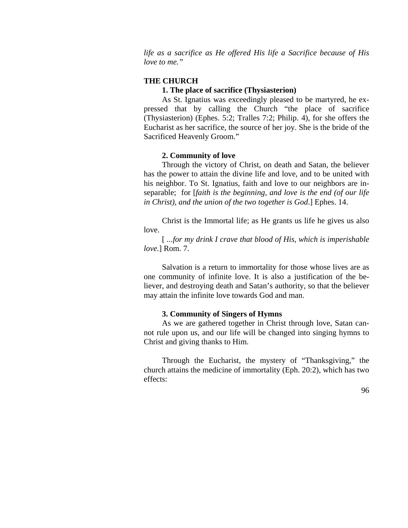*life as a sacrifice as He offered His life a Sacrifice because of His love to me."*

## **THE CHURCH**

## **1. The place of sacrifice (Thysiasterion)**

 As St. Ignatius was exceedingly pleased to be martyred, he expressed that by calling the Church "the place of sacrifice (Thysiasterion) (Ephes. 5:2; Tralles 7:2; Philip. 4), for she offers the Eucharist as her sacrifice, the source of her joy. She is the bride of the Sacrificed Heavenly Groom."

## **2. Community of love**

 Through the victory of Christ, on death and Satan, the believer has the power to attain the divine life and love, and to be united with his neighbor. To St. Ignatius, faith and love to our neighbors are inseparable; for [*faith is the beginning, and love is the end (of our life in Christ), and the union of the two together is God*.] Ephes. 14.

 Christ is the Immortal life; as He grants us life he gives us also love.

 [ *...for my drink I crave that blood of His, which is imperishable love.*] Rom. 7.

 Salvation is a return to immortality for those whose lives are as one community of infinite love. It is also a justification of the believer, and destroying death and Satan's authority, so that the believer may attain the infinite love towards God and man.

## **3. Community of Singers of Hymns**

 As we are gathered together in Christ through love, Satan cannot rule upon us, and our life will be changed into singing hymns to Christ and giving thanks to Him.

 Through the Eucharist, the mystery of "Thanksgiving," the church attains the medicine of immortality (Eph. 20:2), which has two effects: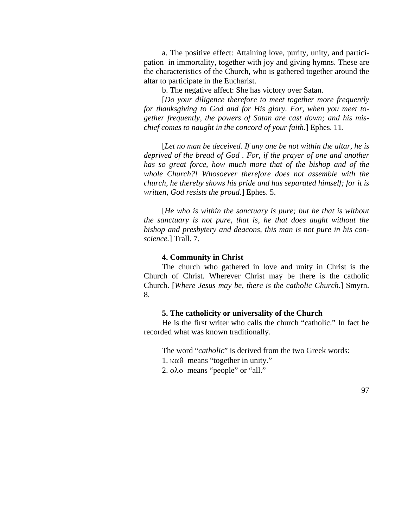a. The positive effect: Attaining love, purity, unity, and participation in immortality, together with joy and giving hymns. These are the characteristics of the Church, who is gathered together around the altar to participate in the Eucharist.

b. The negative affect: She has victory over Satan.

 [*Do your diligence therefore to meet together more frequently for thanksgiving to God and for His glory. For, when you meet together frequently, the powers of Satan are cast down; and his mischief comes to naught in the concord of your faith*.] Ephes. 11.

 [*Let no man be deceived. If any one be not within the altar, he is deprived of the bread of God . For, if the prayer of one and another has so great force, how much more that of the bishop and of the whole Church?! Whosoever therefore does not assemble with the church, he thereby shows his pride and has separated himself; for it is written, God resists the proud*.] Ephes. 5.

 [*He who is within the sanctuary is pure; but he that is without the sanctuary is not pure, that is, he that does aught without the bishop and presbytery and deacons, this man is not pure in his conscience.*] Trall. 7.

## **4. Community in Christ**

 The church who gathered in love and unity in Christ is the Church of Christ. Wherever Christ may be there is the catholic Church. [*Where Jesus may be, there is the catholic Church.*] Smyrn. 8.

## **5. The catholicity or universality of the Church**

 He is the first writer who calls the church "catholic." In fact he recorded what was known traditionally.

The word "*catholic*" is derived from the two Greek words:

1. καθ means "together in unity."

2. ολο means "people" or "all."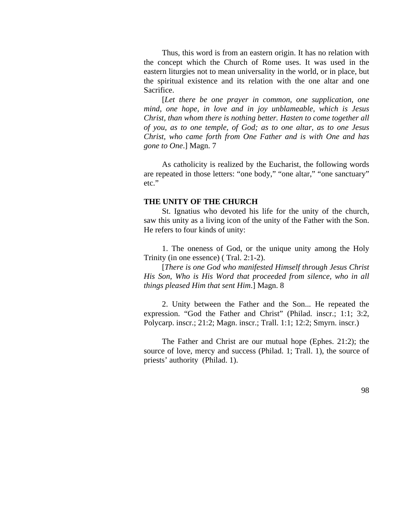Thus, this word is from an eastern origin. It has no relation with the concept which the Church of Rome uses. It was used in the eastern liturgies not to mean universality in the world, or in place, but the spiritual existence and its relation with the one altar and one Sacrifice.

 [*Let there be one prayer in common, one supplication, one mind, one hope, in love and in joy unblameable, which is Jesus Christ, than whom there is nothing better. Hasten to come together all of you, as to one temple, of God; as to one altar, as to one Jesus Christ, who came forth from One Father and is with One and has gone to One*.] Magn. 7

 As catholicity is realized by the Eucharist, the following words are repeated in those letters: "one body," "one altar," "one sanctuary" etc."

## **THE UNITY OF THE CHURCH**

 St. Ignatius who devoted his life for the unity of the church, saw this unity as a living icon of the unity of the Father with the Son. He refers to four kinds of unity:

 1. The oneness of God, or the unique unity among the Holy Trinity (in one essence) ( Tral. 2:1-2).

 [*There is one God who manifested Himself through Jesus Christ His Son, Who is His Word that proceeded from silence, who in all things pleased Him that sent Him*.] Magn. 8

 2. Unity between the Father and the Son... He repeated the expression. "God the Father and Christ" (Philad. inscr.; 1:1; 3:2, Polycarp. inscr.; 21:2; Magn. inscr.; Trall. 1:1; 12:2; Smyrn. inscr.)

 The Father and Christ are our mutual hope (Ephes. 21:2); the source of love, mercy and success (Philad. 1; Trall. 1), the source of priests' authority (Philad. 1).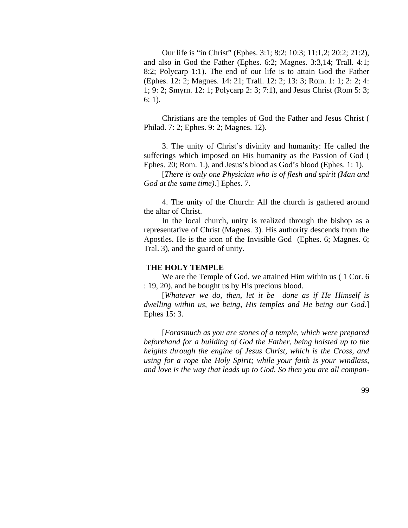Our life is "in Christ" (Ephes. 3:1; 8:2; 10:3; 11:1,2; 20:2; 21:2), and also in God the Father (Ephes. 6:2; Magnes. 3:3,14; Trall. 4:1; 8:2; Polycarp 1:1). The end of our life is to attain God the Father (Ephes. 12: 2; Magnes. 14: 21; Trall. 12: 2; 13: 3; Rom. 1: 1; 2: 2; 4: 1; 9: 2; Smyrn. 12: 1; Polycarp 2: 3; 7:1), and Jesus Christ (Rom 5: 3; 6: 1).

 Christians are the temples of God the Father and Jesus Christ ( Philad. 7: 2; Ephes. 9: 2; Magnes. 12).

 3. The unity of Christ's divinity and humanity: He called the sufferings which imposed on His humanity as the Passion of God ( Ephes. 20; Rom. 1.), and Jesus's blood as God's blood (Ephes. 1: 1).

 [*There is only one Physician who is of flesh and spirit (Man and God at the same time)*.] Ephes. 7.

 4. The unity of the Church: All the church is gathered around the altar of Christ.

 In the local church, unity is realized through the bishop as a representative of Christ (Magnes. 3). His authority descends from the Apostles. He is the icon of the Invisible God (Ephes. 6; Magnes. 6; Tral. 3), and the guard of unity.

#### **THE HOLY TEMPLE**

We are the Temple of God, we attained Him within us (1 Cor. 6) : 19, 20), and he bought us by His precious blood.

 [*Whatever we do, then, let it be done as if He Himself is dwelling within us, we being, His temples and He being our God.*] Ephes 15: 3.

 [*Forasmuch as you are stones of a temple, which were prepared beforehand for a building of God the Father, being hoisted up to the heights through the engine of Jesus Christ, which is the Cross, and using for a rope the Holy Spirit; while your faith is your windlass, and love is the way that leads up to God. So then you are all compan-*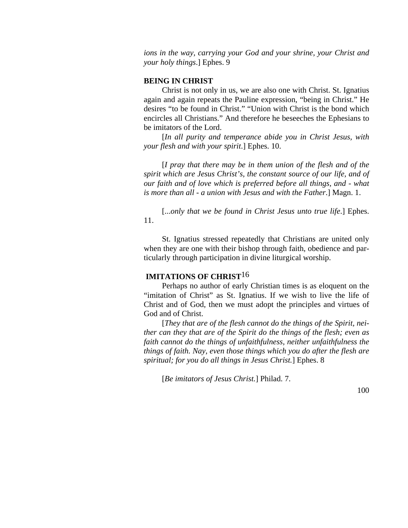*ions in the way, carrying your God and your shrine, your Christ and your holy things*.] Ephes. 9

## **BEING IN CHRIST**

 Christ is not only in us, we are also one with Christ. St. Ignatius again and again repeats the Pauline expression, "being in Christ." He desires "to be found in Christ." "Union with Christ is the bond which encircles all Christians." And therefore he beseeches the Ephesians to be imitators of the Lord.

 [*In all purity and temperance abide you in Christ Jesus, with your flesh and with your spirit*.] Ephes. 10.

 [*I pray that there may be in them union of the flesh and of the spirit which are Jesus Christ's, the constant source of our life, and of our faith and of love which is preferred before all things, and - what is more than all - a union with Jesus and with the Father*.] Magn. 1.

 [...*only that we be found in Christ Jesus unto true life*.] Ephes. 11.

 St. Ignatius stressed repeatedly that Christians are united only when they are one with their bishop through faith, obedience and particularly through participation in divine liturgical worship.

## **IMITATIONS OF CHRIST**16

 Perhaps no author of early Christian times is as eloquent on the "imitation of Christ" as St. Ignatius. If we wish to live the life of Christ and of God, then we must adopt the principles and virtues of God and of Christ.

 [*They that are of the flesh cannot do the things of the Spirit, neither can they that are of the Spirit do the things of the flesh; even as faith cannot do the things of unfaithfulness, neither unfaithfulness the things of faith. Nay, even those things which you do after the flesh are spiritual; for you do all things in Jesus Christ.*] Ephes. 8

[*Be imitators of Jesus Christ.*] Philad. 7.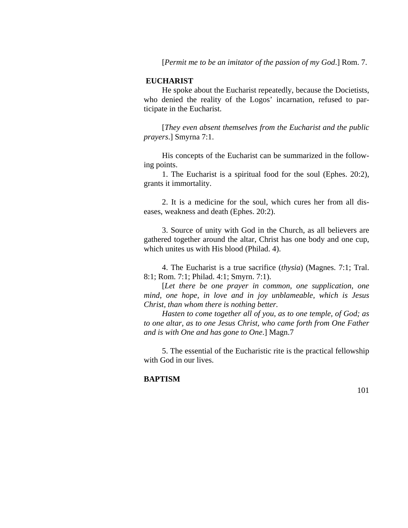[*Permit me to be an imitator of the passion of my God*.] Rom. 7.

#### **EUCHARIST**

 He spoke about the Eucharist repeatedly, because the Docietists, who denied the reality of the Logos' incarnation, refused to participate in the Eucharist.

 [*They even absent themselves from the Eucharist and the public prayers*.] Smyrna 7:1.

 His concepts of the Eucharist can be summarized in the following points.

 1. The Eucharist is a spiritual food for the soul (Ephes. 20:2), grants it immortality.

 2. It is a medicine for the soul, which cures her from all diseases, weakness and death (Ephes. 20:2).

 3. Source of unity with God in the Church, as all believers are gathered together around the altar, Christ has one body and one cup, which unites us with His blood (Philad. 4).

 4. The Eucharist is a true sacrifice (*thysia*) (Magnes. 7:1; Tral. 8:1; Rom. 7:1; Philad. 4:1; Smyrn. 7:1).

 [*Let there be one prayer in common, one supplication, one mind, one hope, in love and in joy unblameable, which is Jesus Christ, than whom there is nothing better.* 

 *Hasten to come together all of you, as to one temple, of God; as to one altar, as to one Jesus Christ, who came forth from One Father and is with One and has gone to One*.] Magn.7

 5. The essential of the Eucharistic rite is the practical fellowship with God in our lives.

## **BAPTISM**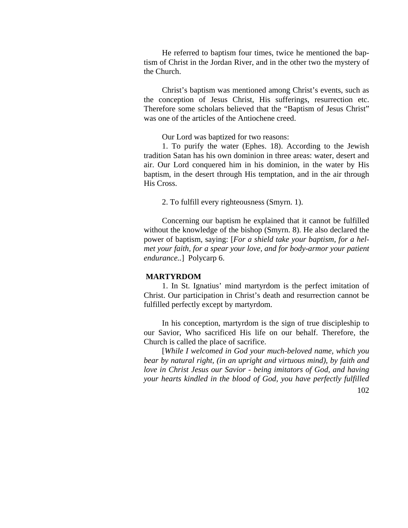He referred to baptism four times, twice he mentioned the baptism of Christ in the Jordan River, and in the other two the mystery of the Church.

 Christ's baptism was mentioned among Christ's events, such as the conception of Jesus Christ, His sufferings, resurrection etc. Therefore some scholars believed that the "Baptism of Jesus Christ" was one of the articles of the Antiochene creed.

Our Lord was baptized for two reasons:

 1. To purify the water (Ephes. 18). According to the Jewish tradition Satan has his own dominion in three areas: water, desert and air. Our Lord conquered him in his dominion, in the water by His baptism, in the desert through His temptation, and in the air through His Cross.

2. To fulfill every righteousness (Smyrn. 1).

 Concerning our baptism he explained that it cannot be fulfilled without the knowledge of the bishop (Smyrn. 8). He also declared the power of baptism, saying: [*For a shield take your baptism, for a helmet your faith, for a spear your love, and for body-armor your patient endurance..*] Polycarp 6.

## **MARTYRDOM**

 1. In St. Ignatius' mind martyrdom is the perfect imitation of Christ. Our participation in Christ's death and resurrection cannot be fulfilled perfectly except by martyrdom.

 In his conception, martyrdom is the sign of true discipleship to our Savior, Who sacrificed His life on our behalf. Therefore, the Church is called the place of sacrifice.

 [*While I welcomed in God your much-beloved name, which you bear by natural right, (in an upright and virtuous mind), by faith and love in Christ Jesus our Savior - being imitators of God, and having your hearts kindled in the blood of God, you have perfectly fulfilled*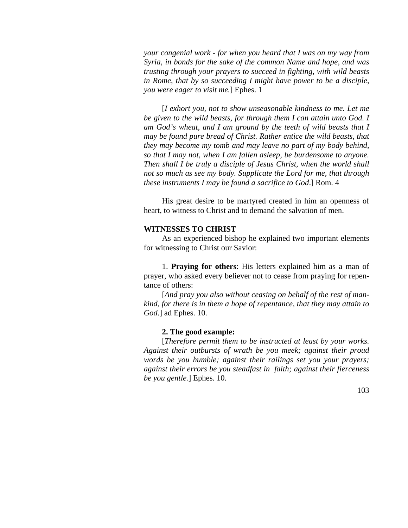*your congenial work - for when you heard that I was on my way from Syria, in bonds for the sake of the common Name and hope, and was trusting through your prayers to succeed in fighting, with wild beasts in Rome, that by so succeeding I might have power to be a disciple, you were eager to visit me.*] Ephes. 1

 [*I exhort you, not to show unseasonable kindness to me. Let me be given to the wild beasts, for through them I can attain unto God. I am God's wheat, and I am ground by the teeth of wild beasts that I may be found pure bread of Christ. Rather entice the wild beasts, that they may become my tomb and may leave no part of my body behind, so that I may not, when I am fallen asleep, be burdensome to anyone. Then shall I be truly a disciple of Jesus Christ, when the world shall not so much as see my body. Supplicate the Lord for me, that through these instruments I may be found a sacrifice to God*.] Rom. 4

 His great desire to be martyred created in him an openness of heart, to witness to Christ and to demand the salvation of men.

## **WITNESSES TO CHRIST**

 As an experienced bishop he explained two important elements for witnessing to Christ our Savior:

 1. **Praying for others**: His letters explained him as a man of prayer, who asked every believer not to cease from praying for repentance of others:

 [*And pray you also without ceasing on behalf of the rest of mankind, for there is in them a hope of repentance, that they may attain to God*.] ad Ephes. 10.

#### **2. The good example:**

 [*Therefore permit them to be instructed at least by your works. Against their outbursts of wrath be you meek; against their proud words be you humble; against their railings set you your prayers; against their errors be you steadfast in faith; against their fierceness be you gentle.*] Ephes. 10.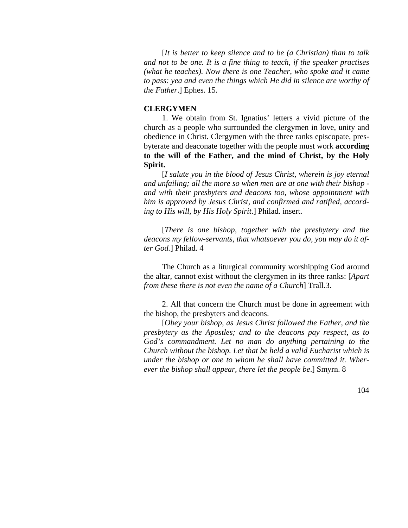[*It is better to keep silence and to be (a Christian) than to talk and not to be one. It is a fine thing to teach, if the speaker practises (what he teaches). Now there is one Teacher, who spoke and it came to pass: yea and even the things which He did in silence are worthy of the Father*.] Ephes. 15.

## **CLERGYMEN**

 1. We obtain from St. Ignatius' letters a vivid picture of the church as a people who surrounded the clergymen in love, unity and obedience in Christ. Clergymen with the three ranks episcopate, presbyterate and deaconate together with the people must work **according to the will of the Father, and the mind of Christ, by the Holy Spirit.** 

 [*I salute you in the blood of Jesus Christ, wherein is joy eternal and unfailing; all the more so when men are at one with their bishop and with their presbyters and deacons too, whose appointment with him is approved by Jesus Christ, and confirmed and ratified, according to His will, by His Holy Spirit*.] Philad. insert.

 [*There is one bishop, together with the presbytery and the deacons my fellow-servants, that whatsoever you do, you may do it after God.*] Philad. 4

 The Church as a liturgical community worshipping God around the altar, cannot exist without the clergymen in its three ranks: [*Apart from these there is not even the name of a Church*] Trall.3.

 2. All that concern the Church must be done in agreement with the bishop, the presbyters and deacons.

 [*Obey your bishop, as Jesus Christ followed the Father, and the presbytery as the Apostles; and to the deacons pay respect, as to God's commandment. Let no man do anything pertaining to the Church without the bishop. Let that be held a valid Eucharist which is under the bishop or one to whom he shall have committed it. Wherever the bishop shall appear, there let the people be*.] Smyrn. 8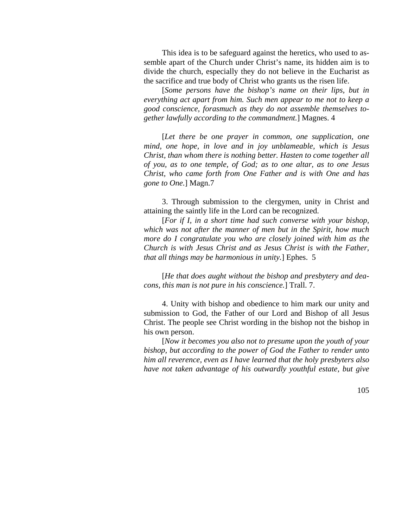This idea is to be safeguard against the heretics, who used to assemble apart of the Church under Christ's name, its hidden aim is to divide the church, especially they do not believe in the Eucharist as the sacrifice and true body of Christ who grants us the risen life.

 [*Some persons have the bishop's name on their lips, but in everything act apart from him. Such men appear to me not to keep a good conscience, forasmuch as they do not assemble themselves together lawfully according to the commandment.*] Magnes. 4

 [*Let there be one prayer in common, one supplication, one mind, one hope, in love and in joy unblameable, which is Jesus Christ, than whom there is nothing better. Hasten to come together all of you, as to one temple, of God; as to one altar, as to one Jesus Christ, who came forth from One Father and is with One and has gone to One.*] Magn.7

 3. Through submission to the clergymen, unity in Christ and attaining the saintly life in the Lord can be recognized.

 [*For if I, in a short time had such converse with your bishop, which was not after the manner of men but in the Spirit, how much more do I congratulate you who are closely joined with him as the Church is with Jesus Christ and as Jesus Christ is with the Father, that all things may be harmonious in unity.*] Ephes. 5

 [*He that does aught without the bishop and presbytery and deacons, this man is not pure in his conscience.*] Trall. 7.

 4. Unity with bishop and obedience to him mark our unity and submission to God, the Father of our Lord and Bishop of all Jesus Christ. The people see Christ wording in the bishop not the bishop in his own person.

 [*Now it becomes you also not to presume upon the youth of your bishop, but according to the power of God the Father to render unto him all reverence, even as I have learned that the holy presbyters also have not taken advantage of his outwardly youthful estate, but give*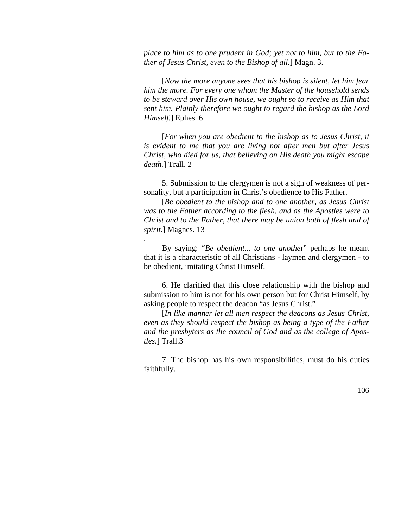*place to him as to one prudent in God; yet not to him, but to the Father of Jesus Christ, even to the Bishop of all.*] Magn. 3.

 [*Now the more anyone sees that his bishop is silent, let him fear him the more. For every one whom the Master of the household sends to be steward over His own house, we ought so to receive as Him that sent him. Plainly therefore we ought to regard the bishop as the Lord Himself.*] Ephes. 6

 [*For when you are obedient to the bishop as to Jesus Christ, it is evident to me that you are living not after men but after Jesus Christ, who died for us, that believing on His death you might escape death.*] Trall. 2

 5. Submission to the clergymen is not a sign of weakness of personality, but a participation in Christ's obedience to His Father.

 [*Be obedient to the bishop and to one another, as Jesus Christ was to the Father according to the flesh, and as the Apostles were to Christ and to the Father, that there may be union both of flesh and of spirit.*] Magnes. 13

 By saying: "*Be obedient... to one anothe*r" perhaps he meant that it is a characteristic of all Christians - laymen and clergymen - to be obedient, imitating Christ Himself.

.

 6. He clarified that this close relationship with the bishop and submission to him is not for his own person but for Christ Himself, by asking people to respect the deacon "as Jesus Christ."

 [*In like manner let all men respect the deacons as Jesus Christ, even as they should respect the bishop as being a type of the Father and the presbyters as the council of God and as the college of Apostles.*] Trall.3

 7. The bishop has his own responsibilities, must do his duties faithfully.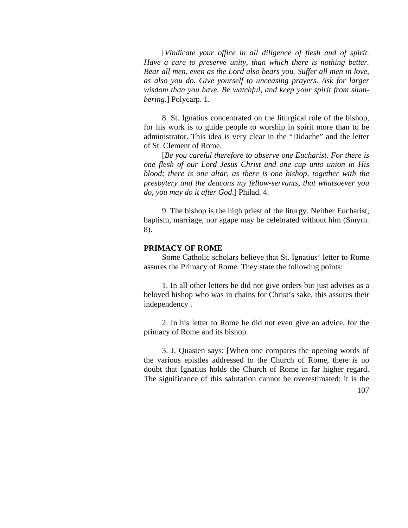[*Vindicate your office in all diligence of flesh and of spirit. Have a care to preserve unity, than which there is nothing better. Bear all men, even as the Lord also bears you. Suffer all men in love, as also you do. Give yourself to unceasing prayers. Ask for larger wisdom than you have. Be watchful, and keep your spirit from slumbering*.] Polycarp. 1.

 8. St. Ignatius concentrated on the liturgical role of the bishop, for his work is to guide people to worship in spirit more than to be administrator. This idea is very clear in the "Didache" and the letter of St. Clement of Rome.

 [*Be you careful therefore to observe one Eucharist. For there is one flesh of our Lord Jesus Christ and one cup unto union in His blood; there is one altar, as there is one bishop, together with the presbytery and the deacons my fellow-servants, that whatsoever you do, you may do it after God*.] Philad. 4.

 9. The bishop is the high priest of the liturgy. Neither Eucharist, baptism, marriage, nor agape may be celebrated without him (Smyrn. 8).

## **PRIMACY OF ROME**

 Some Catholic scholars believe that St. Ignatius' letter to Rome assures the Primacy of Rome. They state the following points:

 1. In all other letters he did not give orders but just advises as a beloved bishop who was in chains for Christ's sake, this assures their independency .

 2. In his letter to Rome he did not even give an advice, for the primacy of Rome and its bishop.

 3. J. Quasten says: [When one compares the opening words of the various epistles addressed to the Church of Rome, there is no doubt that Ignatius holds the Church of Rome in far higher regard. The significance of this salutation cannot be overestimated; it is the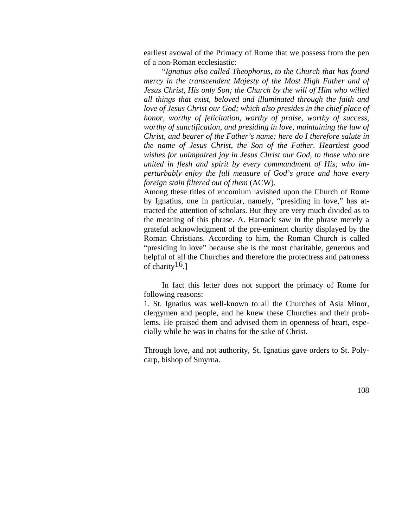earliest avowal of the Primacy of Rome that we possess from the pen of a non-Roman ecclesiastic:

 "*Ignatius also called Theophorus, to the Church that has found mercy in the transcendent Majesty of the Most High Father and of Jesus Christ, His only Son; the Church by the will of Him who willed all things that exist, beloved and illuminated through the faith and love of Jesus Christ our God; which also presides in the chief place of honor, worthy of felicitation, worthy of praise, worthy of success, worthy of sanctification, and presiding in love, maintaining the law of Christ, and bearer of the Father's name: here do I therefore salute in the name of Jesus Christ, the Son of the Father. Heartiest good wishes for unimpaired joy in Jesus Christ our God, to those who are united in flesh and spirit by every commandment of His; who imperturbably enjoy the full measure of God's grace and have every foreign stain filtered out of them* (ACW).

Among these titles of encomium lavished upon the Church of Rome by Ignatius, one in particular, namely, "presiding in love," has attracted the attention of scholars. But they are very much divided as to the meaning of this phrase. A. Harnack saw in the phrase merely a grateful acknowledgment of the pre-eminent charity displayed by the Roman Christians. According to him, the Roman Church is called "presiding in love" because she is the most charitable, generous and helpful of all the Churches and therefore the protectress and patroness of charity<sup>16.</sup>]

 In fact this letter does not support the primacy of Rome for following reasons:

1. St. Ignatius was well-known to all the Churches of Asia Minor, clergymen and people, and he knew these Churches and their problems. He praised them and advised them in openness of heart, especially while he was in chains for the sake of Christ.

Through love, and not authority, St. Ignatius gave orders to St. Polycarp, bishop of Smyrna.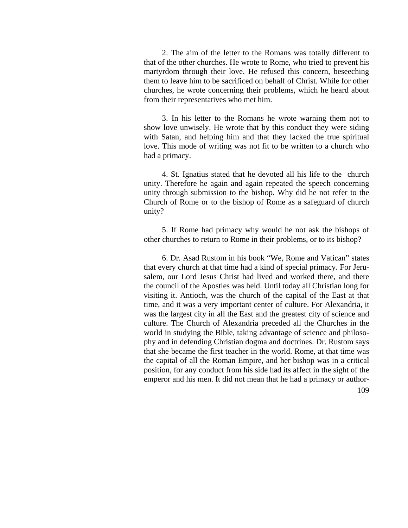2. The aim of the letter to the Romans was totally different to that of the other churches. He wrote to Rome, who tried to prevent his martyrdom through their love. He refused this concern, beseeching them to leave him to be sacrificed on behalf of Christ. While for other churches, he wrote concerning their problems, which he heard about from their representatives who met him.

 3. In his letter to the Romans he wrote warning them not to show love unwisely. He wrote that by this conduct they were siding with Satan, and helping him and that they lacked the true spiritual love. This mode of writing was not fit to be written to a church who had a primacy.

 4. St. Ignatius stated that he devoted all his life to the church unity. Therefore he again and again repeated the speech concerning unity through submission to the bishop. Why did he not refer to the Church of Rome or to the bishop of Rome as a safeguard of church unity?

 5. If Rome had primacy why would he not ask the bishops of other churches to return to Rome in their problems, or to its bishop?

 6. Dr. Asad Rustom in his book "We, Rome and Vatican" states that every church at that time had a kind of special primacy. For Jerusalem, our Lord Jesus Christ had lived and worked there, and there the council of the Apostles was held. Until today all Christian long for visiting it. Antioch, was the church of the capital of the East at that time, and it was a very important center of culture. For Alexandria, it was the largest city in all the East and the greatest city of science and culture. The Church of Alexandria preceded all the Churches in the world in studying the Bible, taking advantage of science and philosophy and in defending Christian dogma and doctrines. Dr. Rustom says that she became the first teacher in the world. Rome, at that time was the capital of all the Roman Empire, and her bishop was in a critical position, for any conduct from his side had its affect in the sight of the emperor and his men. It did not mean that he had a primacy or author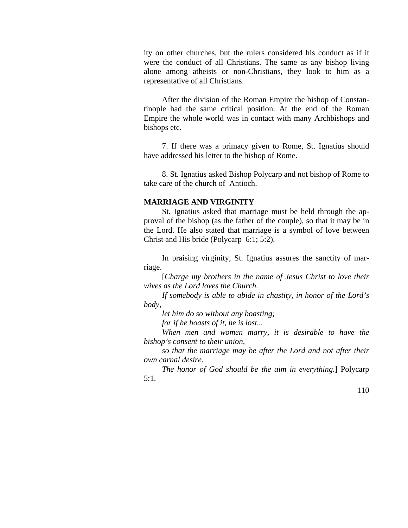ity on other churches, but the rulers considered his conduct as if it were the conduct of all Christians. The same as any bishop living alone among atheists or non-Christians, they look to him as a representative of all Christians.

 After the division of the Roman Empire the bishop of Constantinople had the same critical position. At the end of the Roman Empire the whole world was in contact with many Archbishops and bishops etc.

 7. If there was a primacy given to Rome, St. Ignatius should have addressed his letter to the bishop of Rome.

 8. St. Ignatius asked Bishop Polycarp and not bishop of Rome to take care of the church of Antioch.

## **MARRIAGE AND VIRGINITY**

 St. Ignatius asked that marriage must be held through the approval of the bishop (as the father of the couple), so that it may be in the Lord. He also stated that marriage is a symbol of love between Christ and His bride (Polycarp 6:1; 5:2).

 In praising virginity, St. Ignatius assures the sanctity of marriage.

 [*Charge my brothers in the name of Jesus Christ to love their wives as the Lord loves the Church.* 

 *If somebody is able to abide in chastity, in honor of the Lord's body,* 

 *let him do so without any boasting;* 

 *for if he boasts of it, he is lost...* 

 *When men and women marry, it is desirable to have the bishop's consent to their union,* 

 *so that the marriage may be after the Lord and not after their own carnal desire.* 

 *The honor of God should be the aim in everything.*] Polycarp  $5:1$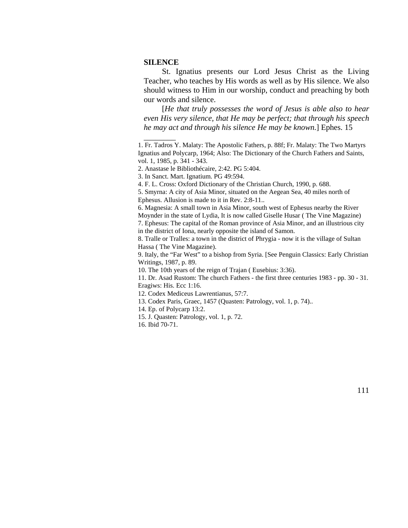#### **SILENCE**

\_\_\_\_\_\_\_\_

 St. Ignatius presents our Lord Jesus Christ as the Living Teacher, who teaches by His words as well as by His silence. We also should witness to Him in our worship, conduct and preaching by both our words and silence.

 [*He that truly possesses the word of Jesus is able also to hear even His very silence, that He may be perfect; that through his speech he may act and through his silence He may be known.*] Ephes. 15

<sup>1.</sup> Fr. Tadros Y. Malaty: The Apostolic Fathers, p. 88f; Fr. Malaty: The Two Martyrs Ignatius and Polycarp, 1964; Also: The Dictionary of the Church Fathers and Saints, vol. 1, 1985, p. 341 - 343.

<sup>2.</sup> Anastase le Bibliothécaire, 2:42. PG 5:404.

<sup>3.</sup> In Sanct. Mart. Ignatium. PG 49:594.

<sup>4.</sup> F. L. Cross: Oxford Dictionary of the Christian Church, 1990, p. 688.

<sup>5.</sup> Smyrna: A city of Asia Minor, situated on the Aegean Sea, 40 miles north of Ephesus. Allusion is made to it in Rev. 2:8-11..

<sup>6.</sup> Magnesia: A small town in Asia Minor, south west of Ephesus nearby the River Moynder in the state of Lydia, It is now called Giselle Husar ( The Vine Magazine)

<sup>7.</sup> Ephesus: The capital of the Roman province of Asia Minor, and an illustrious city in the district of Iona, nearly opposite the island of Samon.

<sup>8.</sup> Tralle or Tralles: a town in the district of Phrygia - now it is the village of Sultan Hassa ( The Vine Magazine).

<sup>9.</sup> Italy, the "Far West" to a bishop from Syria. [See Penguin Classics: Early Christian Writings, 1987, p. 89.

<sup>10.</sup> The 10th years of the reign of Trajan ( Eusebius: 3:36).

<sup>11.</sup> Dr. Asad Rustom: The church Fathers - the first three centuries 1983 - pp. 30 - 31. Eragiws: His. Ecc 1:16.

<sup>12.</sup> Codex Mediceus Lawrentianus, 57:7.

<sup>13.</sup> Codex Paris, Graec, 1457 (Quasten: Patrology, vol. 1, p. 74)..

<sup>14.</sup> Ep. of Polycarp 13:2.

<sup>15.</sup> J. Quasten: Patrology, vol. 1, p. 72.

<sup>16.</sup> Ibid 70-71.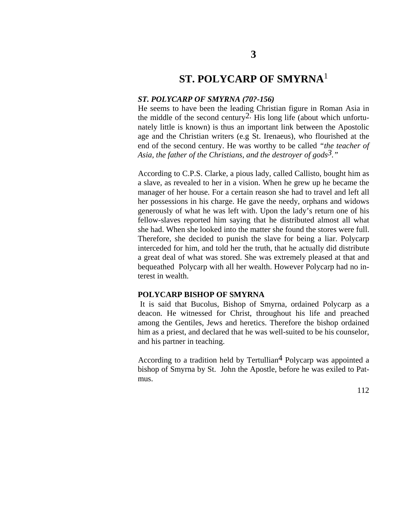# **ST. POLYCARP OF SMYRNA**<sup>1</sup>

#### *ST. POLYCARP OF SMYRNA (70?-156)*

 He seems to have been the leading Christian figure in Roman Asia in the middle of the second century<sup>2</sup>. His long life (about which unfortunately little is known) is thus an important link between the Apostolic age and the Christian writers (e.g St. Irenaeus), who flourished at the end of the second century. He was worthy to be called *"the teacher of Asia, the father of the Christians, and the destroyer of gods3."* 

 According to C.P.S. Clarke, a pious lady, called Callisto, bought him as a slave, as revealed to her in a vision. When he grew up he became the manager of her house. For a certain reason she had to travel and left all her possessions in his charge. He gave the needy, orphans and widows generously of what he was left with. Upon the lady's return one of his fellow-slaves reported him saying that he distributed almost all what she had. When she looked into the matter she found the stores were full. Therefore, she decided to punish the slave for being a liar. Polycarp interceded for him, and told her the truth, that he actually did distribute a great deal of what was stored. She was extremely pleased at that and bequeathed Polycarp with all her wealth. However Polycarp had no interest in wealth.

#### **POLYCARP BISHOP OF SMYRNA**

 It is said that Bucolus, Bishop of Smyrna, ordained Polycarp as a deacon. He witnessed for Christ, throughout his life and preached among the Gentiles, Jews and heretics. Therefore the bishop ordained him as a priest, and declared that he was well-suited to be his counselor, and his partner in teaching.

According to a tradition held by Tertullian<sup>4</sup> Polycarp was appointed a bishop of Smyrna by St. John the Apostle, before he was exiled to Patmus.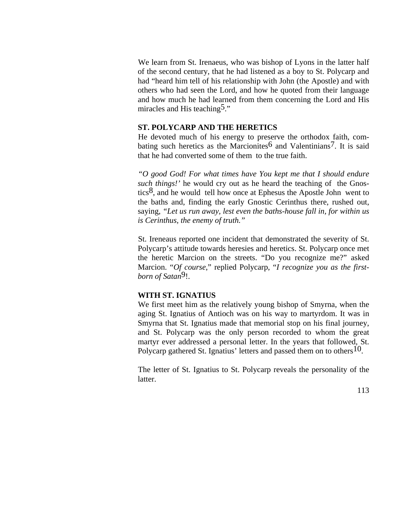We learn from St. Irenaeus, who was bishop of Lyons in the latter half of the second century, that he had listened as a boy to St. Polycarp and had "heard him tell of his relationship with John (the Apostle) and with others who had seen the Lord, and how he quoted from their language and how much he had learned from them concerning the Lord and His miracles and His teaching<sup>5</sup>."

# **ST. POLYCARP AND THE HERETICS**

 He devoted much of his energy to preserve the orthodox faith, combating such heretics as the Marcionites<sup>6</sup> and Valentinians<sup>7</sup>. It is said that he had converted some of them to the true faith.

 *"O good God! For what times have You kept me that I should endure such things!'* he would cry out as he heard the teaching of the Gnostics<sup>8</sup>, and he would tell how once at Ephesus the Apostle John went to the baths and, finding the early Gnostic Cerinthus there, rushed out, saying, *"Let us run away, lest even the baths-house fall in, for within us is Cerinthus, the enemy of truth."* 

 St. Ireneaus reported one incident that demonstrated the severity of St. Polycarp's attitude towards heresies and heretics. St. Polycarp once met the heretic Marcion on the streets. "Do you recognize me?" asked Marcion. "*Of course*," replied Polycarp, "*I recognize you as the firstborn of Satan*9!.

# **WITH ST. IGNATIUS**

 We first meet him as the relatively young bishop of Smyrna, when the aging St. Ignatius of Antioch was on his way to martyrdom. It was in Smyrna that St. Ignatius made that memorial stop on his final journey, and St. Polycarp was the only person recorded to whom the great martyr ever addressed a personal letter. In the years that followed, St. Polycarp gathered St. Ignatius' letters and passed them on to others<sup>10</sup>.

 The letter of St. Ignatius to St. Polycarp reveals the personality of the latter.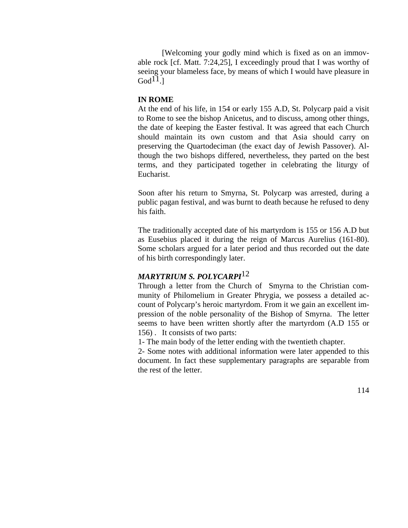[Welcoming your godly mind which is fixed as on an immovable rock [cf. Matt. 7:24,25], I exceedingly proud that I was worthy of seeing your blameless face, by means of which I would have pleasure in  $God<sup>11</sup>.$ ]

# **IN ROME**

 At the end of his life, in 154 or early 155 A.D, St. Polycarp paid a visit to Rome to see the bishop Anicetus, and to discuss, among other things, the date of keeping the Easter festival. It was agreed that each Church should maintain its own custom and that Asia should carry on preserving the Quartodeciman (the exact day of Jewish Passover). Although the two bishops differed, nevertheless, they parted on the best terms, and they participated together in celebrating the liturgy of Eucharist.

 Soon after his return to Smyrna, St. Polycarp was arrested, during a public pagan festival, and was burnt to death because he refused to deny his faith.

 The traditionally accepted date of his martyrdom is 155 or 156 A.D but as Eusebius placed it during the reign of Marcus Aurelius (161-80). Some scholars argued for a later period and thus recorded out the date of his birth correspondingly later.

# *MARYTRIUM S. POLYCARPI*12

 Through a letter from the Church of Smyrna to the Christian community of Philomelium in Greater Phrygia, we possess a detailed account of Polycarp's heroic martyrdom. From it we gain an excellent impression of the noble personality of the Bishop of Smyrna. The letter seems to have been written shortly after the martyrdom (A.D 155 or 156) . It consists of two parts:

1- The main body of the letter ending with the twentieth chapter.

 2- Some notes with additional information were later appended to this document. In fact these supplementary paragraphs are separable from the rest of the letter.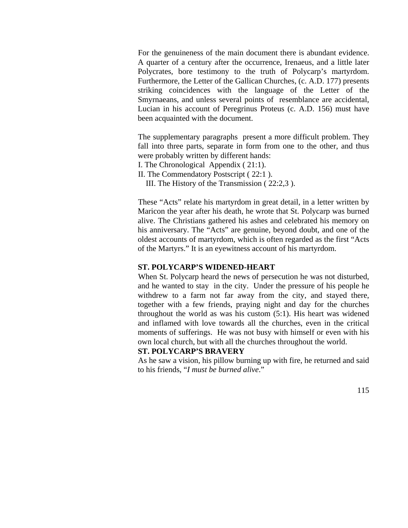For the genuineness of the main document there is abundant evidence. A quarter of a century after the occurrence, Irenaeus, and a little later Polycrates, bore testimony to the truth of Polycarp's martyrdom. Furthermore, the Letter of the Gallican Churches, (c. A.D. 177) presents striking coincidences with the language of the Letter of the Smyrnaeans, and unless several points of resemblance are accidental, Lucian in his account of Peregrinus Proteus (c. A.D. 156) must have been acquainted with the document.

 The supplementary paragraphs present a more difficult problem. They fall into three parts, separate in form from one to the other, and thus were probably written by different hands:

I. The Chronological Appendix ( 21:1).

II. The Commendatory Postscript ( 22:1 ).

III. The History of the Transmission ( 22:2,3 ).

 These "Acts" relate his martyrdom in great detail, in a letter written by Maricon the year after his death, he wrote that St. Polycarp was burned alive. The Christians gathered his ashes and celebrated his memory on his anniversary. The "Acts" are genuine, beyond doubt, and one of the oldest accounts of martyrdom, which is often regarded as the first "Acts of the Martyrs." It is an eyewitness account of his martyrdom.

## **ST. POLYCARP'S WIDENED-HEART**

 When St. Polycarp heard the news of persecution he was not disturbed, and he wanted to stay in the city. Under the pressure of his people he withdrew to a farm not far away from the city, and stayed there, together with a few friends, praying night and day for the churches throughout the world as was his custom (5:1). His heart was widened and inflamed with love towards all the churches, even in the critical moments of sufferings. He was not busy with himself or even with his own local church, but with all the churches throughout the world.

## **ST. POLYCARP'S BRAVERY**

 As he saw a vision, his pillow burning up with fire, he returned and said to his friends, "*I must be burned alive*."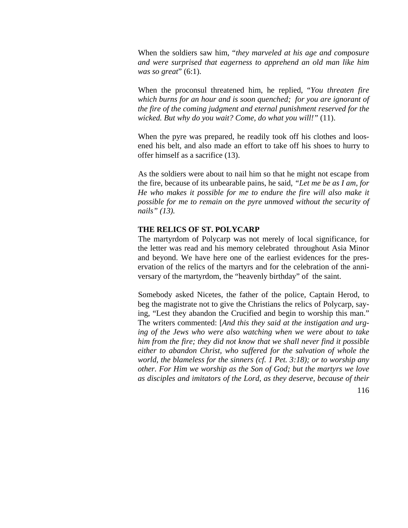When the soldiers saw him, "*they marveled at his age and composure and were surprised that eagerness to apprehend an old man like him was so great*" (6:1).

 When the proconsul threatened him, he replied, "*You threaten fire which burns for an hour and is soon quenched; for you are ignorant of the fire of the coming judgment and eternal punishment reserved for the wicked. But why do you wait? Come, do what you will!"* (11).

 When the pyre was prepared, he readily took off his clothes and loosened his belt, and also made an effort to take off his shoes to hurry to offer himself as a sacrifice (13).

As the soldiers were about to nail him so that he might not escape from the fire, because of its unbearable pains, he said*, "Let me be as I am, for He who makes it possible for me to endure the fire will also make it possible for me to remain on the pyre unmoved without the security of nails" (13).* 

## **THE RELICS OF ST. POLYCARP**

 The martyrdom of Polycarp was not merely of local significance, for the letter was read and his memory celebrated throughout Asia Minor and beyond. We have here one of the earliest evidences for the preservation of the relics of the martyrs and for the celebration of the anniversary of the martyrdom, the "heavenly birthday" of the saint.

 Somebody asked Nicetes, the father of the police, Captain Herod, to beg the magistrate not to give the Christians the relics of Polycarp, saying, "Lest they abandon the Crucified and begin to worship this man." The writers commented: [*And this they said at the instigation and urging of the Jews who were also watching when we were about to take him from the fire; they did not know that we shall never find it possible either to abandon Christ, who suffered for the salvation of whole the world, the blameless for the sinners (cf. 1 Pet. 3:18); or to worship any other. For Him we worship as the Son of God; but the martyrs we love as disciples and imitators of the Lord, as they deserve, because of their*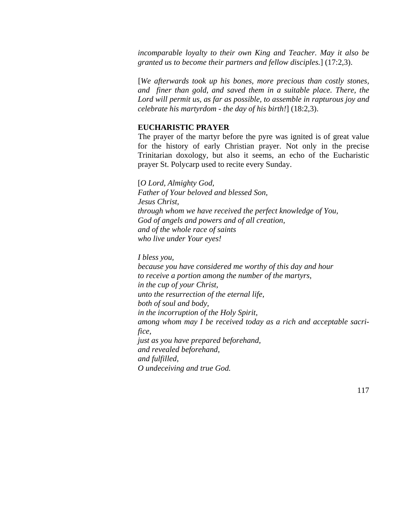*incomparable loyalty to their own King and Teacher. May it also be granted us to become their partners and fellow disciples.*] (17:2,3).

 [*We afterwards took up his bones, more precious than costly stones, and finer than gold, and saved them in a suitable place. There, the Lord will permit us, as far as possible, to assemble in rapturous joy and celebrate his martyrdom - the day of his birth!*] (18:2,3).

## **EUCHARISTIC PRAYER**

 The prayer of the martyr before the pyre was ignited is of great value for the history of early Christian prayer. Not only in the precise Trinitarian doxology, but also it seems, an echo of the Eucharistic prayer St. Polycarp used to recite every Sunday.

[*O Lord, Almighty God, Father of Your beloved and blessed Son, Jesus Christ, through whom we have received the perfect knowledge of You, God of angels and powers and of all creation, and of the whole race of saints who live under Your eyes!* 

*I bless you, because you have considered me worthy of this day and hour to receive a portion among the number of the martyrs, in the cup of your Christ, unto the resurrection of the eternal life, both of soul and body, in the incorruption of the Holy Spirit, among whom may I be received today as a rich and acceptable sacrifice, just as you have prepared beforehand, and revealed beforehand, and fulfilled, O undeceiving and true God.*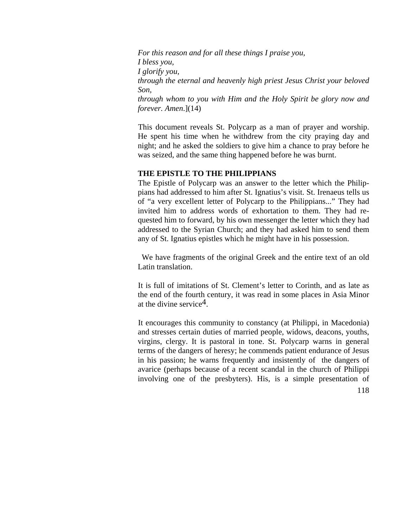*For this reason and for all these things I praise you, I bless you, I glorify you, through the eternal and heavenly high priest Jesus Christ your beloved Son, through whom to you with Him and the Holy Spirit be glory now and forever. Amen*.](14)

This document reveals St. Polycarp as a man of prayer and worship. He spent his time when he withdrew from the city praying day and night; and he asked the soldiers to give him a chance to pray before he was seized, and the same thing happened before he was burnt.

## **THE EPISTLE TO THE PHILIPPIANS**

 The Epistle of Polycarp was an answer to the letter which the Philippians had addressed to him after St. Ignatius's visit. St. Irenaeus tells us of "a very excellent letter of Polycarp to the Philippians..." They had invited him to address words of exhortation to them. They had requested him to forward, by his own messenger the letter which they had addressed to the Syrian Church; and they had asked him to send them any of St. Ignatius epistles which he might have in his possession.

 We have fragments of the original Greek and the entire text of an old Latin translation.

 It is full of imitations of St. Clement's letter to Corinth, and as late as the end of the fourth century, it was read in some places in Asia Minor at the divine service4.

 It encourages this community to constancy (at Philippi, in Macedonia) and stresses certain duties of married people, widows, deacons, youths, virgins, clergy. It is pastoral in tone. St. Polycarp warns in general terms of the dangers of heresy; he commends patient endurance of Jesus in his passion; he warns frequently and insistently of the dangers of avarice (perhaps because of a recent scandal in the church of Philippi involving one of the presbyters). His, is a simple presentation of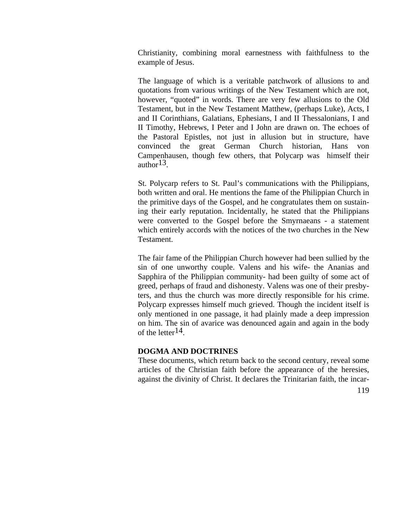Christianity, combining moral earnestness with faithfulness to the example of Jesus.

 The language of which is a veritable patchwork of allusions to and quotations from various writings of the New Testament which are not, however, "quoted" in words. There are very few allusions to the Old Testament, but in the New Testament Matthew, (perhaps Luke), Acts, I and II Corinthians, Galatians, Ephesians, I and II Thessalonians, I and II Timothy, Hebrews, I Peter and I John are drawn on. The echoes of the Pastoral Epistles, not just in allusion but in structure, have convinced the great German Church historian, Hans von Campenhausen, though few others, that Polycarp was himself their  $\mu$ author $13$ 

 St. Polycarp refers to St. Paul's communications with the Philippians, both written and oral. He mentions the fame of the Philippian Church in the primitive days of the Gospel, and he congratulates them on sustaining their early reputation. Incidentally, he stated that the Philippians were converted to the Gospel before the Smyrnaeans - a statement which entirely accords with the notices of the two churches in the New Testament.

 The fair fame of the Philippian Church however had been sullied by the sin of one unworthy couple. Valens and his wife- the Ananias and Sapphira of the Philippian community- had been guilty of some act of greed, perhaps of fraud and dishonesty. Valens was one of their presbyters, and thus the church was more directly responsible for his crime. Polycarp expresses himself much grieved. Though the incident itself is only mentioned in one passage, it had plainly made a deep impression on him. The sin of avarice was denounced again and again in the body of the letter14.

## **DOGMA AND DOCTRINES**

 These documents, which return back to the second century, reveal some articles of the Christian faith before the appearance of the heresies, against the divinity of Christ. It declares the Trinitarian faith, the incar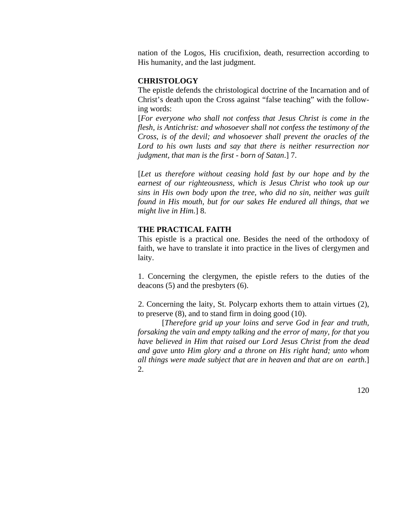nation of the Logos, His crucifixion, death, resurrection according to His humanity, and the last judgment.

## **CHRISTOLOGY**

 The epistle defends the christological doctrine of the Incarnation and of Christ's death upon the Cross against "false teaching" with the following words:

 [*For everyone who shall not confess that Jesus Christ is come in the flesh, is Antichrist: and whosoever shall not confess the testimony of the Cross, is of the devil; and whosoever shall prevent the oracles of the Lord to his own lusts and say that there is neither resurrection nor judgment, that man is the first - born of Satan*.] 7.

 [*Let us therefore without ceasing hold fast by our hope and by the earnest of our righteousness, which is Jesus Christ who took up our sins in His own body upon the tree, who did no sin, neither was guilt found in His mouth, but for our sakes He endured all things, that we might live in Him.*] 8.

## **THE PRACTICAL FAITH**

 This epistle is a practical one. Besides the need of the orthodoxy of faith, we have to translate it into practice in the lives of clergymen and laity.

 1. Concerning the clergymen, the epistle refers to the duties of the deacons (5) and the presbyters (6).

 2. Concerning the laity, St. Polycarp exhorts them to attain virtues (2), to preserve (8), and to stand firm in doing good (10).

 [*Therefore grid up your loins and serve God in fear and truth, forsaking the vain and empty talking and the error of many, for that you have believed in Him that raised our Lord Jesus Christ from the dead and gave unto Him glory and a throne on His right hand; unto whom all things were made subject that are in heaven and that are on earth*.] 2.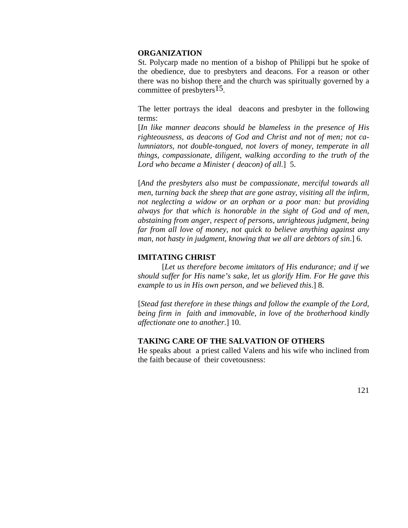## **ORGANIZATION**

 St. Polycarp made no mention of a bishop of Philippi but he spoke of the obedience, due to presbyters and deacons. For a reason or other there was no bishop there and the church was spiritually governed by a committee of presbyters<sup>15</sup>.

 The letter portrays the ideal deacons and presbyter in the following terms:

 [*In like manner deacons should be blameless in the presence of His righteousness, as deacons of God and Christ and not of men; not calumniators, not double-tongued, not lovers of money, temperate in all things, compassionate, diligent, walking according to the truth of the Lord who became a Minister ( deacon) of all.*] 5.

 [*And the presbyters also must be compassionate, merciful towards all men, turning back the sheep that are gone astray, visiting all the infirm, not neglecting a widow or an orphan or a poor man: but providing always for that which is honorable in the sight of God and of men, abstaining from anger, respect of persons, unrighteous judgment, being far from all love of money, not quick to believe anything against any man, not hasty in judgment, knowing that we all are debtors of sin*.] 6.

# **IMITATING CHRIST**

 [*Let us therefore become imitators of His endurance; and if we should suffer for His name's sake, let us glorify Him. For He gave this example to us in His own person, and we believed this*.] 8.

 [*Stead fast therefore in these things and follow the example of the Lord, being firm in faith and immovable, in love of the brotherhood kindly affectionate one to another*.] 10.

## **TAKING CARE OF THE SALVATION OF OTHERS**

 He speaks about a priest called Valens and his wife who inclined from the faith because of their covetousness: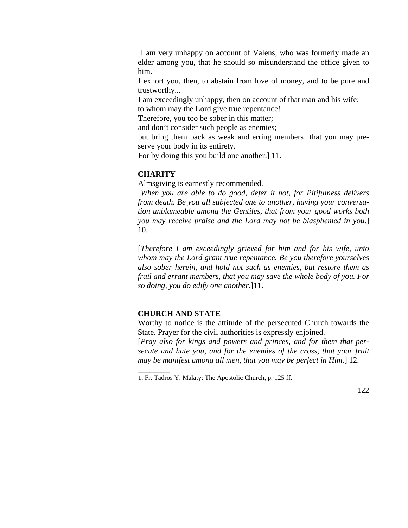[I am very unhappy on account of Valens, who was formerly made an elder among you, that he should so misunderstand the office given to him.

 I exhort you, then, to abstain from love of money, and to be pure and trustworthy...

I am exceedingly unhappy, then on account of that man and his wife;

to whom may the Lord give true repentance!

Therefore, you too be sober in this matter;

and don't consider such people as enemies;

 but bring them back as weak and erring members that you may preserve your body in its entirety.

For by doing this you build one another.] 11.

# **CHARITY**

Almsgiving is earnestly recommended.

 [*When you are able to do good, defer it not, for Pitifulness delivers from death. Be you all subjected one to another, having your conversation unblameable among the Gentiles, that from your good works both you may receive praise and the Lord may not be blasphemed in you.*] 10.

 [*Therefore I am exceedingly grieved for him and for his wife, unto whom may the Lord grant true repentance. Be you therefore yourselves also sober herein, and hold not such as enemies, but restore them as frail and errant members, that you may save the whole body of you. For so doing, you do edify one another.*]11.

# **CHURCH AND STATE**

\_\_\_\_\_\_\_\_

 Worthy to notice is the attitude of the persecuted Church towards the State. Prayer for the civil authorities is expressly enjoined.

 [*Pray also for kings and powers and princes, and for them that persecute and hate you, and for the enemies of the cross, that your fruit may be manifest among all men, that you may be perfect in Him.*] 12.

<sup>1.</sup> Fr. Tadros Y. Malaty: The Apostolic Church, p. 125 ff.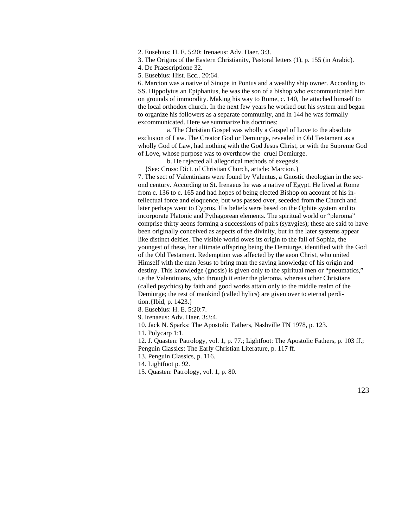2. Eusebius: H. E. 5:20; Irenaeus: Adv. Haer. 3:3.

3. The Origins of the Eastern Christianity, Pastoral letters (1), p. 155 (in Arabic).

4. De Praescriptione 32.

5. Eusebius: Hist. Ecc.. 20:64.

6. Marcion was a native of Sinope in Pontus and a wealthy ship owner. According to SS. Hippolytus an Epiphanius, he was the son of a bishop who excommunicated him on grounds of immorality. Making his way to Rome, c. 140, he attached himself to the local orthodox church. In the next few years he worked out his system and began to organize his followers as a separate community, and in 144 he was formally excommunicated. Here we summarize his doctrines:

 a. The Christian Gospel was wholly a Gospel of Love to the absolute exclusion of Law. The Creator God or Demiurge, revealed in Old Testament as a wholly God of Law, had nothing with the God Jesus Christ, or with the Supreme God of Love, whose purpose was to overthrow the cruel Demiurge.

 b. He rejected all allegorical methods of exegesis. {See: Cross: Dict. of Christian Church, article: Marcion.}

7. The sect of Valentinians were found by Valentus, a Gnostic theologian in the second century. According to St. Irenaeus he was a native of Egypt. He lived at Rome from c. 136 to c. 165 and had hopes of being elected Bishop on account of his intellectual force and eloquence, but was passed over, seceded from the Church and later perhaps went to Cyprus. His beliefs were based on the Ophite system and to incorporate Platonic and Pythagorean elements. The spiritual world or "pleroma" comprise thirty aeons forming a successions of pairs (syzygies); these are said to have been originally conceived as aspects of the divinity, but in the later systems appear like distinct deities. The visible world owes its origin to the fall of Sophia, the youngest of these, her ultimate offspring being the Demiurge, identified with the God of the Old Testament. Redemption was affected by the aeon Christ, who united Himself with the man Jesus to bring man the saving knowledge of his origin and destiny. This knowledge (gnosis) is given only to the spiritual men or "pneumatics," i.e the Valentinians, who through it enter the pleroma, whereas other Christians (called psychics) by faith and good works attain only to the middle realm of the Demiurge; the rest of mankind (called hylics) are given over to eternal perdition.{Ibid, p. 1423.}

8. Eusebius: H. E. 5:20:7.

9. Irenaeus: Adv. Haer. 3:3:4.

10. Jack N. Sparks: The Apostolic Fathers, Nashville TN 1978, p. 123.

11. Polycarp 1:1.

12. J. Quasten: Patrology, vol. 1, p. 77.; Lightfoot: The Apostolic Fathers, p. 103 ff.; Penguin Classics: The Early Christian Literature, p. 117 ff.

- 13. Penguin Classics, p. 116.
- 14. Lightfoot p. 92.
- 15. Quasten: Patrology, vol. 1, p. 80.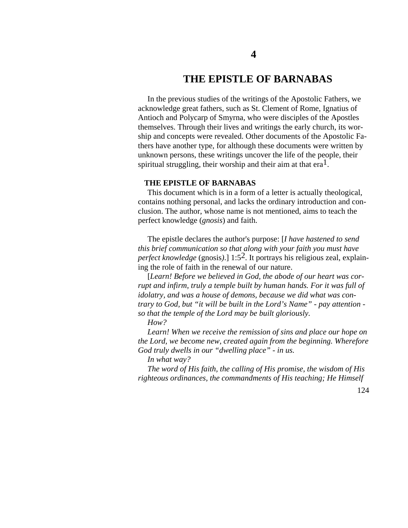# **THE EPISTLE OF BARNABAS**

 In the previous studies of the writings of the Apostolic Fathers, we acknowledge great fathers, such as St. Clement of Rome, Ignatius of Antioch and Polycarp of Smyrna, who were disciples of the Apostles themselves. Through their lives and writings the early church, its worship and concepts were revealed. Other documents of the Apostolic Fathers have another type, for although these documents were written by unknown persons, these writings uncover the life of the people, their spiritual struggling, their worship and their aim at that  $era<sup>1</sup>$ .

#### **THE EPISTLE OF BARNABAS**

 This document which is in a form of a letter is actually theological, contains nothing personal, and lacks the ordinary introduction and conclusion. The author, whose name is not mentioned, aims to teach the perfect knowledge (*gnosis*) and faith.

 The epistle declares the author's purpose: [*I have hastened to send this brief communication so that along with your faith you must have perfect knowledge* (gnosis*)*.] 1:52. It portrays his religious zeal, explaining the role of faith in the renewal of our nature.

[Learn! Before we believed in God, the abode of our heart was cor*rupt and infirm, truly a temple built by human hands. For it was full of idolatry, and was a house of demons, because we did what was contrary to God, but "it will be built in the Lord's Name" - pay attention so that the temple of the Lord may be built gloriously.* 

 *How?* 

 *Learn! When we receive the remission of sins and place our hope on the Lord, we become new, created again from the beginning. Wherefore God truly dwells in our "dwelling place" - in us.* 

 *In what way?* 

 *The word of His faith, the calling of His promise, the wisdom of His righteous ordinances, the commandments of His teaching; He Himself*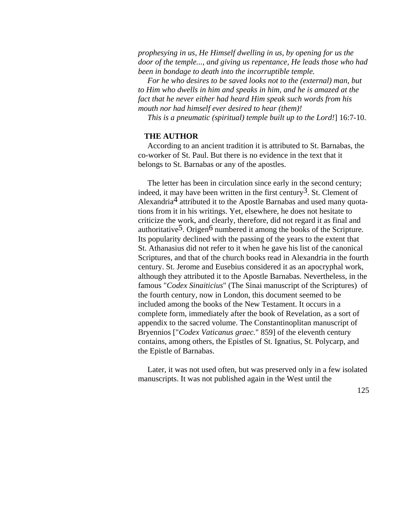*prophesying in us, He Himself dwelling in us, by opening for us the door of the temple..., and giving us repentance, He leads those who had been in bondage to death into the incorruptible temple.* 

 *For he who desires to be saved looks not to the (external) man, but to Him who dwells in him and speaks in him, and he is amazed at the fact that he never either had heard Him speak such words from his mouth nor had himself ever desired to hear (them)!* 

 *This is a pneumatic (spiritual) temple built up to the Lord!*] 16:7-10.

#### **THE AUTHOR**

 According to an ancient tradition it is attributed to St. Barnabas, the co-worker of St. Paul. But there is no evidence in the text that it belongs to St. Barnabas or any of the apostles.

 The letter has been in circulation since early in the second century; indeed, it may have been written in the first century<sup>3</sup>. St. Clement of Alexandria4 attributed it to the Apostle Barnabas and used many quotations from it in his writings. Yet, elsewhere, he does not hesitate to criticize the work, and clearly, therefore, did not regard it as final and authoritative<sup>5</sup>. Origen<sup>6</sup> numbered it among the books of the Scripture. Its popularity declined with the passing of the years to the extent that St. Athanasius did not refer to it when he gave his list of the canonical Scriptures, and that of the church books read in Alexandria in the fourth century. St. Jerome and Eusebius considered it as an apocryphal work, although they attributed it to the Apostle Barnabas. Nevertheless, in the famous "*Codex Sinaiticius*" (The Sinai manuscript of the Scriptures) of the fourth century, now in London, this document seemed to be included among the books of the New Testament. It occurs in a complete form, immediately after the book of Revelation, as a sort of appendix to the sacred volume. The Constantinoplitan manuscript of Bryennios ["*Codex Vaticanus graec.*" 859] of the eleventh century contains, among others, the Epistles of St. Ignatius, St. Polycarp, and the Epistle of Barnabas.

 Later, it was not used often, but was preserved only in a few isolated manuscripts. It was not published again in the West until the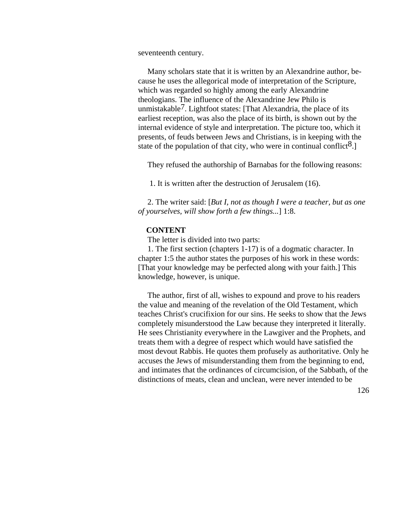seventeenth century.

 Many scholars state that it is written by an Alexandrine author, because he uses the allegorical mode of interpretation of the Scripture, which was regarded so highly among the early Alexandrine theologians. The influence of the Alexandrine Jew Philo is unmistakable<sup>7</sup>. Lightfoot states: [That Alexandria, the place of its earliest reception, was also the place of its birth, is shown out by the internal evidence of style and interpretation. The picture too, which it presents, of feuds between Jews and Christians, is in keeping with the state of the population of that city, who were in continual conflict<sup>8</sup>.

They refused the authorship of Barnabas for the following reasons:

1. It is written after the destruction of Jerusalem (16).

 2. The writer said: [*But I, not as though I were a teacher, but as one of yourselves, will show forth a few things...*] 1:8.

### **CONTENT**

The letter is divided into two parts:

 1. The first section (chapters 1-17) is of a dogmatic character. In chapter 1:5 the author states the purposes of his work in these words: [That your knowledge may be perfected along with your faith.] This knowledge, however, is unique.

 The author, first of all, wishes to expound and prove to his readers the value and meaning of the revelation of the Old Testament, which teaches Christ's crucifixion for our sins. He seeks to show that the Jews completely misunderstood the Law because they interpreted it literally. He sees Christianity everywhere in the Lawgiver and the Prophets, and treats them with a degree of respect which would have satisfied the most devout Rabbis. He quotes them profusely as authoritative. Only he accuses the Jews of misunderstanding them from the beginning to end, and intimates that the ordinances of circumcision, of the Sabbath, of the distinctions of meats, clean and unclean, were never intended to be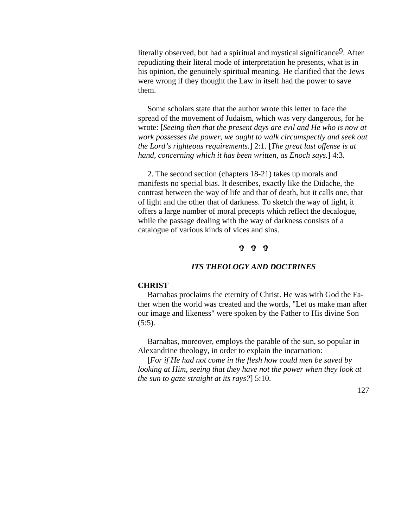literally observed, but had a spiritual and mystical significance9. After repudiating their literal mode of interpretation he presents, what is in his opinion, the genuinely spiritual meaning. He clarified that the Jews were wrong if they thought the Law in itself had the power to save them.

 Some scholars state that the author wrote this letter to face the spread of the movement of Judaism, which was very dangerous, for he wrote: [*Seeing then that the present days are evil and He who is now at work possesses the power, we ought to walk circumspectly and seek out the Lord's righteous requirements*.] 2:1. [*The great last offense is at hand, concerning which it has been written, as Enoch says.*] 4:3.

 2. The second section (chapters 18-21) takes up morals and manifests no special bias. It describes, exactly like the Didache, the contrast between the way of life and that of death, but it calls one, that of light and the other that of darkness. To sketch the way of light, it offers a large number of moral precepts which reflect the decalogue, while the passage dealing with the way of darkness consists of a catalogue of various kinds of vices and sins.

## ===

## *ITS THEOLOGY AND DOCTRINES*

#### **CHRIST**

 Barnabas proclaims the eternity of Christ. He was with God the Father when the world was created and the words, "Let us make man after our image and likeness" were spoken by the Father to His divine Son  $(5:5)$ .

 Barnabas, moreover, employs the parable of the sun, so popular in Alexandrine theology, in order to explain the incarnation:

 [*For if He had not come in the flesh how could men be saved by looking at Him, seeing that they have not the power when they look at the sun to gaze straight at its rays?*] 5:10.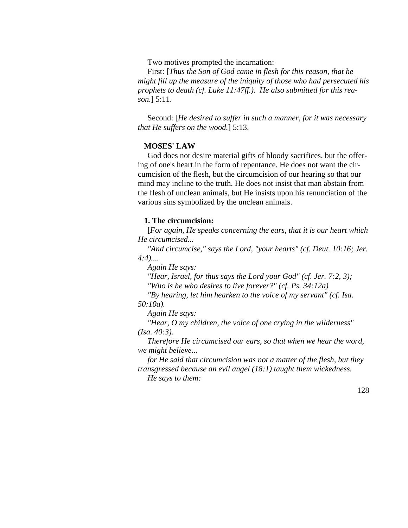Two motives prompted the incarnation:

 First: [*Thus the Son of God came in flesh for this reason, that he might fill up the measure of the iniquity of those who had persecuted his prophets to death (cf. Luke 11:47ff.). He also submitted for this reason.*] 5:11.

 Second: [*He desired to suffer in such a manner, for it was necessary that He suffers on the wood.*] 5:13.

#### **MOSES' LAW**

 God does not desire material gifts of bloody sacrifices, but the offering of one's heart in the form of repentance. He does not want the circumcision of the flesh, but the circumcision of our hearing so that our mind may incline to the truth. He does not insist that man abstain from the flesh of unclean animals, but He insists upon his renunciation of the various sins symbolized by the unclean animals.

## **1. The circumcision:**

 [*For again, He speaks concerning the ears, that it is our heart which He circumcised...* 

 *"And circumcise," says the Lord, "your hearts" (cf. Deut. 10:16; Jer. 4:4)....* 

 *Again He says:* 

 *"Hear, Israel, for thus says the Lord your God" (cf. Jer. 7:2, 3); "Who is he who desires to live forever?" (cf. Ps. 34:12a)* 

 *"By hearing, let him hearken to the voice of my servant" (cf. Isa. 50:10a).* 

 *Again He says:* 

 *"Hear, O my children, the voice of one crying in the wilderness" (Isa. 40:3).* 

 *Therefore He circumcised our ears, so that when we hear the word, we might believe...* 

 *for He said that circumcision was not a matter of the flesh, but they transgressed because an evil angel (18:1) taught them wickedness. He says to them:* 

128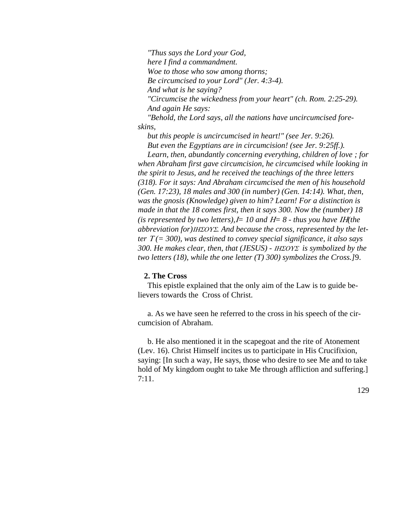*"Thus says the Lord your God, here I find a commandment. Woe to those who sow among thorns; Be circumcised to your Lord" (Jer. 4:3-4). And what is he saying? "Circumcise the wickedness from your heart" (ch. Rom. 2:25-29). And again He says: "Behold, the Lord says, all the nations have uncircumcised fore-*

*skins,* 

 *but this people is uncircumcised in heart!" (see Jer. 9:26). But even the Egyptians are in circumcision! (see Jer. 9:25ff.).* 

 *Learn, then, abundantly concerning everything, children of love ; for when Abraham first gave circumcision, he circumcised while looking in the spirit to Jesus, and he received the teachings of the three letters (318). For it says: And Abraham circumcised the men of his household (Gen. 17:23), 18 males and 300 (in number) (Gen. 14:14). What, then, was the gnosis (Knowledge) given to him? Learn! For a distinction is made in that the 18 comes first, then it says 300. Now the (number) 18 (is represented by two letters),*Ι*= 10 and* Η*= 8 - thus you have* ΙΗ*(the abbreviation for)*ΙΗΣΟΥΣ*. And because the cross, represented by the letter*  $T$  (= 300), was destined to convey special significance, it also says *300. He makes clear, then, that (JESUS) -* ΙΗΣΟΥΣ *is symbolized by the two letters (18), while the one letter (T) 300) symbolizes the Cross.]*9.

## **2. The Cross**

This epistle explained that the only aim of the Law is to guide believers towards the Cross of Christ.

 a. As we have seen he referred to the cross in his speech of the circumcision of Abraham.

 b. He also mentioned it in the scapegoat and the rite of Atonement (Lev. 16). Christ Himself incites us to participate in His Crucifixion, saying: [In such a way, He says, those who desire to see Me and to take hold of My kingdom ought to take Me through affliction and suffering.] 7:11.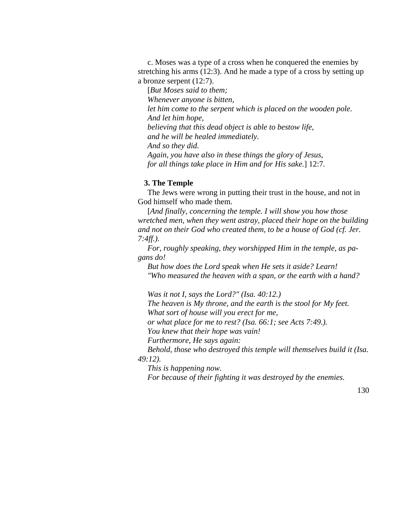c. Moses was a type of a cross when he conquered the enemies by stretching his arms (12:3). And he made a type of a cross by setting up a bronze serpent (12:7).

 [*But Moses said to them; Whenever anyone is bitten, let him come to the serpent which is placed on the wooden pole. And let him hope, believing that this dead object is able to bestow life, and he will be healed immediately. And so they did. Again, you have also in these things the glory of Jesus, for all things take place in Him and for His sake.*] 12:7.

## **3. The Temple**

 The Jews were wrong in putting their trust in the house, and not in God himself who made them.

 [*And finally, concerning the temple. I will show you how those wretched men, when they went astray, placed their hope on the building and not on their God who created them, to be a house of God (cf. Jer. 7:4ff.).* 

 *For, roughly speaking, they worshipped Him in the temple, as pagans do!* 

 *But how does the Lord speak when He sets it aside? Learn! "Who measured the heaven with a span, or the earth with a hand?*

 *Was it not I, says the Lord?" (Isa. 40:12.) The heaven is My throne, and the earth is the stool for My feet. What sort of house will you erect for me, or what place for me to rest? (Isa. 66:1; see Acts 7:49.). You knew that their hope was vain! Furthermore, He says again: Behold, those who destroyed this temple will themselves build it (Isa. 49:12).* 

 *This is happening now. For because of their fighting it was destroyed by the enemies.*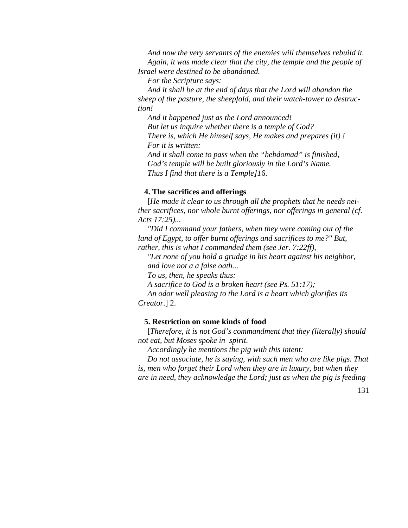*And now the very servants of the enemies will themselves rebuild it. Again, it was made clear that the city, the temple and the people of Israel were destined to be abandoned.* 

 *For the Scripture says:* 

 *And it shall be at the end of days that the Lord will abandon the sheep of the pasture, the sheepfold, and their watch-tower to destruction!* 

 *And it happened just as the Lord announced! But let us inquire whether there is a temple of God? There is, which He himself says, He makes and prepares (it) ! For it is written: And it shall come to pass when the "hebdomad" is finished, God's temple will be built gloriously in the Lord's Name. Thus I find that there is a Temple]1*6.

## **4. The sacrifices and offerings**

 [*He made it clear to us through all the prophets that he needs neither sacrifices, nor whole burnt offerings, nor offerings in general (cf. Acts 17:25)...* 

 *"Did I command your fathers, when they were coming out of the land of Egypt, to offer burnt offerings and sacrifices to me?" But, rather, this is what I commanded them (see Jer. 7:22ff),* 

 *"Let none of you hold a grudge in his heart against his neighbor, and love not a a false oath...* 

 *To us, then, he speaks thus:* 

 *A sacrifice to God is a broken heart (see Ps. 51:17);* 

 *An odor well pleasing to the Lord is a heart which glorifies its Creator.*] 2.

## **5. Restriction on some kinds of food**

 [*Therefore, it is not God's commandment that they (literally) should not eat, but Moses spoke in spirit.* 

 *Accordingly he mentions the pig with this intent:* 

 *Do not associate, he is saying, with such men who are like pigs. That is, men who forget their Lord when they are in luxury, but when they are in need, they acknowledge the Lord; just as when the pig is feeding*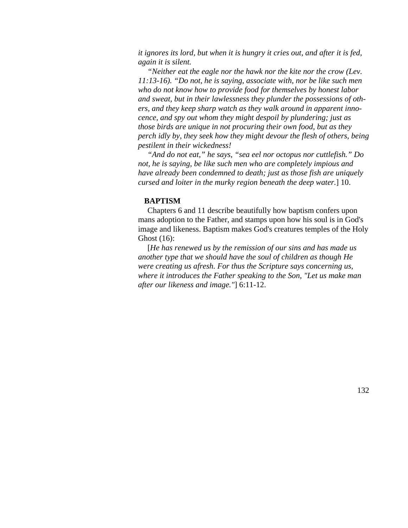*it ignores its lord, but when it is hungry it cries out, and after it is fed, again it is silent.* 

 *"Neither eat the eagle nor the hawk nor the kite nor the crow (Lev. 11:13-16). "Do not, he is saying, associate with, nor be like such men who do not know how to provide food for themselves by honest labor and sweat, but in their lawlessness they plunder the possessions of others, and they keep sharp watch as they walk around in apparent innocence, and spy out whom they might despoil by plundering; just as those birds are unique in not procuring their own food, but as they perch idly by, they seek how they might devour the flesh of others, being pestilent in their wickedness!* 

 *"And do not eat," he says, "sea eel nor octopus nor cuttlefish." Do not, he is saying, be like such men who are completely impious and have already been condemned to death; just as those fish are uniquely cursed and loiter in the murky region beneath the deep water.*] 10.

#### **BAPTISM**

 Chapters 6 and 11 describe beautifully how baptism confers upon mans adoption to the Father, and stamps upon how his soul is in God's image and likeness. Baptism makes God's creatures temples of the Holy Ghost (16):

 [*He has renewed us by the remission of our sins and has made us another type that we should have the soul of children as though He were creating us afresh. For thus the Scripture says concerning us, where it introduces the Father speaking to the Son, "Let us make man after our likeness and image."*] 6:11-12.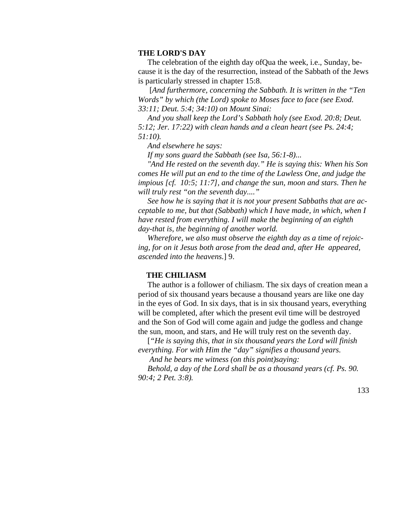### **THE LORD'S DAY**

 The celebration of the eighth day ofQua the week, i.e., Sunday, because it is the day of the resurrection, instead of the Sabbath of the Jews is particularly stressed in chapter 15:8.

 [*And furthermore, concerning the Sabbath. It is written in the "Ten Words" by which (the Lord) spoke to Moses face to face (see Exod. 33:11; Deut. 5:4; 34:10) on Mount Sinai:* 

 *And you shall keep the Lord's Sabbath holy (see Exod. 20:8; Deut. 5:12; Jer. 17:22) with clean hands and a clean heart (see Ps. 24:4; 51:10).* 

 *And elsewhere he says:* 

 *If my sons guard the Sabbath (see Isa, 56:1-8)...* 

 *"And He rested on the seventh day." He is saying this: When his Son comes He will put an end to the time of the Lawless One, and judge the impious [cf. 10:5; 11:7], and change the sun, moon and stars. Then he will truly rest "on the seventh day...."* 

 *See how he is saying that it is not your present Sabbaths that are acceptable to me, but that (Sabbath) which I have made, in which, when I have rested from everything. I will make the beginning of an eighth day-that is, the beginning of another world.* 

 *Wherefore, we also must observe the eighth day as a time of rejoicing, for on it Jesus both arose from the dead and, after He appeared, ascended into the heavens.*] 9.

### **THE CHILIASM**

 The author is a follower of chiliasm. The six days of creation mean a period of six thousand years because a thousand years are like one day in the eyes of God. In six days, that is in six thousand years, everything will be completed, after which the present evil time will be destroyed and the Son of God will come again and judge the godless and change the sun, moon, and stars, and He will truly rest on the seventh day.

 [*"He is saying this, that in six thousand years the Lord will finish everything. For with Him the "day" signifies a thousand years.* 

 *And he bears me witness (on this point)saying:* 

 *Behold, a day of the Lord shall be as a thousand years (cf. Ps. 90. 90:4; 2 Pet. 3:8).*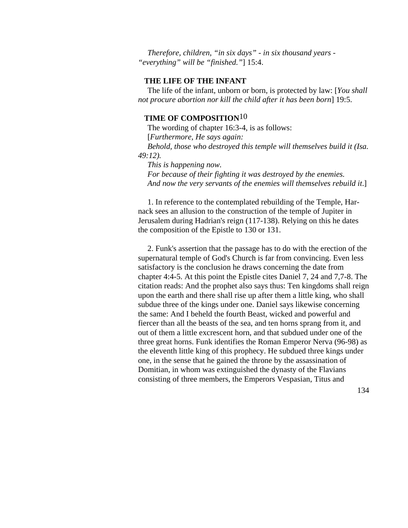*Therefore, children, "in six days" - in six thousand years - "everything" will be "finished."*] 15:4.

### **THE LIFE OF THE INFANT**

 The life of the infant, unborn or born, is protected by law: [*You shall not procure abortion nor kill the child after it has been born*] 19:5.

## **TIME OF COMPOSITION**10

The wording of chapter 16:3-4, is as follows:

[*Furthermore, He says again:* 

 *Behold, those who destroyed this temple will themselves build it (Isa. 49:12).* 

 *This is happening now.* 

 *For because of their fighting it was destroyed by the enemies. And now the very servants of the enemies will themselves rebuild it*.]

 1. In reference to the contemplated rebuilding of the Temple, Harnack sees an allusion to the construction of the temple of Jupiter in Jerusalem during Hadrian's reign (117-138). Relying on this he dates the composition of the Epistle to 130 or 131.

 2. Funk's assertion that the passage has to do with the erection of the supernatural temple of God's Church is far from convincing. Even less satisfactory is the conclusion he draws concerning the date from chapter 4:4-5. At this point the Epistle cites Daniel 7, 24 and 7,7-8. The citation reads: And the prophet also says thus: Ten kingdoms shall reign upon the earth and there shall rise up after them a little king, who shall subdue three of the kings under one. Daniel says likewise concerning the same: And I beheld the fourth Beast, wicked and powerful and fiercer than all the beasts of the sea, and ten horns sprang from it, and out of them a little excrescent horn, and that subdued under one of the three great horns. Funk identifies the Roman Emperor Nerva (96-98) as the eleventh little king of this prophecy. He subdued three kings under one, in the sense that he gained the throne by the assassination of Domitian, in whom was extinguished the dynasty of the Flavians consisting of three members, the Emperors Vespasian, Titus and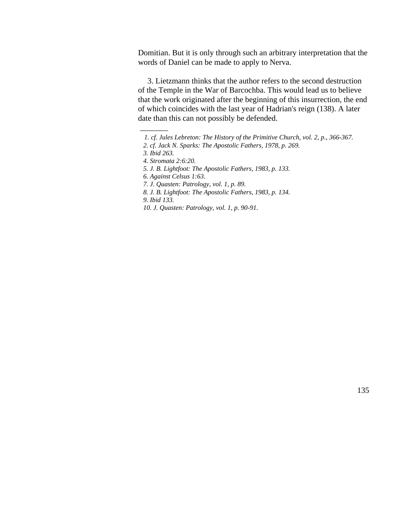Domitian. But it is only through such an arbitrary interpretation that the words of Daniel can be made to apply to Nerva.

 3. Lietzmann thinks that the author refers to the second destruction of the Temple in the War of Barcochba. This would lead us to believe that the work originated after the beginning of this insurrection, the end of which coincides with the last year of Hadrian's reign (138). A later date than this can not possibly be defended.

 $\overline{\phantom{a}}$ 

*6. Against Celsus 1:63.* 

*<sup>1.</sup> cf. Jules Lebreton: The History of the Primitive Church, vol. 2, p., 366-367.* 

*<sup>2.</sup> cf. Jack N. Sparks: The Apostolic Fathers, 1978, p. 269.* 

*<sup>3.</sup> Ibid 263.* 

*<sup>4.</sup> Stromata 2:6:20.* 

*<sup>5.</sup> J. B. Lightfoot: The Apostolic Fathers, 1983, p. 133.* 

*<sup>7.</sup> J. Quasten: Patrology, vol. 1, p. 89.* 

*<sup>8.</sup> J. B. Lightfoot: The Apostolic Fathers, 1983, p. 134.* 

*<sup>9.</sup> Ibid 133.* 

*<sup>10.</sup> J. Quasten: Patrology, vol. 1, p. 90-91.*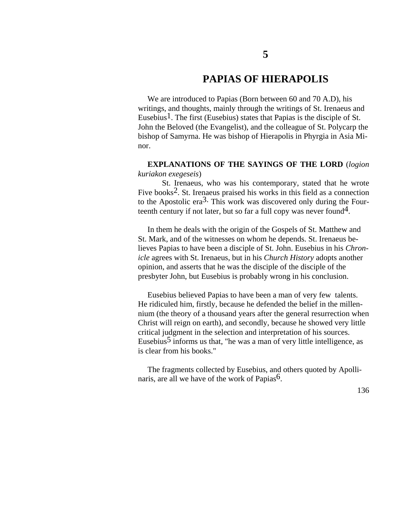# **PAPIAS OF HIERAPOLIS**

We are introduced to Papias (Born between 60 and 70 A.D), his writings, and thoughts, mainly through the writings of St. Irenaeus and Eusebius<sup>1</sup>. The first (Eusebius) states that Papias is the disciple of St. John the Beloved (the Evangelist), and the colleague of St. Polycarp the bishop of Samyrna. He was bishop of Hierapolis in Phyrgia in Asia Minor.

## **EXPLANATIONS OF THE SAYINGS OF THE LORD** (*logion kuriakon exegeseis*)

 St. Irenaeus, who was his contemporary, stated that he wrote Five books2. St. Irenaeus praised his works in this field as a connection to the Apostolic era<sup>3</sup>. This work was discovered only during the Fourteenth century if not later, but so far a full copy was never found<sup>4</sup>.

In them he deals with the origin of the Gospels of St. Matthew and St. Mark, and of the witnesses on whom he depends. St. Irenaeus believes Papias to have been a disciple of St. John. Eusebius in his *Chronicle* agrees with St. Irenaeus, but in his *Church History* adopts another opinion, and asserts that he was the disciple of the disciple of the presbyter John, but Eusebius is probably wrong in his conclusion.

Eusebius believed Papias to have been a man of very few talents. He ridiculed him, firstly, because he defended the belief in the millennium (the theory of a thousand years after the general resurrection when Christ will reign on earth), and secondly, because he showed very little critical judgment in the selection and interpretation of his sources. Eusebius<sup>5</sup> informs us that, "he was a man of very little intelligence, as is clear from his books."

The fragments collected by Eusebius, and others quoted by Apollinaris, are all we have of the work of Papias<sup>6</sup>.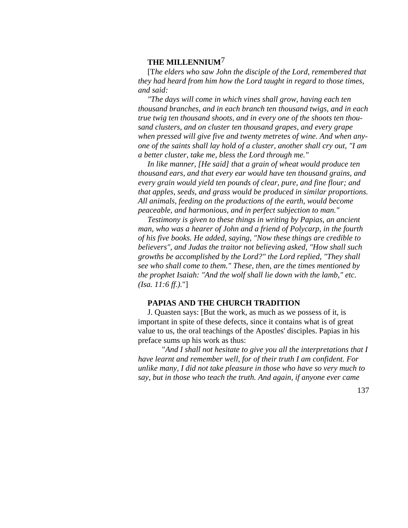# **THE MILLENNIUM**7

[T*he elders who saw John the disciple of the Lord, remembered that they had heard from him how the Lord taught in regard to those times, and said:* 

*"The days will come in which vines shall grow, having each ten thousand branches, and in each branch ten thousand twigs, and in each true twig ten thousand shoots, and in every one of the shoots ten thousand clusters, and on cluster ten thousand grapes, and every grape when pressed will give five and twenty metretes of wine. And when anyone of the saints shall lay hold of a cluster, another shall cry out, "I am a better cluster, take me, bless the Lord through me."* 

*In like manner, [He said] that a grain of wheat would produce ten thousand ears, and that every ear would have ten thousand grains, and every grain would yield ten pounds of clear, pure, and fine flour; and that apples, seeds, and grass would be produced in similar proportions. All animals, feeding on the productions of the earth, would become peaceable, and harmonious, and in perfect subjection to man."* 

*Testimony is given to these things in writing by Papias, an ancient man, who was a hearer of John and a friend of Polycarp, in the fourth of his five books. He added, saying, "Now these things are credible to believers", and Judas the traitor not believing asked, "How shall such growths be accomplished by the Lord?" the Lord replied, "They shall see who shall come to them." These, then, are the times mentioned by the prophet Isaiah: "And the wolf shall lie down with the lamb," etc. (Isa. 11:6 ff.).*"]

### **PAPIAS AND THE CHURCH TRADITION**

J. Quasten says: [But the work, as much as we possess of it, is important in spite of these defects, since it contains what is of great value to us, the oral teachings of the Apostles' disciples. Papias in his preface sums up his work as thus:

 "*And I shall not hesitate to give you all the interpretations that I have learnt and remember well, for of their truth I am confident. For unlike many, I did not take pleasure in those who have so very much to say, but in those who teach the truth. And again, if anyone ever came*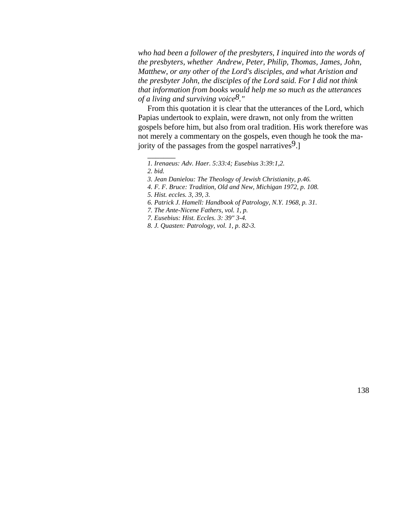*who had been a follower of the presbyters, I inquired into the words of the presbyters, whether Andrew, Peter, Philip, Thomas, James, John, Matthew, or any other of the Lord's disciples, and what Aristion and the presbyter John, the disciples of the Lord said. For I did not think that information from books would help me so much as the utterances of a living and surviving voice8."*

From this quotation it is clear that the utterances of the Lord, which Papias undertook to explain, were drawn, not only from the written gospels before him, but also from oral tradition. His work therefore was not merely a commentary on the gospels, even though he took the majority of the passages from the gospel narratives<sup>9</sup>.

 $\overline{\phantom{a}}$ 

*<sup>1.</sup> Irenaeus: Adv. Haer. 5:33:4; Eusebius 3:39:1,2.* 

*<sup>2.</sup> bid.* 

*<sup>3.</sup> Jean Danielou: The Theology of Jewish Christianity, p.46.* 

*<sup>4.</sup> F. F. Bruce: Tradition, Old and New, Michigan 1972, p. 108.* 

*<sup>5.</sup> Hist. eccles. 3, 39, 3.* 

*<sup>6.</sup> Patrick J. Hamell: Handbook of Patrology, N.Y. 1968, p. 31.* 

*<sup>7.</sup> The Ante-Nicene Fathers, vol. 1, p.* 

*<sup>7.</sup> Eusebius: Hist. Eccles. 3: 39" 3-4.* 

*<sup>8.</sup> J. Quasten: Patrology, vol. 1, p. 82-3.*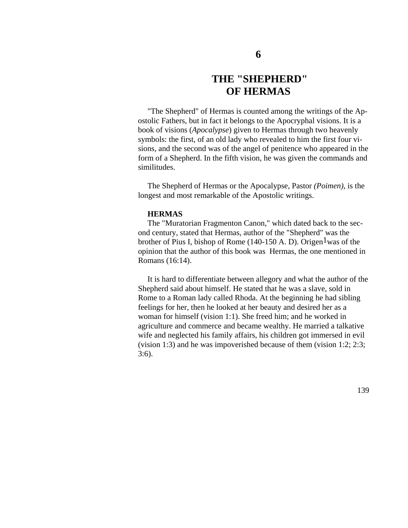# **THE "SHEPHERD" OF HERMAS**

"The Shepherd" of Hermas is counted among the writings of the Apostolic Fathers, but in fact it belongs to the Apocryphal visions. It is a book of visions (*Apocalypse*) given to Hermas through two heavenly symbols: the first, of an old lady who revealed to him the first four visions, and the second was of the angel of penitence who appeared in the form of a Shepherd. In the fifth vision, he was given the commands and similitudes.

The Shepherd of Hermas or the Apocalypse, Pastor *(Poimen)*, is the longest and most remarkable of the Apostolic writings.

#### **HERMAS**

The "Muratorian Fragmenton Canon," which dated back to the second century, stated that Hermas, author of the "Shepherd" was the brother of Pius I, bishop of Rome (140-150 A. D). Origen<sup>1</sup> was of the opinion that the author of this book was Hermas, the one mentioned in Romans (16:14).

It is hard to differentiate between allegory and what the author of the Shepherd said about himself. He stated that he was a slave, sold in Rome to a Roman lady called Rhoda. At the beginning he had sibling feelings for her, then he looked at her beauty and desired her as a woman for himself (vision 1:1). She freed him; and he worked in agriculture and commerce and became wealthy. He married a talkative wife and neglected his family affairs, his children got immersed in evil (vision 1:3) and he was impoverished because of them (vision 1:2; 2:3; 3:6).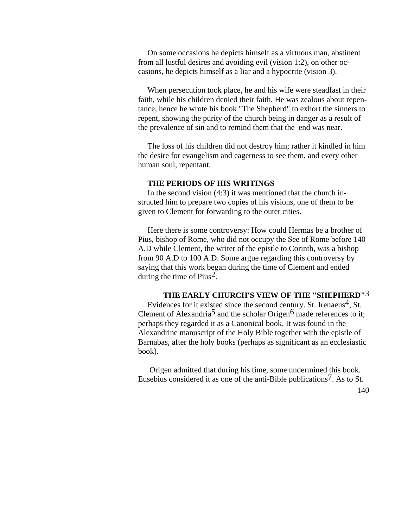On some occasions he depicts himself as a virtuous man, abstinent from all lustful desires and avoiding evil (vision 1:2), on other occasions, he depicts himself as a liar and a hypocrite (vision 3).

When persecution took place, he and his wife were steadfast in their faith, while his children denied their faith. He was zealous about repentance, hence he wrote his book "The Shepherd" to exhort the sinners to repent, showing the purity of the church being in danger as a result of the prevalence of sin and to remind them that the end was near.

The loss of his children did not destroy him; rather it kindled in him the desire for evangelism and eagerness to see them, and every other human soul, repentant.

## **THE PERIODS OF HIS WRITINGS**

In the second vision (4:3) it was mentioned that the church instructed him to prepare two copies of his visions, one of them to be given to Clement for forwarding to the outer cities.

Here there is some controversy: How could Hermas be a brother of Pius, bishop of Rome, who did not occupy the See of Rome before 140 A.D while Clement, the writer of the epistle to Corinth, was a bishop from 90 A.D to 100 A.D. Some argue regarding this controversy by saying that this work began during the time of Clement and ended during the time of Pius2.

# **THE EARLY CHURCH'S VIEW OF THE "SHEPHERD"**3

Evidences for it existed since the second century. St. Irenaeus<sup>4</sup>, St. Clement of Alexandria<sup>5</sup> and the scholar Origen<sup>6</sup> made references to it; perhaps they regarded it as a Canonical book. It was found in the Alexandrine manuscript of the Holy Bible together with the epistle of Barnabas, after the holy books (perhaps as significant as an ecclesiastic book).

 Origen admitted that during his time, some undermined this book. Eusebius considered it as one of the anti-Bible publications7. As to St.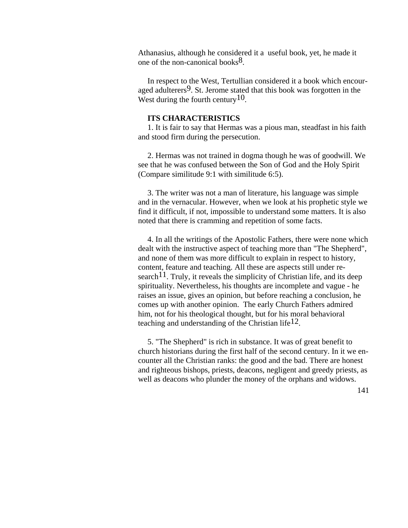Athanasius, although he considered it a useful book, yet, he made it one of the non-canonical books $\delta$ .

In respect to the West, Tertullian considered it a book which encouraged adulterers<sup>9</sup>. St. Jerome stated that this book was forgotten in the West during the fourth century<sup>10</sup>.

## **ITS CHARACTERISTICS**

1. It is fair to say that Hermas was a pious man, steadfast in his faith and stood firm during the persecution.

2. Hermas was not trained in dogma though he was of goodwill. We see that he was confused between the Son of God and the Holy Spirit (Compare similitude 9:1 with similitude 6:5).

3. The writer was not a man of literature, his language was simple and in the vernacular. However, when we look at his prophetic style we find it difficult, if not, impossible to understand some matters. It is also noted that there is cramming and repetition of some facts.

4. In all the writings of the Apostolic Fathers, there were none which dealt with the instructive aspect of teaching more than "The Shepherd", and none of them was more difficult to explain in respect to history, content, feature and teaching. All these are aspects still under research<sup>11</sup>. Truly, it reveals the simplicity of Christian life, and its deep spirituality. Nevertheless, his thoughts are incomplete and vague - he raises an issue, gives an opinion, but before reaching a conclusion, he comes up with another opinion. The early Church Fathers admired him, not for his theological thought, but for his moral behavioral teaching and understanding of the Christian life<sup>12</sup>.

5. "The Shepherd" is rich in substance. It was of great benefit to church historians during the first half of the second century. In it we encounter all the Christian ranks: the good and the bad. There are honest and righteous bishops, priests, deacons, negligent and greedy priests, as well as deacons who plunder the money of the orphans and widows.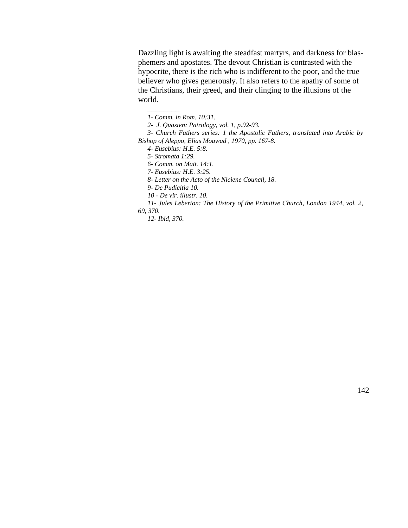Dazzling light is awaiting the steadfast martyrs, and darkness for blasphemers and apostates. The devout Christian is contrasted with the hypocrite, there is the rich who is indifferent to the poor, and the true believer who gives generously. It also refers to the apathy of some of the Christians, their greed, and their clinging to the illusions of the world.

\_\_\_\_\_\_\_\_ *1- Comm. in Rom. 10:31.* 

*2- J. Quasten: Patrology, vol. 1, p.92-93.* 

*3- Church Fathers series: 1 the Apostolic Fathers, translated into Arabic by Bishop of Aleppo, Elias Moawad , 1970, pp. 167-8.* 

*4- Eusebius: H.E. 5:8.* 

*5- Stromata 1:29.* 

*6- Comm. on Matt. 14:1.* 

*7- Eusebius: H.E. 3:25.* 

*8- Letter on the Acto of the Niciene Council, 18.* 

*9- De Pudicitia 10.* 

*10 - De vir. illustr. 10.* 

*11- Jules Leberton: The History of the Primitive Church, London 1944, vol. 2, 69, 370.* 

*12- Ibid, 370.*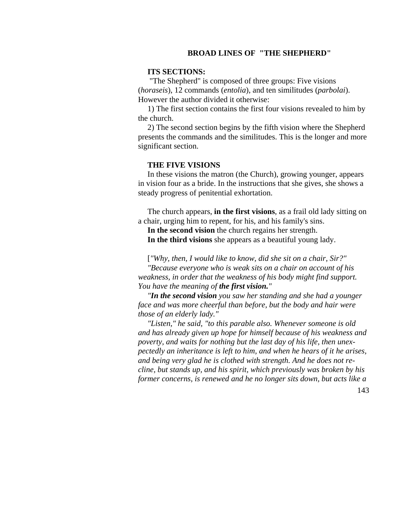## **BROAD LINES OF "THE SHEPHERD"**

#### **ITS SECTIONS:**

 "The Shepherd" is composed of three groups: Five visions (*horaseis*), 12 commands (*entolia*), and ten similitudes (*parbolai*). However the author divided it otherwise:

1) The first section contains the first four visions revealed to him by the church.

2) The second section begins by the fifth vision where the Shepherd presents the commands and the similitudes. This is the longer and more significant section.

#### **THE FIVE VISIONS**

In these visions the matron (the Church), growing younger, appears in vision four as a bride. In the instructions that she gives, she shows a steady progress of penitential exhortation.

The church appears, **in the first visions**, as a frail old lady sitting on a chair, urging him to repent, for his, and his family's sins.

**In the second vision** the church regains her strength. **In the third visions** she appears as a beautiful young lady.

[*"Why, then, I would like to know, did she sit on a chair, Sir?"* 

*"Because everyone who is weak sits on a chair on account of his weakness, in order that the weakness of his body might find support. You have the meaning of the first vision."* 

*"In the second vision you saw her standing and she had a younger face and was more cheerful than before, but the body and hair were those of an elderly lady."* 

*"Listen," he said, "to this parable also. Whenever someone is old and has already given up hope for himself because of his weakness and poverty, and waits for nothing but the last day of his life, then unexpectedly an inheritance is left to him, and when he hears of it he arises, and being very glad he is clothed with strength. And he does not recline, but stands up, and his spirit, which previously was broken by his former concerns, is renewed and he no longer sits down, but acts like a*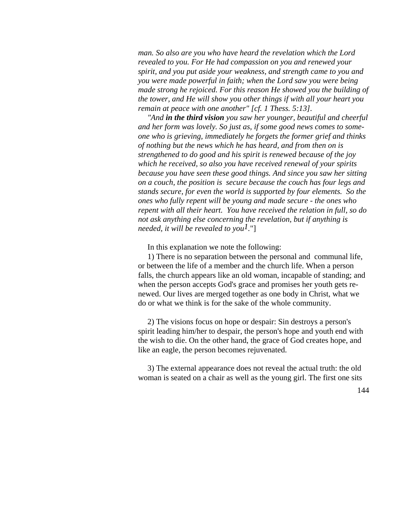*man. So also are you who have heard the revelation which the Lord revealed to you. For He had compassion on you and renewed your spirit, and you put aside your weakness, and strength came to you and you were made powerful in faith; when the Lord saw you were being made strong he rejoiced. For this reason He showed you the building of the tower, and He will show you other things if with all your heart you remain at peace with one another" [cf. 1 Thess. 5:13].* 

*"And in the third vision you saw her younger, beautiful and cheerful and her form was lovely. So just as, if some good news comes to someone who is grieving, immediately he forgets the former grief and thinks of nothing but the news which he has heard, and from then on is strengthened to do good and his spirit is renewed because of the joy which he received, so also you have received renewal of your spirits because you have seen these good things. And since you saw her sitting on a couch, the position is secure because the couch has four legs and stands secure, for even the world is supported by four elements. So the ones who fully repent will be young and made secure - the ones who repent with all their heart. You have received the relation in full, so do not ask anything else concerning the revelation, but if anything is needed, it will be revealed to you1.*"]

In this explanation we note the following:

1) There is no separation between the personal and communal life, or between the life of a member and the church life. When a person falls, the church appears like an old woman, incapable of standing; and when the person accepts God's grace and promises her youth gets renewed. Our lives are merged together as one body in Christ, what we do or what we think is for the sake of the whole community.

2) The visions focus on hope or despair: Sin destroys a person's spirit leading him/her to despair, the person's hope and youth end with the wish to die. On the other hand, the grace of God creates hope, and like an eagle, the person becomes rejuvenated.

3) The external appearance does not reveal the actual truth: the old woman is seated on a chair as well as the young girl. The first one sits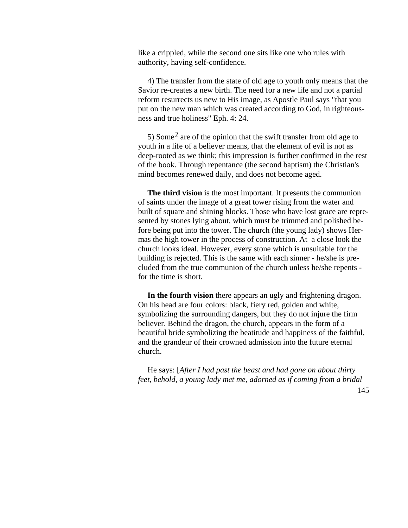like a crippled, while the second one sits like one who rules with authority, having self-confidence.

4) The transfer from the state of old age to youth only means that the Savior re-creates a new birth. The need for a new life and not a partial reform resurrects us new to His image, as Apostle Paul says "that you put on the new man which was created according to God, in righteousness and true holiness" Eph. 4: 24.

5) Some2 are of the opinion that the swift transfer from old age to youth in a life of a believer means, that the element of evil is not as deep-rooted as we think; this impression is further confirmed in the rest of the book. Through repentance (the second baptism) the Christian's mind becomes renewed daily, and does not become aged.

**The third vision** is the most important. It presents the communion of saints under the image of a great tower rising from the water and built of square and shining blocks. Those who have lost grace are represented by stones lying about, which must be trimmed and polished before being put into the tower. The church (the young lady) shows Hermas the high tower in the process of construction. At a close look the church looks ideal. However, every stone which is unsuitable for the building is rejected. This is the same with each sinner - he/she is precluded from the true communion of the church unless he/she repents for the time is short.

**In the fourth vision** there appears an ugly and frightening dragon. On his head are four colors: black, fiery red, golden and white, symbolizing the surrounding dangers, but they do not injure the firm believer. Behind the dragon, the church, appears in the form of a beautiful bride symbolizing the beatitude and happiness of the faithful, and the grandeur of their crowned admission into the future eternal church.

He says: [*After I had past the beast and had gone on about thirty feet, behold, a young lady met me, adorned as if coming from a bridal*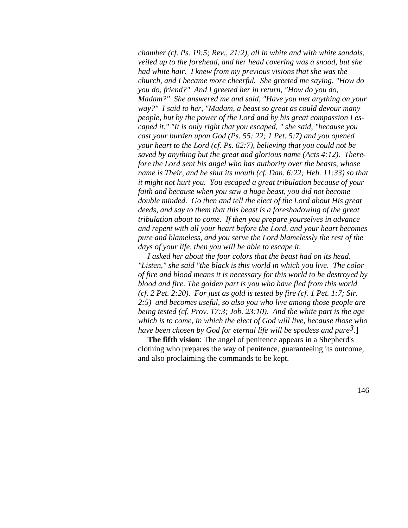*chamber (cf. Ps. 19:5; Rev., 21:2), all in white and with white sandals, veiled up to the forehead, and her head covering was a snood, but she had white hair. I knew from my previous visions that she was the church, and I became more cheerful. She greeted me saying, "How do you do, friend?" And I greeted her in return, "How do you do, Madam?" She answered me and said, "Have you met anything on your way?" I said to her, "Madam, a beast so great as could devour many people, but by the power of the Lord and by his great compassion I escaped it." "It is only right that you escaped, " she said, "because you cast your burden upon God (Ps. 55: 22; 1 Pet. 5:7) and you opened your heart to the Lord (cf. Ps. 62:7), believing that you could not be saved by anything but the great and glorious name (Acts 4:12). Therefore the Lord sent his angel who has authority over the beasts, whose name is Their, and he shut its mouth (cf. Dan. 6:22; Heb. 11:33) so that it might not hurt you. You escaped a great tribulation because of your faith and because when you saw a huge beast, you did not become double minded. Go then and tell the elect of the Lord about His great deeds, and say to them that this beast is a foreshadowing of the great tribulation about to come. If then you prepare yourselves in advance and repent with all your heart before the Lord, and your heart becomes pure and blameless, and you serve the Lord blamelessly the rest of the days of your life, then you will be able to escape it.* 

*I asked her about the four colors that the beast had on its head. "Listen," she said "the black is this world in which you live. The color of fire and blood means it is necessary for this world to be destroyed by blood and fire. The golden part is you who have fled from this world (cf. 2 Pet. 2:20). For just as gold is tested by fire (cf. 1 Pet. 1:7; Sir. 2:5) and becomes useful, so also you who live among those people are being tested (cf. Prov. 17:3; Job. 23:10). And the white part is the age which is to come, in which the elect of God will live, because those who have been chosen by God for eternal life will be spotless and pure3*.]

**The fifth vision**: The angel of penitence appears in a Shepherd's clothing who prepares the way of penitence, guaranteeing its outcome, and also proclaiming the commands to be kept.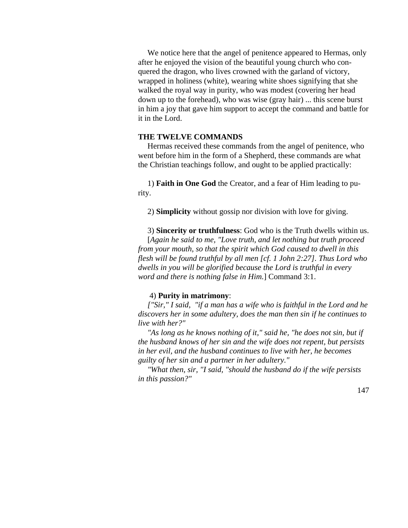We notice here that the angel of penitence appeared to Hermas, only after he enjoyed the vision of the beautiful young church who conquered the dragon, who lives crowned with the garland of victory, wrapped in holiness (white), wearing white shoes signifying that she walked the royal way in purity, who was modest (covering her head down up to the forehead), who was wise (gray hair) ... this scene burst in him a joy that gave him support to accept the command and battle for it in the Lord.

#### **THE TWELVE COMMANDS**

Hermas received these commands from the angel of penitence, who went before him in the form of a Shepherd, these commands are what the Christian teachings follow, and ought to be applied practically:

1) **Faith in One God** the Creator, and a fear of Him leading to purity.

2) **Simplicity** without gossip nor division with love for giving.

3) **Sincerity or truthfulness**: God who is the Truth dwells within us. [*Again he said to me, "Love truth, and let nothing but truth proceed from your mouth, so that the spirit which God caused to dwell in this flesh will be found truthful by all men [cf. 1 John 2:27]. Thus Lord who dwells in you will be glorified because the Lord is truthful in every word and there is nothing false in Him.*] Command 3:1.

# 4) **Purity in matrimony**:

*["Sir," I said, "if a man has a wife who is faithful in the Lord and he discovers her in some adultery, does the man then sin if he continues to live with her?"* 

*"As long as he knows nothing of it," said he, "he does not sin, but if the husband knows of her sin and the wife does not repent, but persists in her evil, and the husband continues to live with her, he becomes guilty of her sin and a partner in her adultery."* 

*"What then, sir, "I said, "should the husband do if the wife persists in this passion?"*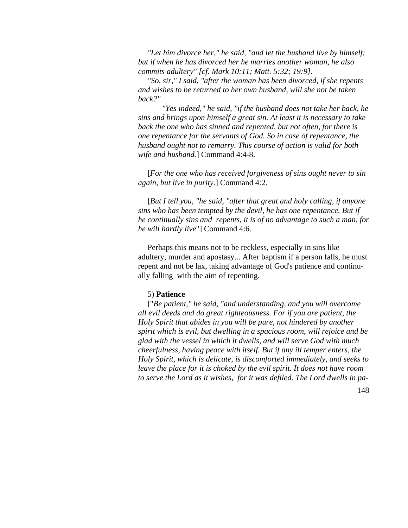*"Let him divorce her," he said, "and let the husband live by himself; but if when he has divorced her he marries another woman, he also commits adultery" [cf. Mark 10:11; Matt. 5:32; 19:9].* 

*"So, sir," I said, "after the woman has been divorced, if she repents and wishes to be returned to her own husband, will she not be taken back?"* 

 *"Yes indeed," he said, "if the husband does not take her back, he sins and brings upon himself a great sin. At least it is necessary to take back the one who has sinned and repented, but not often, for there is one repentance for the servants of God. So in case of repentance, the husband ought not to remarry. This course of action is valid for both wife and husband.*] Command 4:4-8.

[*For the one who has received forgiveness of sins ought never to sin again, but live in purity*.] Command 4:2.

[*But I tell you, "he said, "after that great and holy calling, if anyone sins who has been tempted by the devil, he has one repentance. But if he continually sins and repents, it is of no advantage to such a man, for he will hardly live*"] Command 4:6.

Perhaps this means not to be reckless, especially in sins like adultery, murder and apostasy... After baptism if a person falls, he must repent and not be lax, taking advantage of God's patience and continually falling with the aim of repenting.

#### 5) **Patience**

["*Be patient," he said, "and understanding, and you will overcome all evil deeds and do great righteousness. For if you are patient, the Holy Spirit that abides in you will be pure, not hindered by another spirit which is evil, but dwelling in a spacious room, will rejoice and be glad with the vessel in which it dwells, and will serve God with much cheerfulness, having peace with itself. But if any ill temper enters, the Holy Spirit, which is delicate, is discomforted immediately, and seeks to leave the place for it is choked by the evil spirit. It does not have room to serve the Lord as it wishes, for it was defiled. The Lord dwells in pa-*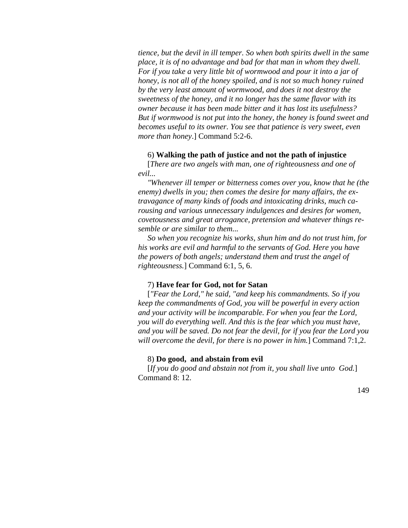*tience, but the devil in ill temper. So when both spirits dwell in the same place, it is of no advantage and bad for that man in whom they dwell. For if you take a very little bit of wormwood and pour it into a jar of honey, is not all of the honey spoiled, and is not so much honey ruined by the very least amount of wormwood, and does it not destroy the sweetness of the honey, and it no longer has the same flavor with its owner because it has been made bitter and it has lost its usefulness? But if wormwood is not put into the honey, the honey is found sweet and becomes useful to its owner. You see that patience is very sweet, even more than honey*.] Command 5:2-6.

#### 6) **Walking the path of justice and not the path of injustice**

[*There are two angels with man, one of righteousness and one of evil...* 

*"Whenever ill temper or bitterness comes over you, know that he (the enemy) dwells in you; then comes the desire for many affairs, the extravagance of many kinds of foods and intoxicating drinks, much carousing and various unnecessary indulgences and desires for women, covetousness and great arrogance, pretension and whatever things resemble or are similar to them...* 

 *So when you recognize his works, shun him and do not trust him, for his works are evil and harmful to the servants of God. Here you have the powers of both angels; understand them and trust the angel of righteousness.*] Command 6:1, 5, 6.

#### 7) **Have fear for God, not for Satan**

 [*"Fear the Lord," he said, "and keep his commandments. So if you keep the commandments of God, you will be powerful in every action and your activity will be incomparable. For when you fear the Lord, you will do everything well. And this is the fear which you must have, and you will be saved. Do not fear the devil, for if you fear the Lord you will overcome the devil, for there is no power in him.*] Command 7:1,2.

#### 8) **Do good, and abstain from evil**

 [*If you do good and abstain not from it, you shall live unto God.*] Command 8: 12.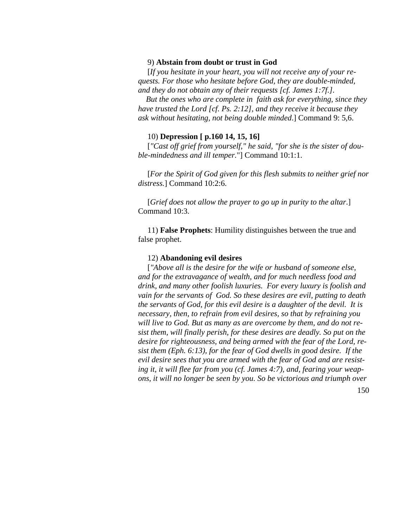#### 9) **Abstain from doubt or trust in God**

 [*If you hesitate in your heart, you will not receive any of your requests. For those who hesitate before God, they are double-minded, and they do not obtain any of their requests [cf. James 1:7f.].* 

 *But the ones who are complete in faith ask for everything, since they have trusted the Lord [cf. Ps. 2:12], and they receive it because they ask without hesitating, not being double minded*.] Command 9: 5,6.

#### 10) **Depression [ p.160 14, 15, 16]**

 [*"Cast off grief from yourself," he said, "for she is the sister of double-mindedness and ill temper.*"] Command 10:1:1.

 [*For the Spirit of God given for this flesh submits to neither grief nor distress.*] Command 10:2:6.

[*Grief does not allow the prayer to go up in purity to the altar*.] Command 10:3.

11) **False Prophets**: Humility distinguishes between the true and false prophet.

#### 12) **Abandoning evil desires**

["Above all is the desire for the wife or husband of someone else, *and for the extravagance of wealth, and for much needless food and drink, and many other foolish luxuries. For every luxury is foolish and vain for the servants of God. So these desires are evil, putting to death the servants of God, for this evil desire is a daughter of the devil. It is necessary, then, to refrain from evil desires, so that by refraining you will live to God. But as many as are overcome by them, and do not resist them, will finally perish, for these desires are deadly. So put on the desire for righteousness, and being armed with the fear of the Lord, resist them (Eph. 6:13), for the fear of God dwells in good desire. If the evil desire sees that you are armed with the fear of God and are resisting it, it will flee far from you (cf. James 4:7), and, fearing your weapons, it will no longer be seen by you. So be victorious and triumph over*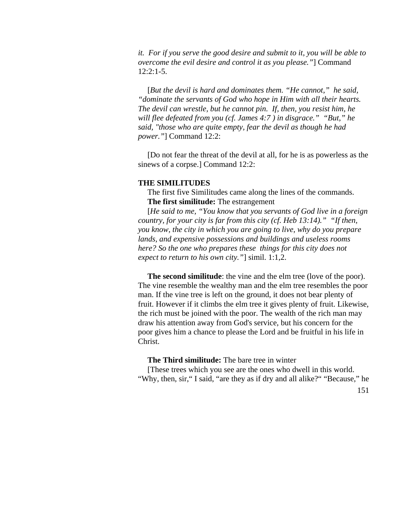*it. For if you serve the good desire and submit to it, you will be able to overcome the evil desire and control it as you please."*] Command  $12:2:1-5$ .

 [*But the devil is hard and dominates them. "He cannot," he said, "dominate the servants of God who hope in Him with all their hearts. The devil can wrestle, but he cannot pin. If, then, you resist him, he will flee defeated from you (cf. James 4:7 ) in disgrace." "But," he said, "those who are quite empty, fear the devil as though he had power."*] Command 12:2:

 [Do not fear the threat of the devil at all, for he is as powerless as the sinews of a corpse.] Command 12:2:

#### **THE SIMILITUDES**

The first five Similitudes came along the lines of the commands. **The first similitude:** The estrangement

[*He said to me, "You know that you servants of God live in a foreign country, for your city is far from this city (cf. Heb 13:14)." "If then, you know, the city in which you are going to live, why do you prepare lands, and expensive possessions and buildings and useless rooms here? So the one who prepares these things for this city does not expect to return to his own city."*] simil. 1:1,2.

**The second similitude**: the vine and the elm tree (love of the poor). The vine resemble the wealthy man and the elm tree resembles the poor man. If the vine tree is left on the ground, it does not bear plenty of fruit. However if it climbs the elm tree it gives plenty of fruit. Likewise, the rich must be joined with the poor. The wealth of the rich man may draw his attention away from God's service, but his concern for the poor gives him a chance to please the Lord and be fruitful in his life in Christ.

#### **The Third similitude:** The bare tree in winter

 [These trees which you see are the ones who dwell in this world. "Why, then, sir," I said, "are they as if dry and all alike?" "Because," he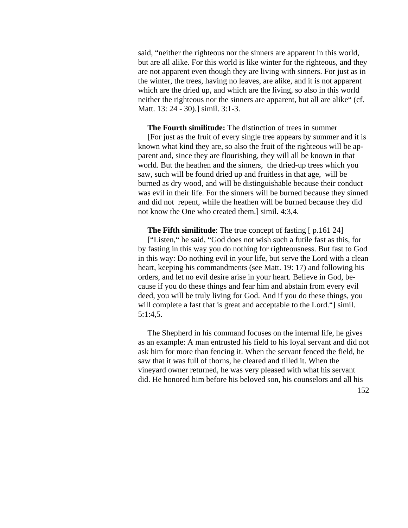said, "neither the righteous nor the sinners are apparent in this world, but are all alike. For this world is like winter for the righteous, and they are not apparent even though they are living with sinners. For just as in the winter, the trees, having no leaves, are alike, and it is not apparent which are the dried up, and which are the living, so also in this world neither the righteous nor the sinners are apparent, but all are alike" (cf. Matt. 13: 24 - 30).] simil. 3:1-3.

**The Fourth similitude:** The distinction of trees in summer

 [For just as the fruit of every single tree appears by summer and it is known what kind they are, so also the fruit of the righteous will be apparent and, since they are flourishing, they will all be known in that world. But the heathen and the sinners, the dried-up trees which you saw, such will be found dried up and fruitless in that age, will be burned as dry wood, and will be distinguishable because their conduct was evil in their life. For the sinners will be burned because they sinned and did not repent, while the heathen will be burned because they did not know the One who created them.] simil. 4:3,4.

**The Fifth similitude**: The true concept of fasting [ p.161 24]

 ["Listen," he said, "God does not wish such a futile fast as this, for by fasting in this way you do nothing for righteousness. But fast to God in this way: Do nothing evil in your life, but serve the Lord with a clean heart, keeping his commandments (see Matt. 19: 17) and following his orders, and let no evil desire arise in your heart. Believe in God, because if you do these things and fear him and abstain from every evil deed, you will be truly living for God. And if you do these things, you will complete a fast that is great and acceptable to the Lord." simil. 5:1:4,5.

The Shepherd in his command focuses on the internal life, he gives as an example: A man entrusted his field to his loyal servant and did not ask him for more than fencing it. When the servant fenced the field, he saw that it was full of thorns, he cleared and tilled it. When the vineyard owner returned, he was very pleased with what his servant did. He honored him before his beloved son, his counselors and all his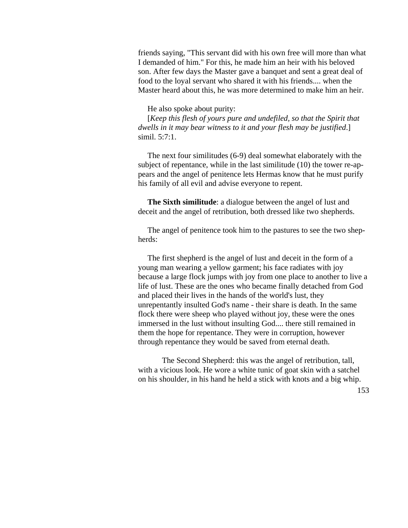friends saying, "This servant did with his own free will more than what I demanded of him." For this, he made him an heir with his beloved son. After few days the Master gave a banquet and sent a great deal of food to the loyal servant who shared it with his friends.... when the Master heard about this, he was more determined to make him an heir.

He also spoke about purity:

 [*Keep this flesh of yours pure and undefiled, so that the Spirit that dwells in it may bear witness to it and your flesh may be justified*.] simil. 5:7:1.

The next four similitudes (6-9) deal somewhat elaborately with the subject of repentance, while in the last similitude (10) the tower re-appears and the angel of penitence lets Hermas know that he must purify his family of all evil and advise everyone to repent.

**The Sixth similitude**: a dialogue between the angel of lust and deceit and the angel of retribution, both dressed like two shepherds.

The angel of penitence took him to the pastures to see the two shepherds:

The first shepherd is the angel of lust and deceit in the form of a young man wearing a yellow garment; his face radiates with joy because a large flock jumps with joy from one place to another to live a life of lust. These are the ones who became finally detached from God and placed their lives in the hands of the world's lust, they unrepentantly insulted God's name - their share is death. In the same flock there were sheep who played without joy, these were the ones immersed in the lust without insulting God.... there still remained in them the hope for repentance. They were in corruption, however through repentance they would be saved from eternal death.

 The Second Shepherd: this was the angel of retribution, tall, with a vicious look. He wore a white tunic of goat skin with a satchel on his shoulder, in his hand he held a stick with knots and a big whip.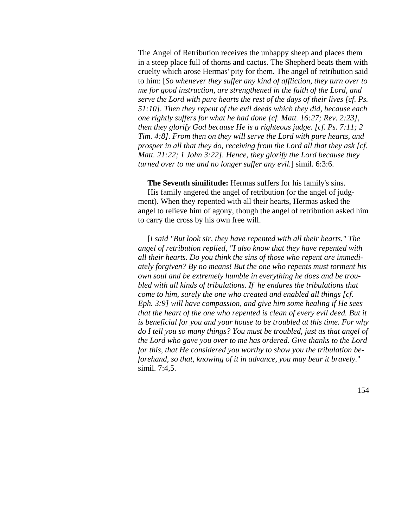The Angel of Retribution receives the unhappy sheep and places them in a steep place full of thorns and cactus. The Shepherd beats them with cruelty which arose Hermas' pity for them. The angel of retribution said to him: [*So whenever they suffer any kind of affliction, they turn over to me for good instruction, are strengthened in the faith of the Lord, and serve the Lord with pure hearts the rest of the days of their lives [cf. Ps. 51:10]. Then they repent of the evil deeds which they did, because each one rightly suffers for what he had done [cf. Matt. 16:27; Rev. 2:23], then they glorify God because He is a righteous judge. [cf. Ps. 7:11; 2 Tim. 4:8]. From then on they will serve the Lord with pure hearts, and prosper in all that they do, receiving from the Lord all that they ask [cf. Matt. 21:22; 1 John 3:22]. Hence, they glorify the Lord because they turned over to me and no longer suffer any evil.*] simil. 6:3:6.

**The Seventh similitude:** Hermas suffers for his family's sins.

His family angered the angel of retribution (or the angel of judgment). When they repented with all their hearts, Hermas asked the angel to relieve him of agony, though the angel of retribution asked him to carry the cross by his own free will.

[*I said "But look sir, they have repented with all their hearts." The angel of retribution replied, "I also know that they have repented with all their hearts. Do you think the sins of those who repent are immediately forgiven? By no means! But the one who repents must torment his own soul and be extremely humble in everything he does and be troubled with all kinds of tribulations. If he endures the tribulations that come to him, surely the one who created and enabled all things [cf. Eph. 3:9] will have compassion, and give him some healing if He sees that the heart of the one who repented is clean of every evil deed. But it is beneficial for you and your house to be troubled at this time. For why do I tell you so many things? You must be troubled, just as that angel of the Lord who gave you over to me has ordered. Give thanks to the Lord for this, that He considered you worthy to show you the tribulation beforehand, so that, knowing of it in advance, you may bear it bravely.*" simil. 7:4,5.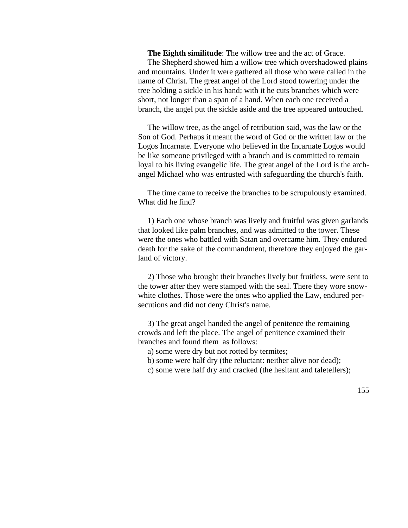**The Eighth similitude**: The willow tree and the act of Grace.

The Shepherd showed him a willow tree which overshadowed plains and mountains. Under it were gathered all those who were called in the name of Christ. The great angel of the Lord stood towering under the tree holding a sickle in his hand; with it he cuts branches which were short, not longer than a span of a hand. When each one received a branch, the angel put the sickle aside and the tree appeared untouched.

The willow tree, as the angel of retribution said, was the law or the Son of God. Perhaps it meant the word of God or the written law or the Logos Incarnate. Everyone who believed in the Incarnate Logos would be like someone privileged with a branch and is committed to remain loyal to his living evangelic life. The great angel of the Lord is the archangel Michael who was entrusted with safeguarding the church's faith.

The time came to receive the branches to be scrupulously examined. What did he find?

1) Each one whose branch was lively and fruitful was given garlands that looked like palm branches, and was admitted to the tower. These were the ones who battled with Satan and overcame him. They endured death for the sake of the commandment, therefore they enjoyed the garland of victory.

2) Those who brought their branches lively but fruitless, were sent to the tower after they were stamped with the seal. There they wore snowwhite clothes. Those were the ones who applied the Law, endured persecutions and did not deny Christ's name.

3) The great angel handed the angel of penitence the remaining crowds and left the place. The angel of penitence examined their branches and found them as follows:

- a) some were dry but not rotted by termites;
- b) some were half dry (the reluctant: neither alive nor dead);
- c) some were half dry and cracked (the hesitant and taletellers);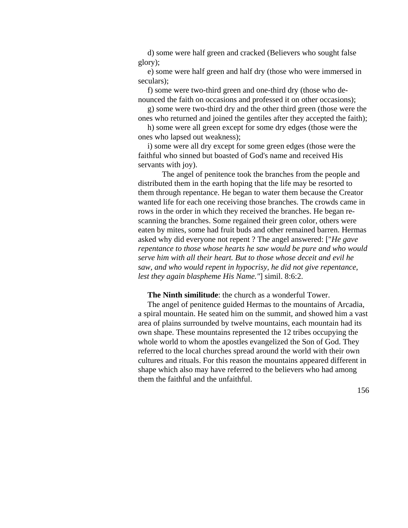d) some were half green and cracked (Believers who sought false glory);

e) some were half green and half dry (those who were immersed in seculars);

f) some were two-third green and one-third dry (those who denounced the faith on occasions and professed it on other occasions);

g) some were two-third dry and the other third green (those were the ones who returned and joined the gentiles after they accepted the faith);

h) some were all green except for some dry edges (those were the ones who lapsed out weakness);

i) some were all dry except for some green edges (those were the faithful who sinned but boasted of God's name and received His servants with joy).

 The angel of penitence took the branches from the people and distributed them in the earth hoping that the life may be resorted to them through repentance. He began to water them because the Creator wanted life for each one receiving those branches. The crowds came in rows in the order in which they received the branches. He began rescanning the branches. Some regained their green color, others were eaten by mites, some had fruit buds and other remained barren. Hermas asked why did everyone not repent ? The angel answered: ["*He gave repentance to those whose hearts he saw would be pure and who would serve him with all their heart. But to those whose deceit and evil he saw, and who would repent in hypocrisy, he did not give repentance, lest they again blaspheme His Name."*] simil. 8:6:2.

**The Ninth similitude**: the church as a wonderful Tower.

The angel of penitence guided Hermas to the mountains of Arcadia, a spiral mountain. He seated him on the summit, and showed him a vast area of plains surrounded by twelve mountains, each mountain had its own shape. These mountains represented the 12 tribes occupying the whole world to whom the apostles evangelized the Son of God. They referred to the local churches spread around the world with their own cultures and rituals. For this reason the mountains appeared different in shape which also may have referred to the believers who had among them the faithful and the unfaithful.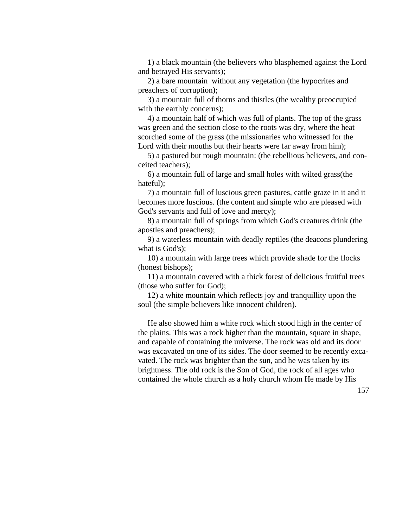1) a black mountain (the believers who blasphemed against the Lord and betrayed His servants);

2) a bare mountain without any vegetation (the hypocrites and preachers of corruption);

3) a mountain full of thorns and thistles (the wealthy preoccupied with the earthly concerns);

4) a mountain half of which was full of plants. The top of the grass was green and the section close to the roots was dry, where the heat scorched some of the grass (the missionaries who witnessed for the Lord with their mouths but their hearts were far away from him);

5) a pastured but rough mountain: (the rebellious believers, and conceited teachers);

6) a mountain full of large and small holes with wilted grass(the hateful);

7) a mountain full of luscious green pastures, cattle graze in it and it becomes more luscious. (the content and simple who are pleased with God's servants and full of love and mercy);

8) a mountain full of springs from which God's creatures drink (the apostles and preachers);

9) a waterless mountain with deadly reptiles (the deacons plundering what is God's);

10) a mountain with large trees which provide shade for the flocks (honest bishops);

11) a mountain covered with a thick forest of delicious fruitful trees (those who suffer for God);

12) a white mountain which reflects joy and tranquillity upon the soul (the simple believers like innocent children).

He also showed him a white rock which stood high in the center of the plains. This was a rock higher than the mountain, square in shape, and capable of containing the universe. The rock was old and its door was excavated on one of its sides. The door seemed to be recently excavated. The rock was brighter than the sun, and he was taken by its brightness. The old rock is the Son of God, the rock of all ages who contained the whole church as a holy church whom He made by His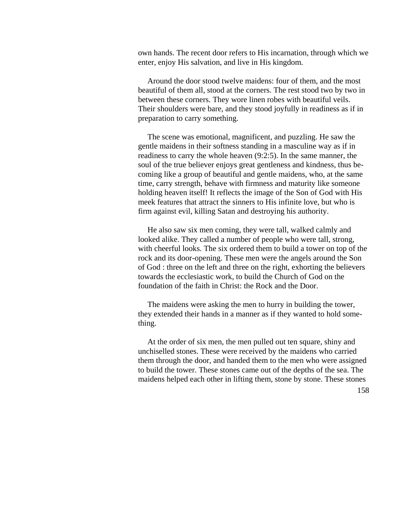own hands. The recent door refers to His incarnation, through which we enter, enjoy His salvation, and live in His kingdom.

Around the door stood twelve maidens: four of them, and the most beautiful of them all, stood at the corners. The rest stood two by two in between these corners. They wore linen robes with beautiful veils. Their shoulders were bare, and they stood joyfully in readiness as if in preparation to carry something.

The scene was emotional, magnificent, and puzzling. He saw the gentle maidens in their softness standing in a masculine way as if in readiness to carry the whole heaven (9:2:5). In the same manner, the soul of the true believer enjoys great gentleness and kindness, thus becoming like a group of beautiful and gentle maidens, who, at the same time, carry strength, behave with firmness and maturity like someone holding heaven itself! It reflects the image of the Son of God with His meek features that attract the sinners to His infinite love, but who is firm against evil, killing Satan and destroying his authority.

He also saw six men coming, they were tall, walked calmly and looked alike. They called a number of people who were tall, strong, with cheerful looks. The six ordered them to build a tower on top of the rock and its door-opening. These men were the angels around the Son of God : three on the left and three on the right, exhorting the believers towards the ecclesiastic work, to build the Church of God on the foundation of the faith in Christ: the Rock and the Door.

The maidens were asking the men to hurry in building the tower, they extended their hands in a manner as if they wanted to hold something.

At the order of six men, the men pulled out ten square, shiny and unchiselled stones. These were received by the maidens who carried them through the door, and handed them to the men who were assigned to build the tower. These stones came out of the depths of the sea. The maidens helped each other in lifting them, stone by stone. These stones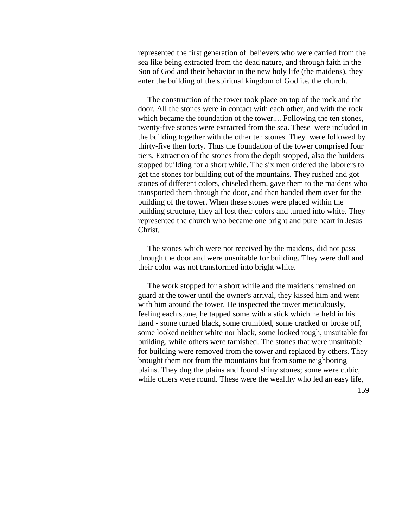represented the first generation of believers who were carried from the sea like being extracted from the dead nature, and through faith in the Son of God and their behavior in the new holy life (the maidens), they enter the building of the spiritual kingdom of God i.e. the church.

The construction of the tower took place on top of the rock and the door. All the stones were in contact with each other, and with the rock which became the foundation of the tower.... Following the ten stones, twenty-five stones were extracted from the sea. These were included in the building together with the other ten stones. They were followed by thirty-five then forty. Thus the foundation of the tower comprised four tiers. Extraction of the stones from the depth stopped, also the builders stopped building for a short while. The six men ordered the laborers to get the stones for building out of the mountains. They rushed and got stones of different colors, chiseled them, gave them to the maidens who transported them through the door, and then handed them over for the building of the tower. When these stones were placed within the building structure, they all lost their colors and turned into white. They represented the church who became one bright and pure heart in Jesus Christ,

The stones which were not received by the maidens, did not pass through the door and were unsuitable for building. They were dull and their color was not transformed into bright white.

The work stopped for a short while and the maidens remained on guard at the tower until the owner's arrival, they kissed him and went with him around the tower. He inspected the tower meticulously, feeling each stone, he tapped some with a stick which he held in his hand - some turned black, some crumbled, some cracked or broke off, some looked neither white nor black, some looked rough, unsuitable for building, while others were tarnished. The stones that were unsuitable for building were removed from the tower and replaced by others. They brought them not from the mountains but from some neighboring plains. They dug the plains and found shiny stones; some were cubic, while others were round. These were the wealthy who led an easy life,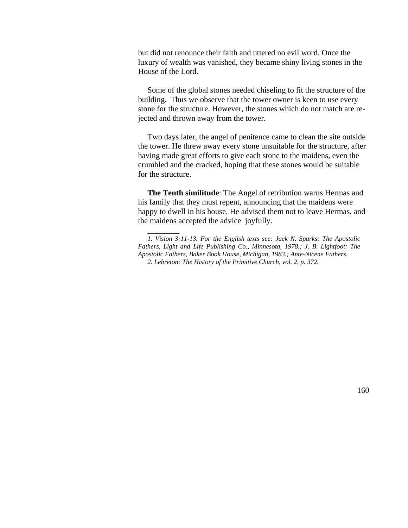but did not renounce their faith and uttered no evil word. Once the luxury of wealth was vanished, they became shiny living stones in the House of the Lord.

Some of the global stones needed chiseling to fit the structure of the building. Thus we observe that the tower owner is keen to use every stone for the structure. However, the stones which do not match are rejected and thrown away from the tower.

Two days later, the angel of penitence came to clean the site outside the tower. He threw away every stone unsuitable for the structure, after having made great efforts to give each stone to the maidens, even the crumbled and the cracked, hoping that these stones would be suitable for the structure.

**The Tenth similitude**: The Angel of retribution warns Hermas and his family that they must repent, announcing that the maidens were happy to dwell in his house. He advised them not to leave Hermas, and the maidens accepted the advice joyfully.

\_\_\_\_\_\_\_\_

*<sup>1.</sup> Vision 3:11-13. For the English texts see: Jack N. Sparks: The Apostolic Fathers, Light and Life Publishing Co., Minnesota, 1978.; J. B. Lightfoot: The Apostolic Fathers, Baker Book House, Michigan, 1983.; Ante-Nicene Fathers. 2. Lebreton: The History of the Primitive Church, vol. 2, p. 372.*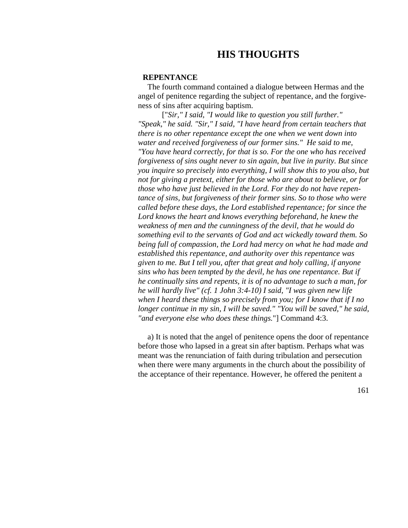# **HIS THOUGHTS**

#### **REPENTANCE**

The fourth command contained a dialogue between Hermas and the angel of penitence regarding the subject of repentance, and the forgiveness of sins after acquiring baptism.

 ["*Sir," I said, "I would like to question you still further." "Speak," he said. "Sir," I said, "I have heard from certain teachers that there is no other repentance except the one when we went down into water and received forgiveness of our former sins." He said to me, "You have heard correctly, for that is so. For the one who has received forgiveness of sins ought never to sin again, but live in purity. But since you inquire so precisely into everything, I will show this to you also, but not for giving a pretext, either for those who are about to believe, or for those who have just believed in the Lord. For they do not have repentance of sins, but forgiveness of their former sins. So to those who were called before these days, the Lord established repentance; for since the Lord knows the heart and knows everything beforehand, he knew the weakness of men and the cunningness of the devil, that he would do something evil to the servants of God and act wickedly toward them. So being full of compassion, the Lord had mercy on what he had made and established this repentance, and authority over this repentance was given to me. But I tell you, after that great and holy calling, if anyone sins who has been tempted by the devil, he has one repentance. But if he continually sins and repents, it is of no advantage to such a man, for he will hardly live" (cf. 1 John 3:4-10) I said, "I was given new life when I heard these things so precisely from you; for I know that if I no longer continue in my sin, I will be saved." "You will be saved," he said, "and everyone else who does these things.*"] Command 4:3.

a) It is noted that the angel of penitence opens the door of repentance before those who lapsed in a great sin after baptism. Perhaps what was meant was the renunciation of faith during tribulation and persecution when there were many arguments in the church about the possibility of the acceptance of their repentance. However, he offered the penitent a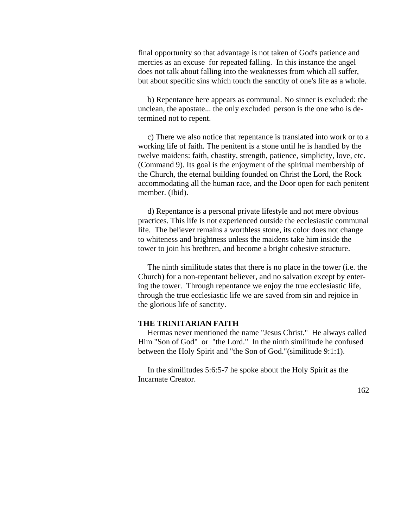final opportunity so that advantage is not taken of God's patience and mercies as an excuse for repeated falling. In this instance the angel does not talk about falling into the weaknesses from which all suffer, but about specific sins which touch the sanctity of one's life as a whole.

b) Repentance here appears as communal. No sinner is excluded: the unclean, the apostate... the only excluded person is the one who is determined not to repent.

c) There we also notice that repentance is translated into work or to a working life of faith. The penitent is a stone until he is handled by the twelve maidens: faith, chastity, strength, patience, simplicity, love, etc. (Command 9). Its goal is the enjoyment of the spiritual membership of the Church, the eternal building founded on Christ the Lord, the Rock accommodating all the human race, and the Door open for each penitent member. (Ibid).

d) Repentance is a personal private lifestyle and not mere obvious practices. This life is not experienced outside the ecclesiastic communal life. The believer remains a worthless stone, its color does not change to whiteness and brightness unless the maidens take him inside the tower to join his brethren, and become a bright cohesive structure.

The ninth similitude states that there is no place in the tower (i.e. the Church) for a non-repentant believer, and no salvation except by entering the tower. Through repentance we enjoy the true ecclesiastic life, through the true ecclesiastic life we are saved from sin and rejoice in the glorious life of sanctity.

# **THE TRINITARIAN FAITH**

Hermas never mentioned the name "Jesus Christ." He always called Him "Son of God" or "the Lord." In the ninth similitude he confused between the Holy Spirit and "the Son of God."(similitude 9:1:1).

In the similitudes 5:6:5-7 he spoke about the Holy Spirit as the Incarnate Creator.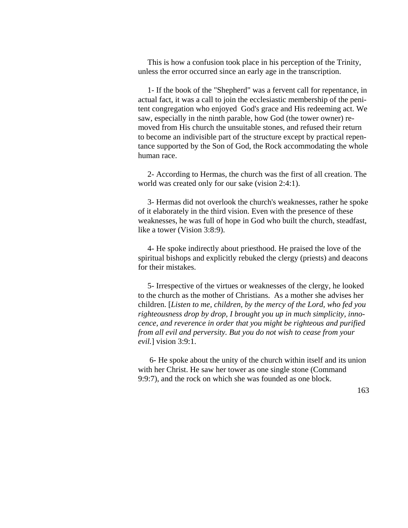This is how a confusion took place in his perception of the Trinity, unless the error occurred since an early age in the transcription.

1- If the book of the "Shepherd" was a fervent call for repentance, in actual fact, it was a call to join the ecclesiastic membership of the penitent congregation who enjoyed God's grace and His redeeming act. We saw, especially in the ninth parable, how God (the tower owner) removed from His church the unsuitable stones, and refused their return to become an indivisible part of the structure except by practical repentance supported by the Son of God, the Rock accommodating the whole human race.

2- According to Hermas, the church was the first of all creation. The world was created only for our sake (vision 2:4:1).

3- Hermas did not overlook the church's weaknesses, rather he spoke of it elaborately in the third vision. Even with the presence of these weaknesses, he was full of hope in God who built the church, steadfast, like a tower (Vision 3:8:9).

4- He spoke indirectly about priesthood. He praised the love of the spiritual bishops and explicitly rebuked the clergy (priests) and deacons for their mistakes.

5- Irrespective of the virtues or weaknesses of the clergy, he looked to the church as the mother of Christians. As a mother she advises her children. [*Listen to me, children, by the mercy of the Lord, who fed you righteousness drop by drop, I brought you up in much simplicity, innocence, and reverence in order that you might be righteous and purified from all evil and perversity. But you do not wish to cease from your evil.*] vision 3:9:1.

 6- He spoke about the unity of the church within itself and its union with her Christ. He saw her tower as one single stone (Command 9:9:7), and the rock on which she was founded as one block.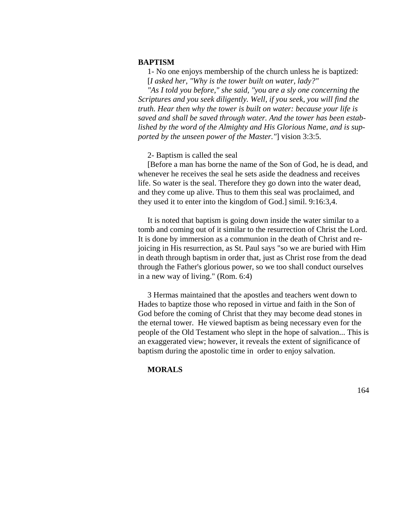#### **BAPTISM**

1- No one enjoys membership of the church unless he is baptized: [*I asked her, "Why is the tower built on water, lady?"* 

*"As I told you before," she said, "you are a sly one concerning the Scriptures and you seek diligently. Well, if you seek, you will find the truth. Hear then why the tower is built on water: because your life is saved and shall be saved through water. And the tower has been established by the word of the Almighty and His Glorious Name, and is supported by the unseen power of the Master."*] vision 3:3:5.

2- Baptism is called the seal

[Before a man has borne the name of the Son of God, he is dead, and whenever he receives the seal he sets aside the deadness and receives life. So water is the seal. Therefore they go down into the water dead, and they come up alive. Thus to them this seal was proclaimed, and they used it to enter into the kingdom of God.] simil. 9:16:3,4.

It is noted that baptism is going down inside the water similar to a tomb and coming out of it similar to the resurrection of Christ the Lord. It is done by immersion as a communion in the death of Christ and rejoicing in His resurrection, as St. Paul says "so we are buried with Him in death through baptism in order that, just as Christ rose from the dead through the Father's glorious power, so we too shall conduct ourselves in a new way of living." (Rom. 6:4)

3 Hermas maintained that the apostles and teachers went down to Hades to baptize those who reposed in virtue and faith in the Son of God before the coming of Christ that they may become dead stones in the eternal tower. He viewed baptism as being necessary even for the people of the Old Testament who slept in the hope of salvation... This is an exaggerated view; however, it reveals the extent of significance of baptism during the apostolic time in order to enjoy salvation.

#### **MORALS**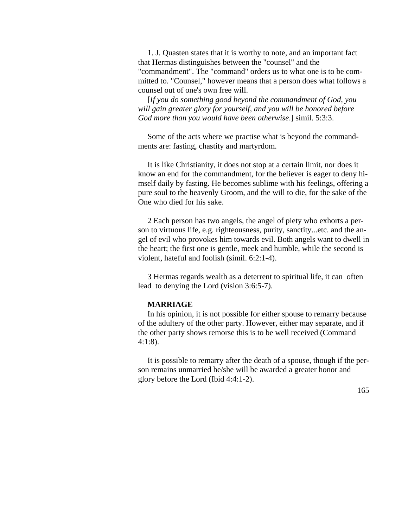1. J. Quasten states that it is worthy to note, and an important fact that Hermas distinguishes between the "counsel" and the "commandment". The "command" orders us to what one is to be committed to. "Counsel," however means that a person does what follows a counsel out of one's own free will.

[*If you do something good beyond the commandment of God, you will gain greater glory for yourself, and you will be honored before God more than you would have been otherwise*.] simil. 5:3:3.

Some of the acts where we practise what is beyond the commandments are: fasting, chastity and martyrdom.

It is like Christianity, it does not stop at a certain limit, nor does it know an end for the commandment, for the believer is eager to deny himself daily by fasting. He becomes sublime with his feelings, offering a pure soul to the heavenly Groom, and the will to die, for the sake of the One who died for his sake.

2 Each person has two angels, the angel of piety who exhorts a person to virtuous life, e.g. righteousness, purity, sanctity...etc. and the angel of evil who provokes him towards evil. Both angels want to dwell in the heart; the first one is gentle, meek and humble, while the second is violent, hateful and foolish (simil. 6:2:1-4).

3 Hermas regards wealth as a deterrent to spiritual life, it can often lead to denying the Lord (vision 3:6:5-7).

#### **MARRIAGE**

In his opinion, it is not possible for either spouse to remarry because of the adultery of the other party. However, either may separate, and if the other party shows remorse this is to be well received (Command 4:1:8).

It is possible to remarry after the death of a spouse, though if the person remains unmarried he/she will be awarded a greater honor and glory before the Lord (Ibid 4:4:1-2).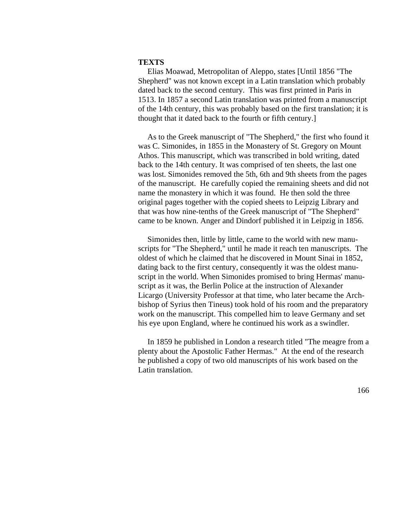#### **TEXTS**

Elias Moawad, Metropolitan of Aleppo, states [Until 1856 "The Shepherd" was not known except in a Latin translation which probably dated back to the second century. This was first printed in Paris in 1513. In 1857 a second Latin translation was printed from a manuscript of the 14th century, this was probably based on the first translation; it is thought that it dated back to the fourth or fifth century.]

As to the Greek manuscript of "The Shepherd," the first who found it was C. Simonides, in 1855 in the Monastery of St. Gregory on Mount Athos. This manuscript, which was transcribed in bold writing, dated back to the 14th century. It was comprised of ten sheets, the last one was lost. Simonides removed the 5th, 6th and 9th sheets from the pages of the manuscript. He carefully copied the remaining sheets and did not name the monastery in which it was found. He then sold the three original pages together with the copied sheets to Leipzig Library and that was how nine-tenths of the Greek manuscript of "The Shepherd" came to be known. Anger and Dindorf published it in Leipzig in 1856.

Simonides then, little by little, came to the world with new manuscripts for "The Shepherd," until he made it reach ten manuscripts. The oldest of which he claimed that he discovered in Mount Sinai in 1852, dating back to the first century, consequently it was the oldest manuscript in the world. When Simonides promised to bring Hermas' manuscript as it was, the Berlin Police at the instruction of Alexander Licargo (University Professor at that time, who later became the Archbishop of Syrius then Tineus) took hold of his room and the preparatory work on the manuscript. This compelled him to leave Germany and set his eye upon England, where he continued his work as a swindler.

In 1859 he published in London a research titled "The meagre from a plenty about the Apostolic Father Hermas." At the end of the research he published a copy of two old manuscripts of his work based on the Latin translation.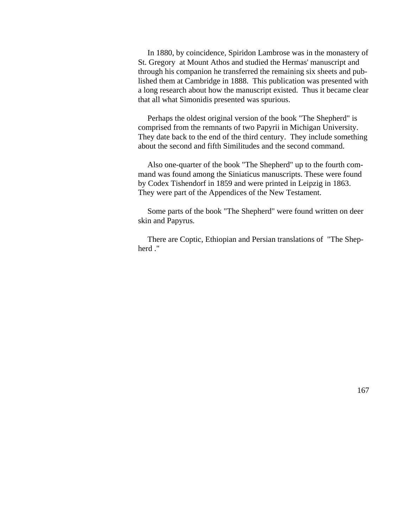In 1880, by coincidence, Spiridon Lambrose was in the monastery of St. Gregory at Mount Athos and studied the Hermas' manuscript and through his companion he transferred the remaining six sheets and published them at Cambridge in 1888. This publication was presented with a long research about how the manuscript existed. Thus it became clear that all what Simonidis presented was spurious.

Perhaps the oldest original version of the book "The Shepherd" is comprised from the remnants of two Papyrii in Michigan University. They date back to the end of the third century. They include something about the second and fifth Similitudes and the second command.

Also one-quarter of the book "The Shepherd" up to the fourth command was found among the Siniaticus manuscripts. These were found by Codex Tishendorf in 1859 and were printed in Leipzig in 1863. They were part of the Appendices of the New Testament.

Some parts of the book "The Shepherd" were found written on deer skin and Papyrus.

There are Coptic, Ethiopian and Persian translations of "The Shepherd ."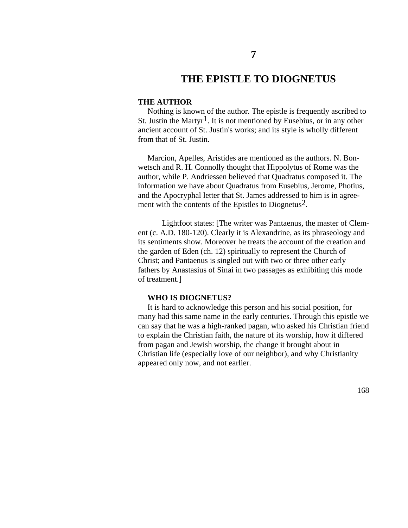# **THE EPISTLE TO DIOGNETUS**

#### **THE AUTHOR**

Nothing is known of the author. The epistle is frequently ascribed to St. Justin the Martyr<sup>1</sup>. It is not mentioned by Eusebius, or in any other ancient account of St. Justin's works; and its style is wholly different from that of St. Justin.

Marcion, Apelles, Aristides are mentioned as the authors. N. Bonwetsch and R. H. Connolly thought that Hippolytus of Rome was the author, while P. Andriessen believed that Quadratus composed it. The information we have about Quadratus from Eusebius, Jerome, Photius, and the Apocryphal letter that St. James addressed to him is in agreement with the contents of the Epistles to Diognetus<sup>2</sup>.

 Lightfoot states: [The writer was Pantaenus, the master of Clement (c. A.D. 180-120). Clearly it is Alexandrine, as its phraseology and its sentiments show. Moreover he treats the account of the creation and the garden of Eden (ch. 12) spiritually to represent the Church of Christ; and Pantaenus is singled out with two or three other early fathers by Anastasius of Sinai in two passages as exhibiting this mode of treatment.]

#### **WHO IS DIOGNETUS?**

It is hard to acknowledge this person and his social position, for many had this same name in the early centuries. Through this epistle we can say that he was a high-ranked pagan, who asked his Christian friend to explain the Christian faith, the nature of its worship, how it differed from pagan and Jewish worship, the change it brought about in Christian life (especially love of our neighbor), and why Christianity appeared only now, and not earlier.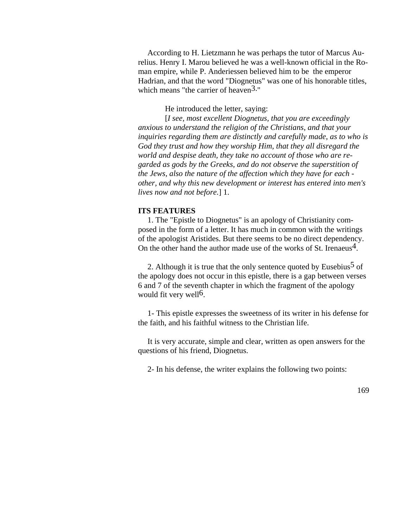According to H. Lietzmann he was perhaps the tutor of Marcus Aurelius. Henry I. Marou believed he was a well-known official in the Roman empire, while P. Anderiessen believed him to be the emperor Hadrian, and that the word "Diognetus" was one of his honorable titles, which means "the carrier of heaven<sup>3."</sup>

He introduced the letter, saying:

 [*I see, most excellent Diognetus, that you are exceedingly anxious to understand the religion of the Christians, and that your inquiries regarding them are distinctly and carefully made, as to who is God they trust and how they worship Him, that they all disregard the world and despise death, they take no account of those who are regarded as gods by the Greeks, and do not observe the superstition of the Jews, also the nature of the affection which they have for each other, and why this new development or interest has entered into men's lives now and not before.*] 1.

# **ITS FEATURES**

1. The "Epistle to Diognetus" is an apology of Christianity composed in the form of a letter. It has much in common with the writings of the apologist Aristides. But there seems to be no direct dependency. On the other hand the author made use of the works of St. Irenaeus<sup>4</sup>.

2. Although it is true that the only sentence quoted by Eusebius<sup>5</sup> of the apology does not occur in this epistle, there is a gap between verses 6 and 7 of the seventh chapter in which the fragment of the apology would fit very well<sup>6</sup>.

1- This epistle expresses the sweetness of its writer in his defense for the faith, and his faithful witness to the Christian life.

It is very accurate, simple and clear, written as open answers for the questions of his friend, Diognetus.

2- In his defense, the writer explains the following two points: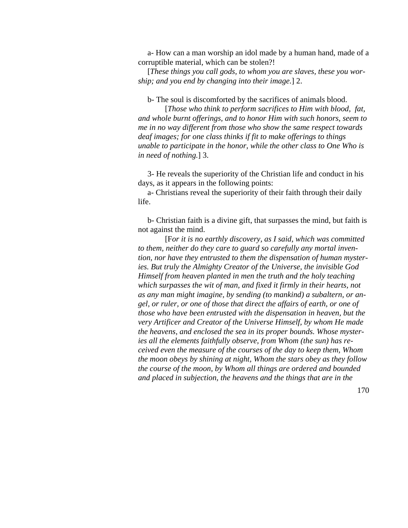a- How can a man worship an idol made by a human hand, made of a corruptible material, which can be stolen?!

[*These things you call gods, to whom you are slaves, these you worship; and you end by changing into their image.*] 2.

b- The soul is discomforted by the sacrifices of animals blood.

 [*Those who think to perform sacrifices to Him with blood, fat, and whole burnt offerings, and to honor Him with such honors, seem to me in no way different from those who show the same respect towards deaf images; for one class thinks if fit to make offerings to things unable to participate in the honor, while the other class to One Who is in need of nothing.*] 3.

3- He reveals the superiority of the Christian life and conduct in his days, as it appears in the following points:

a- Christians reveal the superiority of their faith through their daily life.

b- Christian faith is a divine gift, that surpasses the mind, but faith is not against the mind.

 [F*or it is no earthly discovery, as I said, which was committed to them, neither do they care to guard so carefully any mortal invention, nor have they entrusted to them the dispensation of human mysteries. But truly the Almighty Creator of the Universe, the invisible God Himself from heaven planted in men the truth and the holy teaching which surpasses the wit of man, and fixed it firmly in their hearts, not as any man might imagine, by sending (to mankind) a subaltern, or angel, or ruler, or one of those that direct the affairs of earth, or one of those who have been entrusted with the dispensation in heaven, but the very Artificer and Creator of the Universe Himself, by whom He made the heavens, and enclosed the sea in its proper bounds. Whose mysteries all the elements faithfully observe, from Whom (the sun) has received even the measure of the courses of the day to keep them, Whom the moon obeys by shining at night, Whom the stars obey as they follow the course of the moon, by Whom all things are ordered and bounded and placed in subjection, the heavens and the things that are in the*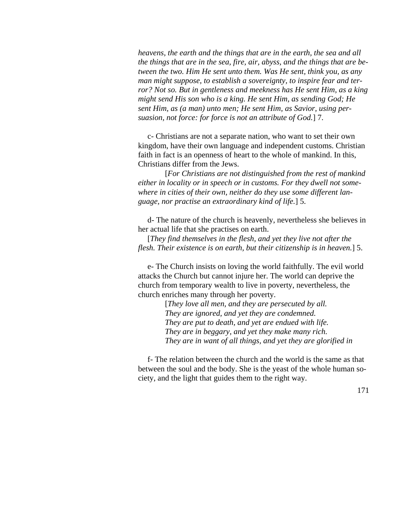*heavens, the earth and the things that are in the earth, the sea and all the things that are in the sea, fire, air, abyss, and the things that are between the two. Him He sent unto them. Was He sent, think you, as any man might suppose, to establish a sovereignty, to inspire fear and terror? Not so. But in gentleness and meekness has He sent Him, as a king might send His son who is a king. He sent Him, as sending God; He sent Him, as (a man) unto men; He sent Him, as Savior, using persuasion, not force: for force is not an attribute of God.*] 7.

c- Christians are not a separate nation, who want to set their own kingdom, have their own language and independent customs. Christian faith in fact is an openness of heart to the whole of mankind. In this, Christians differ from the Jews.

 [*For Christians are not distinguished from the rest of mankind either in locality or in speech or in customs. For they dwell not somewhere in cities of their own, neither do they use some different language, nor practise an extraordinary kind of life.*] 5.

d- The nature of the church is heavenly, nevertheless she believes in her actual life that she practises on earth.

[*They find themselves in the flesh, and yet they live not after the flesh. Their existence is on earth, but their citizenship is in heaven.*] 5.

e- The Church insists on loving the world faithfully. The evil world attacks the Church but cannot injure her. The world can deprive the church from temporary wealth to live in poverty, nevertheless, the church enriches many through her poverty.

> [*They love all men, and they are persecuted by all. They are ignored, and yet they are condemned. They are put to death, and yet are endued with life. They are in beggary, and yet they make many rich. They are in want of all things, and yet they are glorified in*

f- The relation between the church and the world is the same as that between the soul and the body. She is the yeast of the whole human society, and the light that guides them to the right way.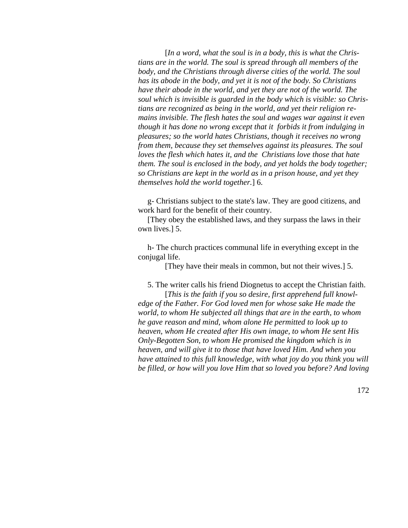[*In a word, what the soul is in a body, this is what the Christians are in the world. The soul is spread through all members of the body, and the Christians through diverse cities of the world. The soul has its abode in the body, and yet it is not of the body. So Christians have their abode in the world, and yet they are not of the world. The soul which is invisible is guarded in the body which is visible: so Christians are recognized as being in the world, and yet their religion remains invisible. The flesh hates the soul and wages war against it even though it has done no wrong except that it forbids it from indulging in pleasures; so the world hates Christians, though it receives no wrong from them, because they set themselves against its pleasures. The soul loves the flesh which hates it, and the Christians love those that hate them. The soul is enclosed in the body, and yet holds the body together; so Christians are kept in the world as in a prison house, and yet they themselves hold the world together.*] 6.

g- Christians subject to the state's law. They are good citizens, and work hard for the benefit of their country.

[They obey the established laws, and they surpass the laws in their own lives.] 5.

h- The church practices communal life in everything except in the conjugal life.

[They have their meals in common, but not their wives.] 5.

#### 5. The writer calls his friend Diognetus to accept the Christian faith.

 [*This is the faith if you so desire, first apprehend full knowledge of the Father. For God loved men for whose sake He made the world, to whom He subjected all things that are in the earth, to whom he gave reason and mind, whom alone He permitted to look up to heaven, whom He created after His own image, to whom He sent His Only-Begotten Son, to whom He promised the kingdom which is in heaven, and will give it to those that have loved Him. And when you have attained to this full knowledge, with what joy do you think you will be filled, or how will you love Him that so loved you before? And loving*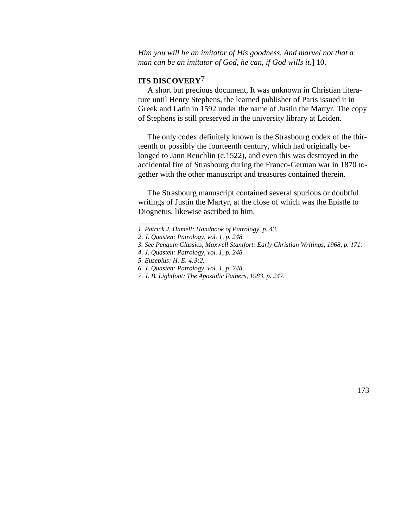*Him you will be an imitator of His goodness. And marvel not that a man can be an imitator of God, he can, if God wills it*.] 10.

# **ITS DISCOVERY**7

A short but precious document, It was unknown in Christian literature until Henry Stephens, the learned publisher of Paris issued it in Greek and Latin in 1592 under the name of Justin the Martyr. The copy of Stephens is still preserved in the university library at Leiden.

The only codex definitely known is the Strasbourg codex of the thirteenth or possibly the fourteenth century, which had originally belonged to Jann Reuchlin (c.1522), and even this was destroyed in the accidental fire of Strasbourg during the Franco-German war in 1870 together with the other manuscript and treasures contained therein.

The Strasbourg manuscript contained several spurious or doubtful writings of Justin the Martyr, at the close of which was the Epistle to Diognetus, likewise ascribed to him.

\_\_\_\_\_\_\_\_\_\_

*<sup>1.</sup> Patrick J. Hamell: Handbook of Patrology, p. 43.* 

*<sup>2.</sup> J. Quasten: Patrology, vol. 1, p. 248.* 

*<sup>3.</sup> See Penguin Classics, Maxwell Stanifort: Early Christian Writings, 1968, p. 171.* 

*<sup>4.</sup> J. Quasten: Patrology, vol. 1, p. 248.* 

*<sup>5.</sup> Eusebius: H. E. 4:3:2.* 

*<sup>6.</sup> J. Quasten: Patrology, vol. 1, p. 248.* 

*<sup>7.</sup> J. B. Lightfoot: The Apostolic Fathers, 1983, p. 247.*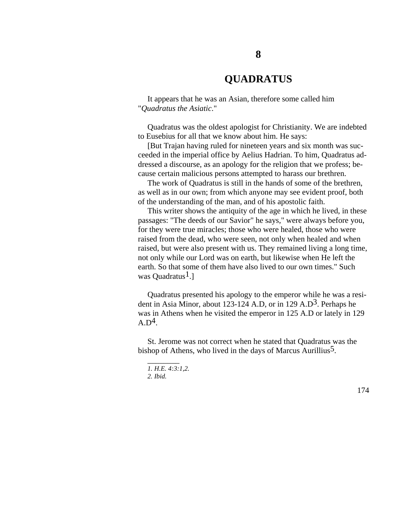# **QUADRATUS**

**8** 

It appears that he was an Asian, therefore some called him "*Quadratus the Asiatic*."

Quadratus was the oldest apologist for Christianity. We are indebted to Eusebius for all that we know about him. He says:

[But Trajan having ruled for nineteen years and six month was succeeded in the imperial office by Aelius Hadrian. To him, Quadratus addressed a discourse, as an apology for the religion that we profess; because certain malicious persons attempted to harass our brethren.

The work of Quadratus is still in the hands of some of the brethren, as well as in our own; from which anyone may see evident proof, both of the understanding of the man, and of his apostolic faith.

This writer shows the antiquity of the age in which he lived, in these passages: "The deeds of our Savior" he says," were always before you, for they were true miracles; those who were healed, those who were raised from the dead, who were seen, not only when healed and when raised, but were also present with us. They remained living a long time, not only while our Lord was on earth, but likewise when He left the earth. So that some of them have also lived to our own times." Such was Quadratus<sup>1</sup>.

Quadratus presented his apology to the emperor while he was a resident in Asia Minor, about 123-124 A.D, or in 129 A.D<sup>3</sup>. Perhaps he was in Athens when he visited the emperor in 125 A.D or lately in 129  $A.D<sup>4</sup>$ .

St. Jerome was not correct when he stated that Quadratus was the bishop of Athens, who lived in the days of Marcus Aurillius<sup>5</sup>.

174

\_\_\_\_\_\_\_\_ *1. H.E. 4:3:1,2.* 

*<sup>2.</sup> Ibid.*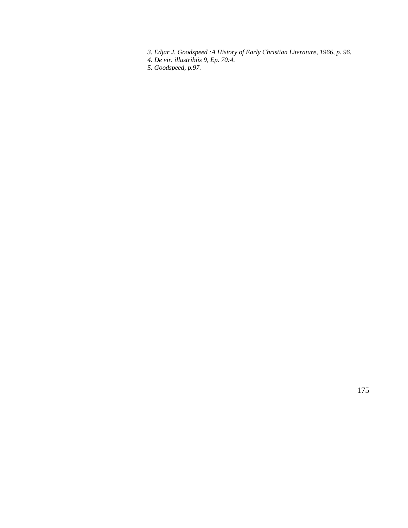- *3. Edjar J. Goodspeed :A History of Early Christian Literature, 1966, p. 96.*
- *4. De vir. illustribiis 9, Ep. 70:4.*
- *5. Goodspeed, p.97.*